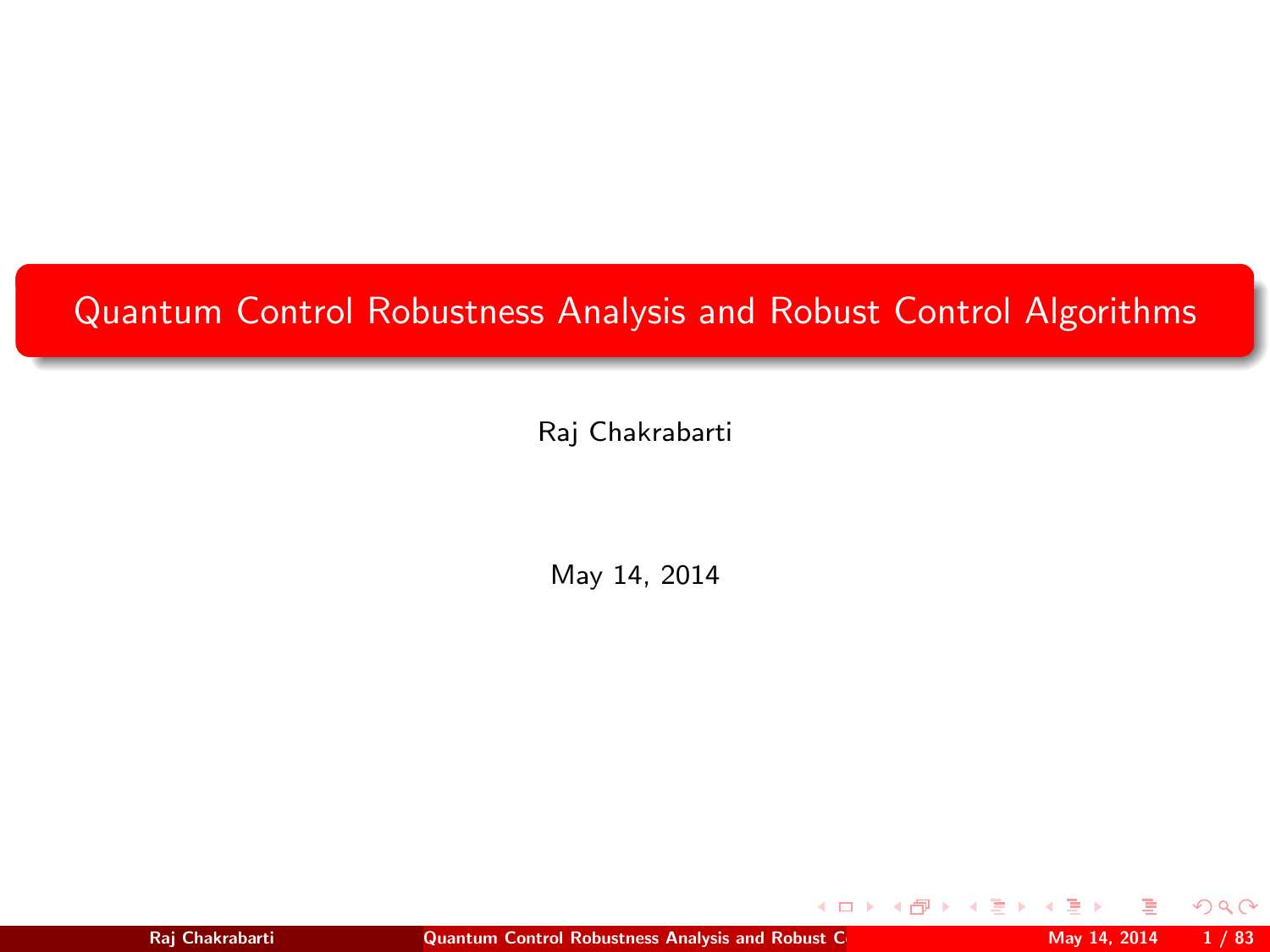# <span id="page-0-1"></span>Quantum Control Robustness Analysis and Robust Control Algorithms

Raj Chakrabarti

May 14, 2014

**◆ ロ ▶ → 何** 

<span id="page-0-0"></span> $2Q$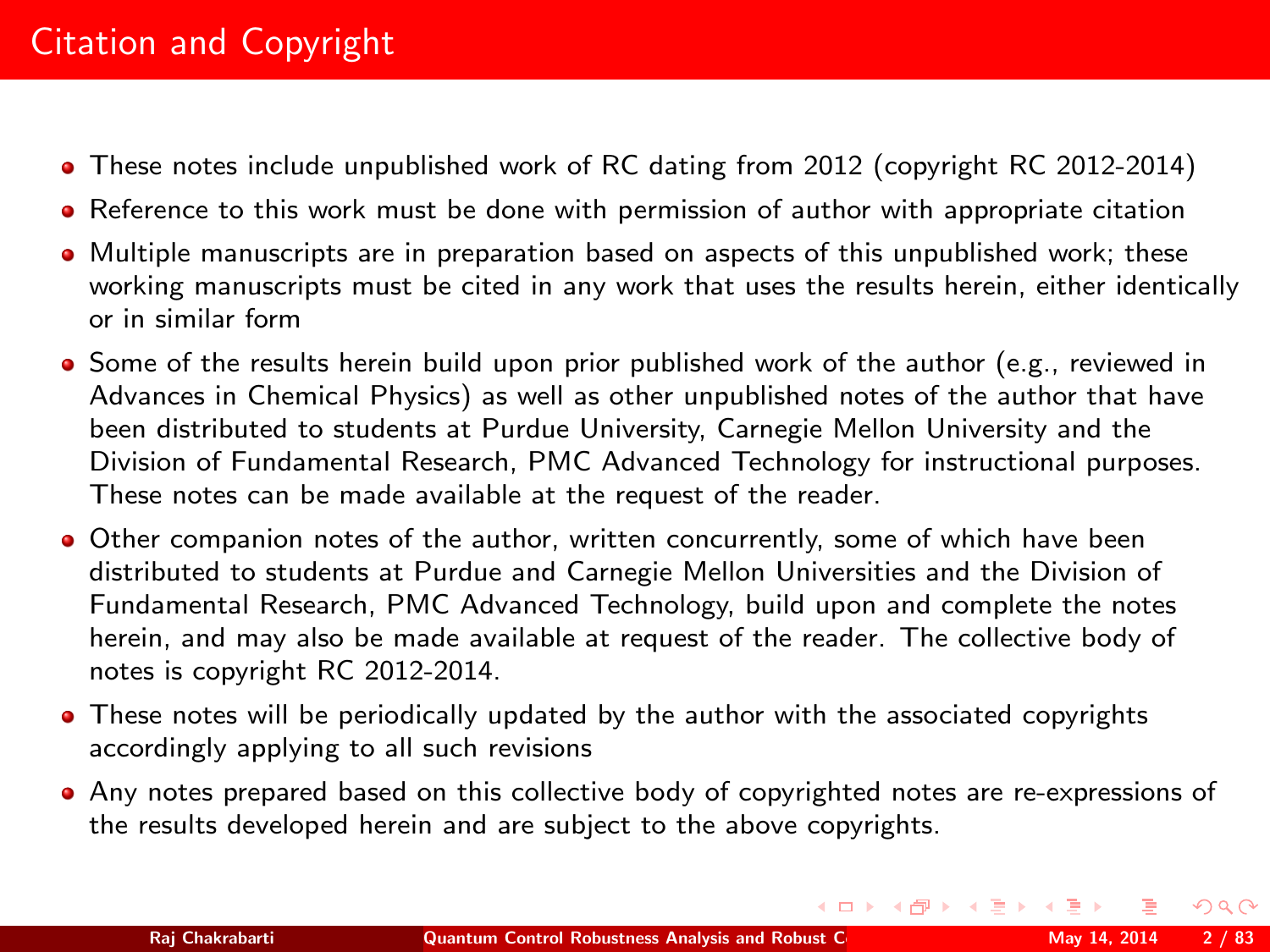# Citation and Copyright

- These notes include unpublished work of RC dating from 2012 (copyright RC 2012-2014)
- Reference to this work must be done with permission of author with appropriate citation
- Multiple manuscripts are in preparation based on aspects of this unpublished work; these working manuscripts must be cited in any work that uses the results herein, either identically or in similar form
- Some of the results herein build upon prior published work of the author (e.g., reviewed in Advances in Chemical Physics) as well as other unpublished notes of the author that have been distributed to students at Purdue University, Carnegie Mellon University and the Division of Fundamental Research, PMC Advanced Technology for instructional purposes. These notes can be made available at the request of the reader.
- Other companion notes of the author, written concurrently, some of which have been distributed to students at Purdue and Carnegie Mellon Universities and the Division of Fundamental Research, PMC Advanced Technology, build upon and complete the notes herein, and may also be made available at request of the reader. The collective body of notes is copyright RC 2012-2014.
- These notes will be periodically updated by the author with the associated copyrights accordingly applying to all such revisions
- Any notes prepared based on this collective body of copyrighted notes are re-expressions of the results developed herein and are subject to the above copyrights.

 $QQ$ 

イロト イ母 トイヨ トイヨー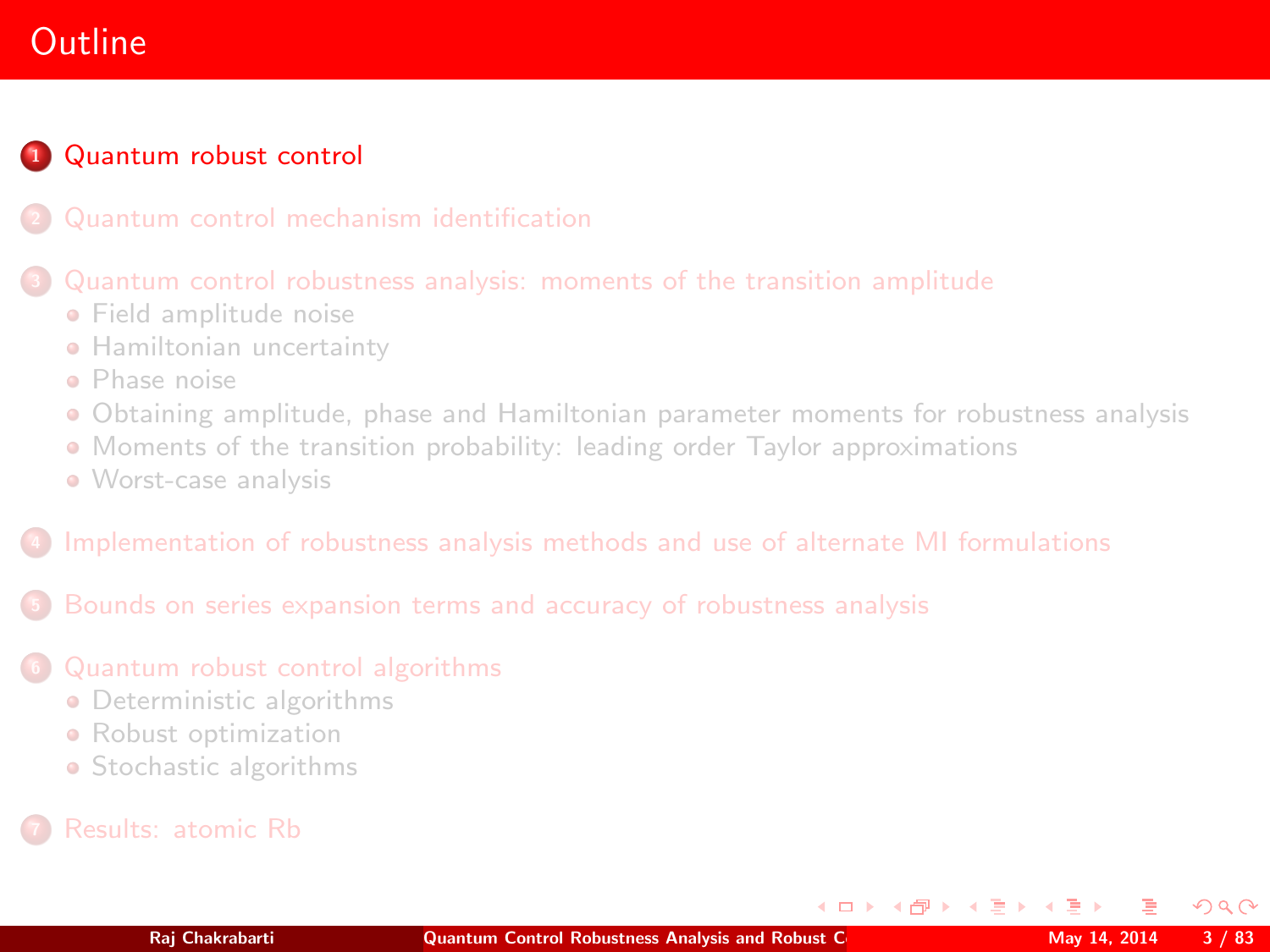# **Outline**

## **1 [Quantum robust control](#page-2-0)**

#### [Quantum control robustness analysis: moments of the transition amplitude](#page-25-0)

- **•** [Field amplitude noise](#page-27-0)
- **[Hamiltonian uncertainty](#page-39-0)**
- [Phase noise](#page-43-0)
- [Obtaining amplitude, phase and Hamiltonian parameter moments for robustness analysis](#page-46-0)
- [Moments of the transition probability: leading order Taylor approximations](#page-48-0)
- [Worst-case analysis](#page-56-0)

#### <sup>4</sup> [Implementation of robustness analysis methods and use of alternate MI formulations](#page-58-0)

<sup>5</sup> [Bounds on series expansion terms and accuracy of robustness analysis](#page-61-0)

#### <sup>6</sup> [Quantum robust control algorithms](#page-68-0)

- **•** [Deterministic algorithms](#page-71-0)
- **•** [Robust optimization](#page-78-0)
- [Stochastic algorithms](#page-79-0)
- 

<span id="page-2-0"></span> $QQ$ 

イロト イ押ト イヨト イ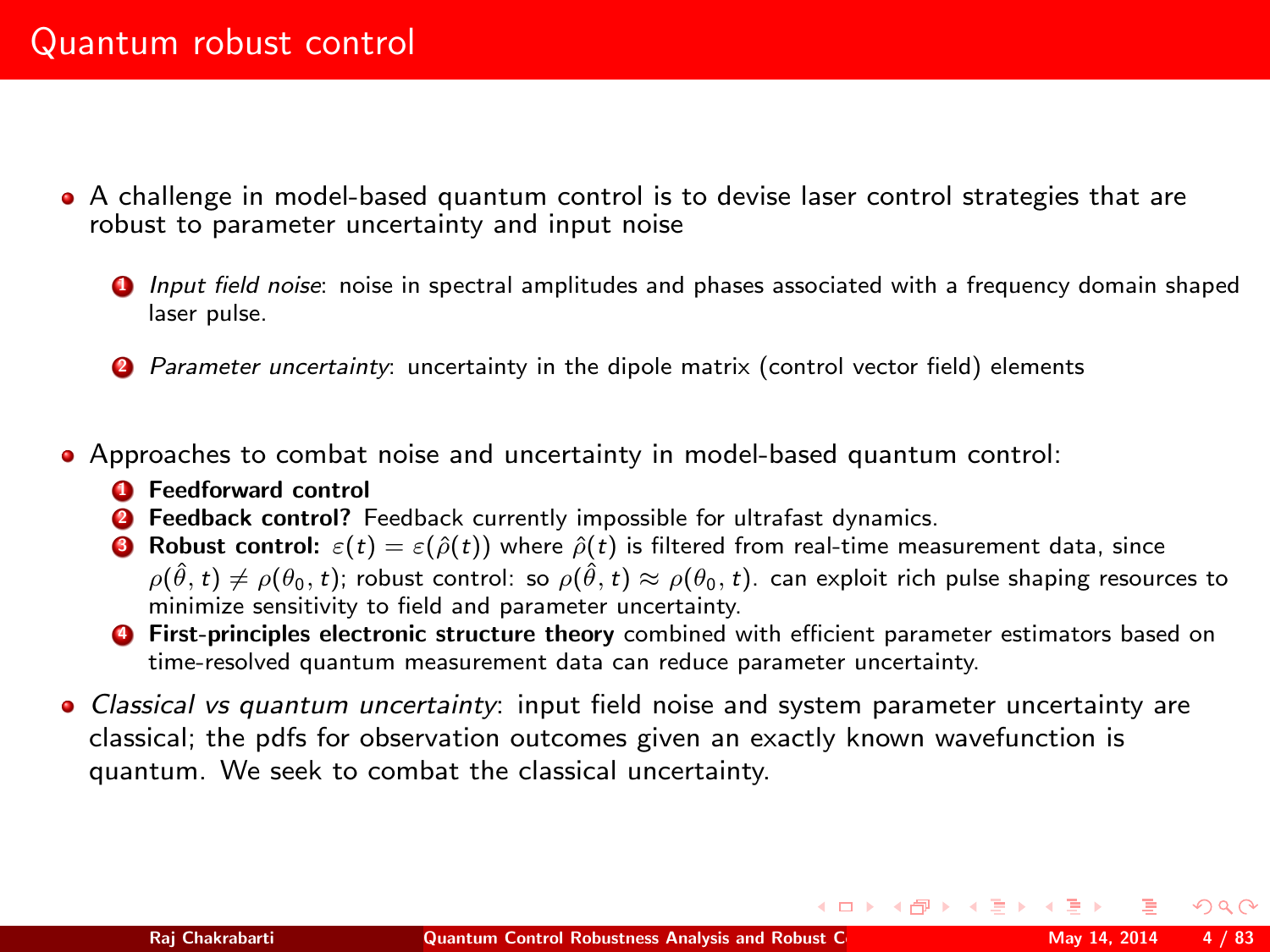- A challenge in model-based quantum control is to devise laser control strategies that are robust to parameter uncertainty and input noise
	- **1** Input field noise: noise in spectral amplitudes and phases associated with a frequency domain shaped laser pulse.
	- 2 Parameter uncertainty: uncertainty in the dipole matrix (control vector field) elements
- Approaches to combat noise and uncertainty in model-based quantum control:
	- **4** Feedforward control
	- <sup>2</sup> Feedback control? Feedback currently impossible for ultrafast dynamics.
	- **3** Robust control:  $\varepsilon(t) = \varepsilon(\hat{\rho}(t))$  where  $\hat{\rho}(t)$  is filtered from real-time measurement data, since  $\rho(\hat{\theta},t) \neq \rho(\theta_0,t)$ ; robust control: so  $\rho(\hat{\theta},t) \approx \rho(\theta_0,t)$ . can exploit rich pulse shaping resources to minimize sensitivity to field and parameter uncertainty.
	- **4** First-principles electronic structure theory combined with efficient parameter estimators based on time-resolved quantum measurement data can reduce parameter uncertainty.
- Classical vs quantum uncertainty: input field noise and system parameter uncertainty are classical; the pdfs for observation outcomes given an exactly known wavefunction is quantum. We seek to combat the classical uncertainty.

 $\Omega$ 

イロト イ母 トイヨ トイヨト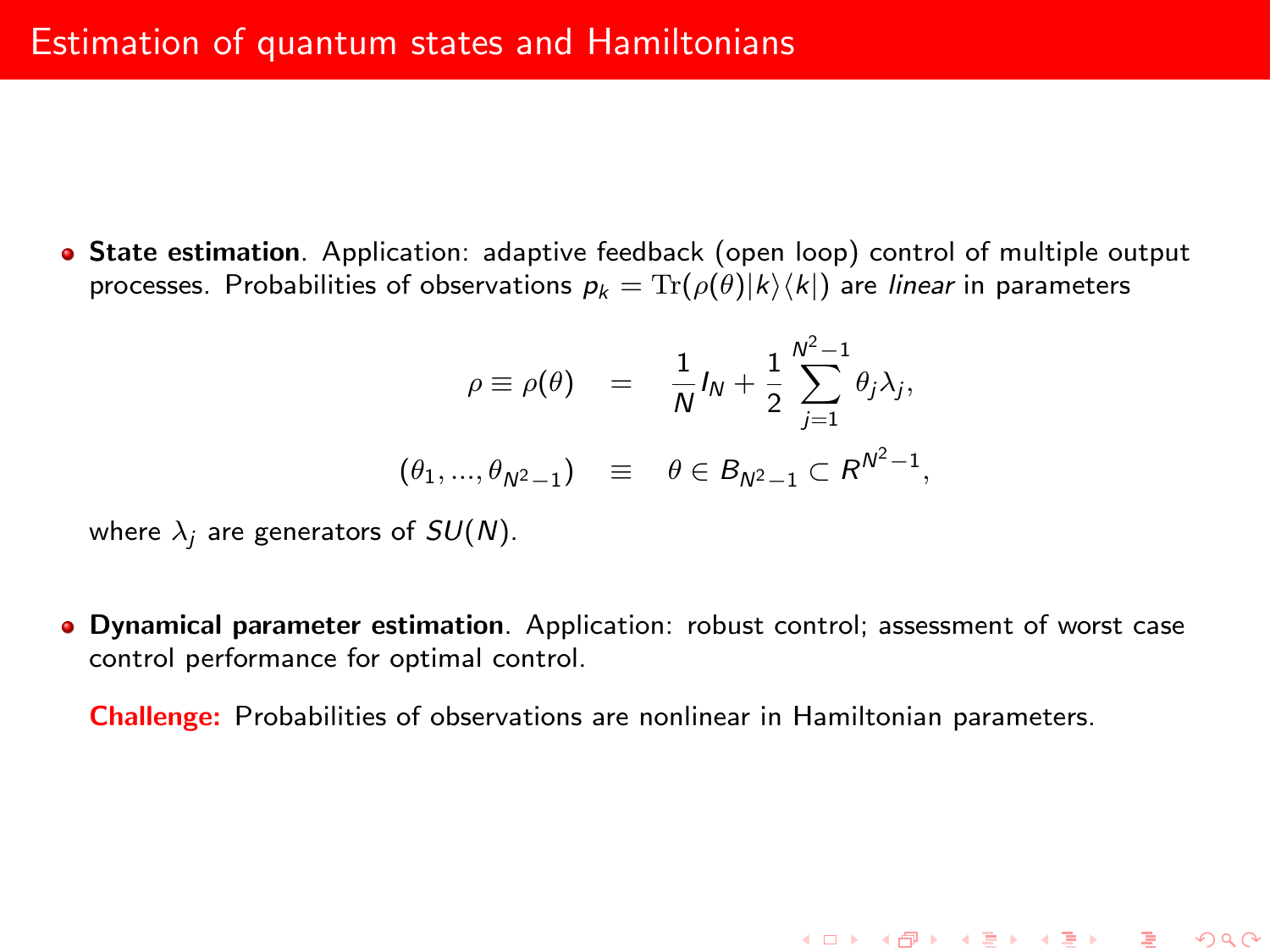State estimation. Application: adaptive feedback (open loop) control of multiple output processes. Probabilities of observations  $p_k = \text{Tr}(\rho(\theta)|k\rangle\langle k|)$  are *linear* in parameters

$$
\rho \equiv \rho(\theta) = \frac{1}{N} I_N + \frac{1}{2} \sum_{j=1}^{N^2 - 1} \theta_j \lambda_j,
$$
  

$$
(\theta_1, ..., \theta_{N^2 - 1}) \equiv \theta \in B_{N^2 - 1} \subset R^{N^2 - 1},
$$

K ロ ▶ K @ ▶ K 할 ▶ K 할 ▶ ... 할 ... 900

where  $\lambda_i$  are generators of  $SU(N)$ .

Dynamical parameter estimation. Application: robust control; assessment of worst case control performance for optimal control.

Challenge: Probabilities of observations are nonlinear in Hamiltonian parameters.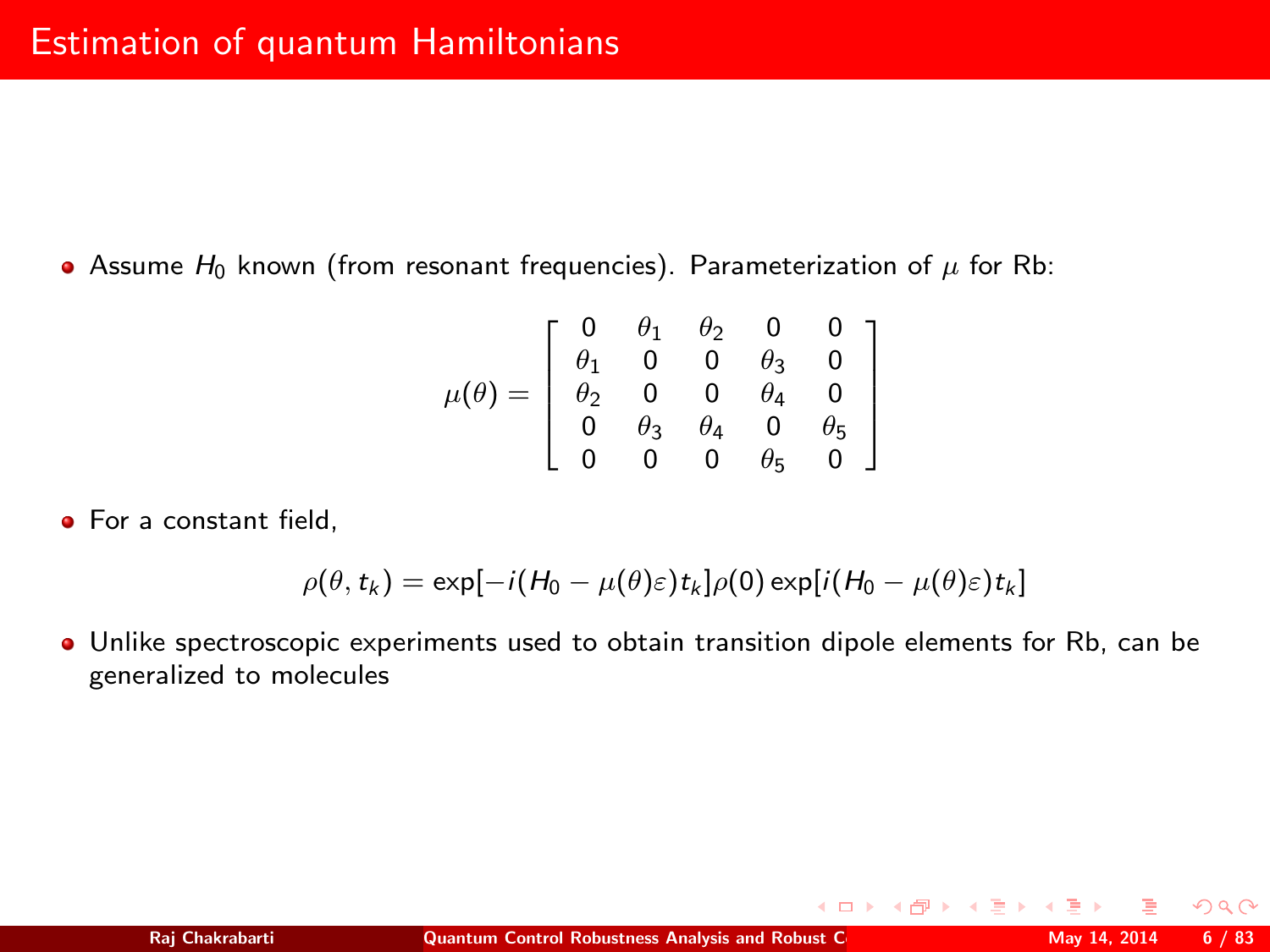Assume  $H_0$  known (from resonant frequencies). Parameterization of  $\mu$  for Rb:

$$
\mu(\theta) = \left[ \begin{array}{cccc} 0 & \theta_1 & \theta_2 & 0 & 0 \\ \theta_1 & 0 & 0 & \theta_3 & 0 \\ \theta_2 & 0 & 0 & \theta_4 & 0 \\ 0 & \theta_3 & \theta_4 & 0 & \theta_5 \\ 0 & 0 & 0 & \theta_5 & 0 \end{array} \right]
$$

**•** For a constant field.

$$
\rho(\theta, t_k) = \exp[-i(H_0 - \mu(\theta)\varepsilon)t_k]\rho(0) \exp[i(H_0 - \mu(\theta)\varepsilon)t_k]
$$

Unlike spectroscopic experiments used to obtain transition dipole elements for Rb, can be generalized to molecules

 $QQ$ 

**K ロ ▶ | K 伊 ▶ | K ヨ ▶** |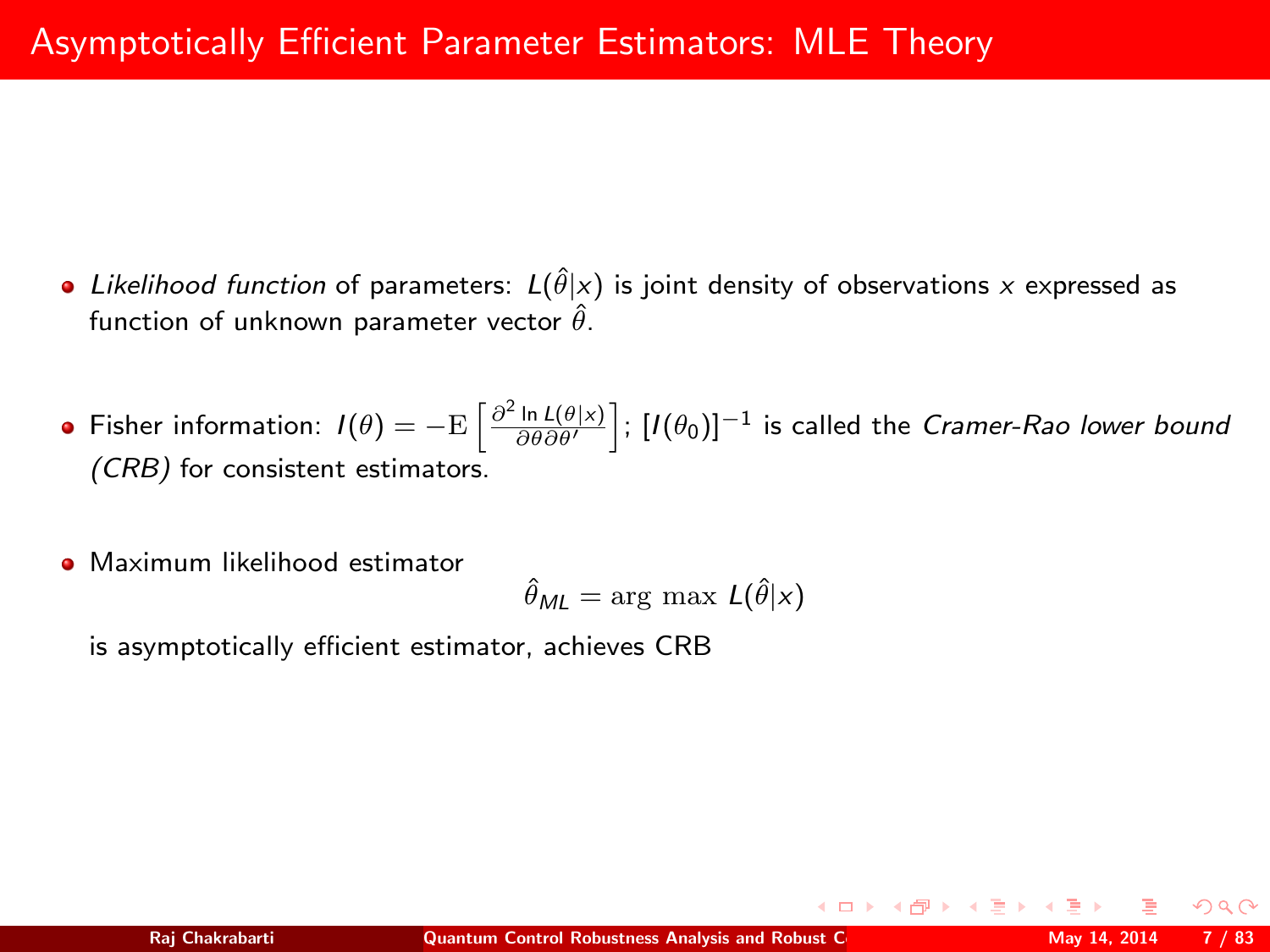- Likelihood function of parameters:  $L(\hat{\theta}|x)$  is joint density of observations x expressed as function of unknown parameter vector  $\hat{\theta}$ .
- Fisher information:  $I(\theta)=-{\rm E}\left[\frac{\partial^2\ln L(\theta|x)}{\partial\theta\partial\theta'}\right]$ ;  $[I(\theta_0)]^{-1}$  is called the *Cramer-Rao lower bound* (CRB) for consistent estimators.
- **•** Maximum likelihood estimator

$$
\hat{\theta}_{ML} = \arg\,\max\,L\big(\hat{\theta}|x\big)
$$

is asymptotically efficient estimator, achieves CRB

(ロ) (伊) (重))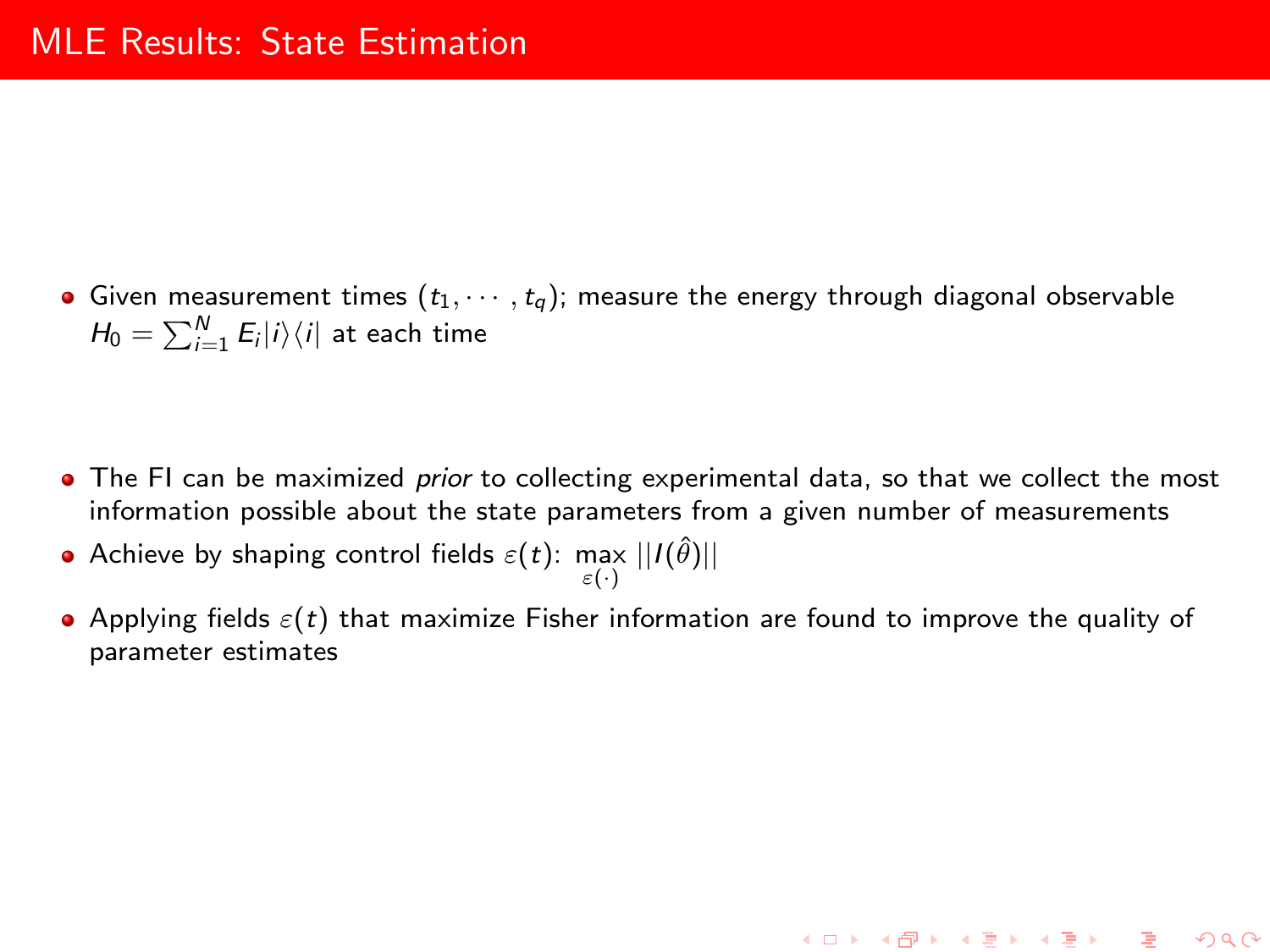• Given measurement times  $(t_1, \dots, t_q)$ ; measure the energy through diagonal observable  $H_0 = \sum_{i=1}^N E_i |i\rangle\langle i|$  at each time

- The FI can be maximized *prior* to collecting experimental data, so that we collect the most information possible about the state parameters from a given number of measurements
- Achieve by shaping control fields  $\varepsilon(t)$ : max  $||I(\hat{\theta})||$
- Applying fields  $\varepsilon(t)$  that maximize Fisher information are found to improve the quality of parameter estimates

K ロ ▶ K @ ▶ K 할 ▶ K 할 ▶ ... 할

 $\Omega$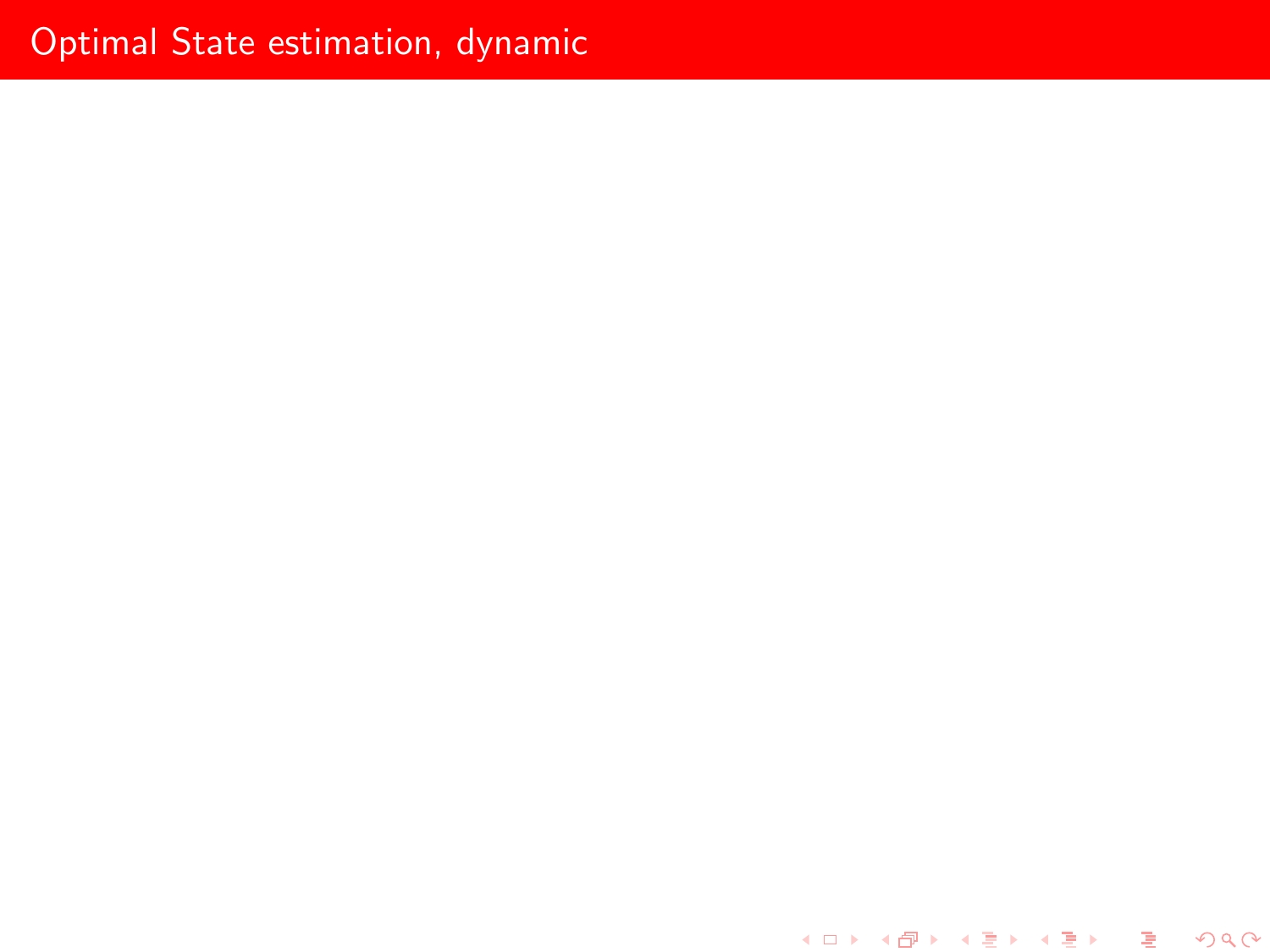제 미 시 제 예 되는 제 로 비 제 로 비 시 로 비  $2990$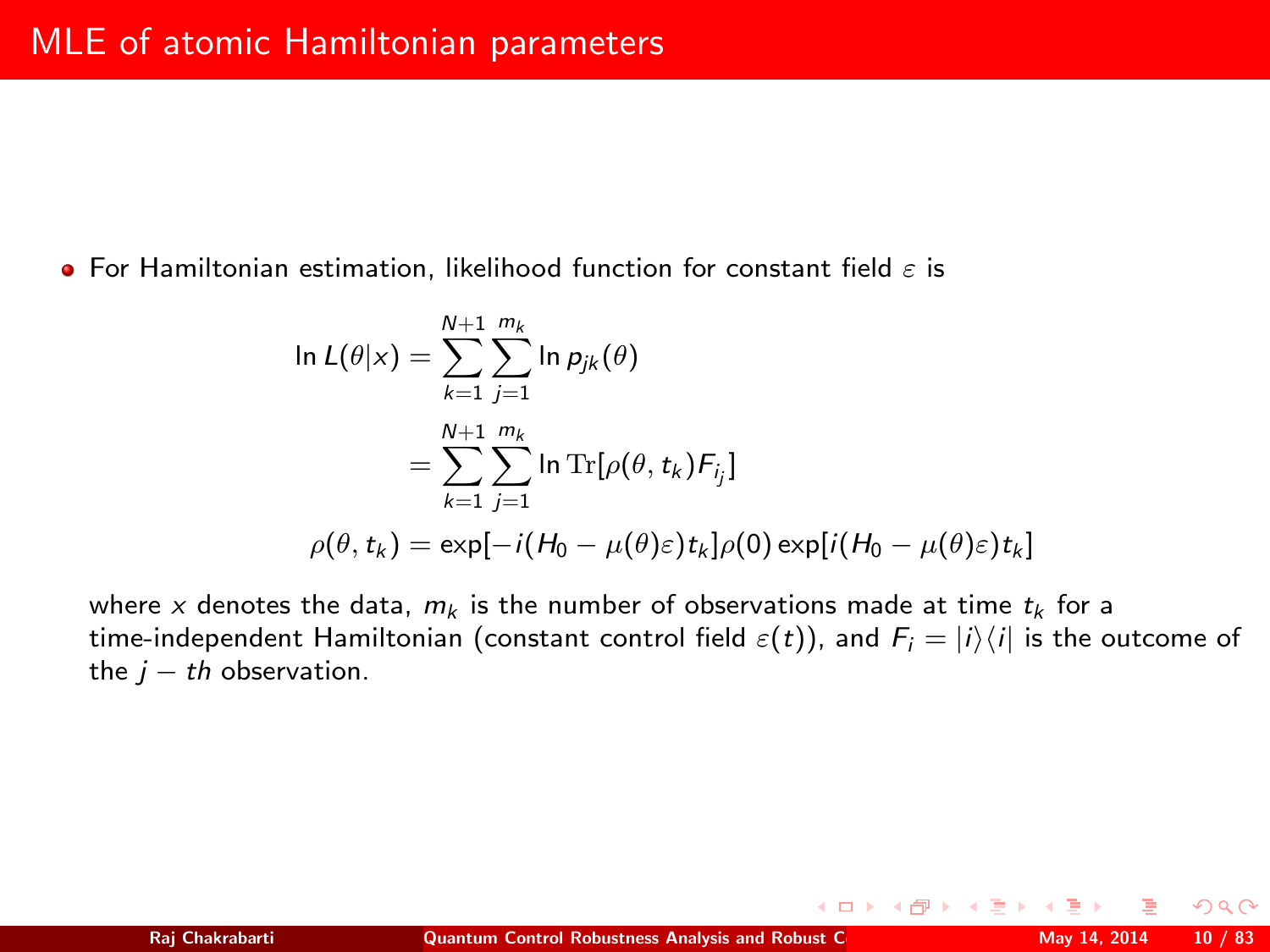**•** For Hamiltonian estimation, likelihood function for constant field  $\varepsilon$  is

$$
\ln L(\theta|x) = \sum_{k=1}^{N+1} \sum_{j=1}^{m_k} \ln p_{jk}(\theta)
$$
  
= 
$$
\sum_{k=1}^{N+1} \sum_{j=1}^{m_k} \ln \text{Tr}[\rho(\theta, t_k) F_{ij}]
$$
  

$$
\rho(\theta, t_k) = \exp[-i(H_0 - \mu(\theta)\varepsilon)t_k]\rho(0) \exp[i(H_0 - \mu(\theta)\varepsilon)t_k]
$$

where x denotes the data,  $m_k$  is the number of observations made at time  $t_k$  for a time-independent Hamiltonian (constant control field  $\varepsilon(t)$ ), and  $F_i = |i\rangle\langle i|$  is the outcome of the  $j - th$  observation.

 $2990$ 

**≮ロト ⊀母 ト ⊀ ヨ ト ⊀**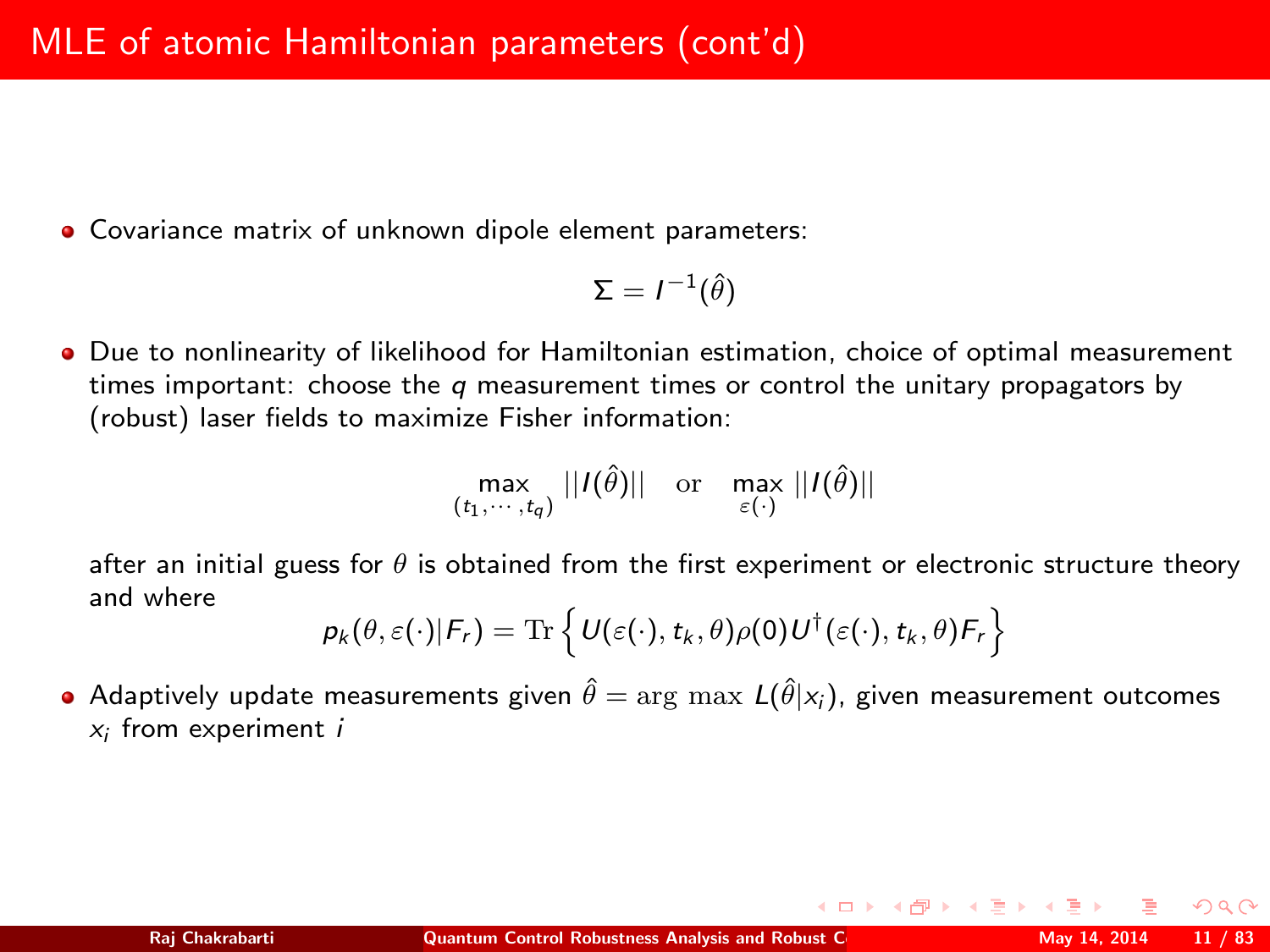Covariance matrix of unknown dipole element parameters:

$$
\Sigma = I^{-1}(\hat{\theta})
$$

Due to nonlinearity of likelihood for Hamiltonian estimation, choice of optimal measurement times important: choose the  $q$  measurement times or control the unitary propagators by (robust) laser fields to maximize Fisher information:

$$
\max_{(t_1,\cdots,t_q)}||I(\hat{\theta})|| \text{ or } \max_{\varepsilon(\cdot)}||I(\hat{\theta})||
$$

after an initial guess for  $\theta$  is obtained from the first experiment or electronic structure theory and where

$$
p_k(\theta, \varepsilon(\cdot)|F_r) = \text{Tr}\left\{U(\varepsilon(\cdot), t_k, \theta)\rho(0)U^{\dagger}(\varepsilon(\cdot), t_k, \theta)F_r\right\}
$$

• Adaptively update measurements given  $\hat{\theta} = \arg \max L(\hat{\theta}|x_i)$ , given measurement outcomes  $x_i$  from experiment  $i$ 

 $\Omega$ 

(ロ) (母) (ヨ)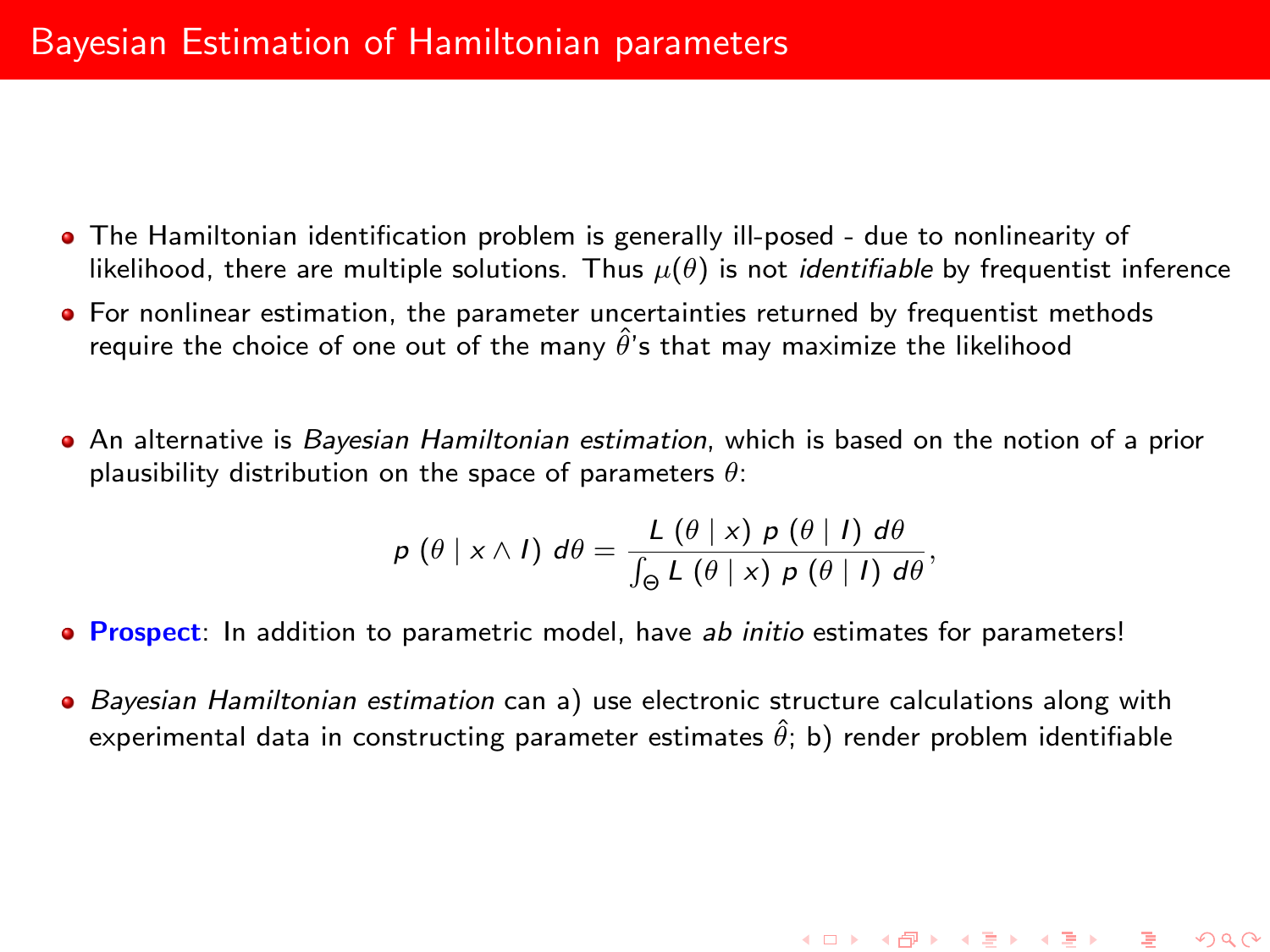- The Hamiltonian identification problem is generally ill-posed due to nonlinearity of likelihood, there are multiple solutions. Thus  $\mu(\theta)$  is not *identifiable* by frequentist inference
- For nonlinear estimation, the parameter uncertainties returned by frequentist methods require the choice of one out of the many  $\hat{\theta}$ 's that may maximize the likelihood
- An alternative is Bayesian Hamiltonian estimation, which is based on the notion of a prior plausibility distribution on the space of parameters  $\theta$ :

$$
p(\theta | x \wedge l) d\theta = \frac{L(\theta | x) p(\theta | l) d\theta}{\int_{\Theta} L(\theta | x) p(\theta | l) d\theta},
$$

- **Prospect:** In addition to parametric model, have ab initio estimates for parameters!
- Bayesian Hamiltonian estimation can a) use electronic structure calculations along with experimental data in constructing parameter estimates  $\hat{\theta}$ ; b) render problem identifiable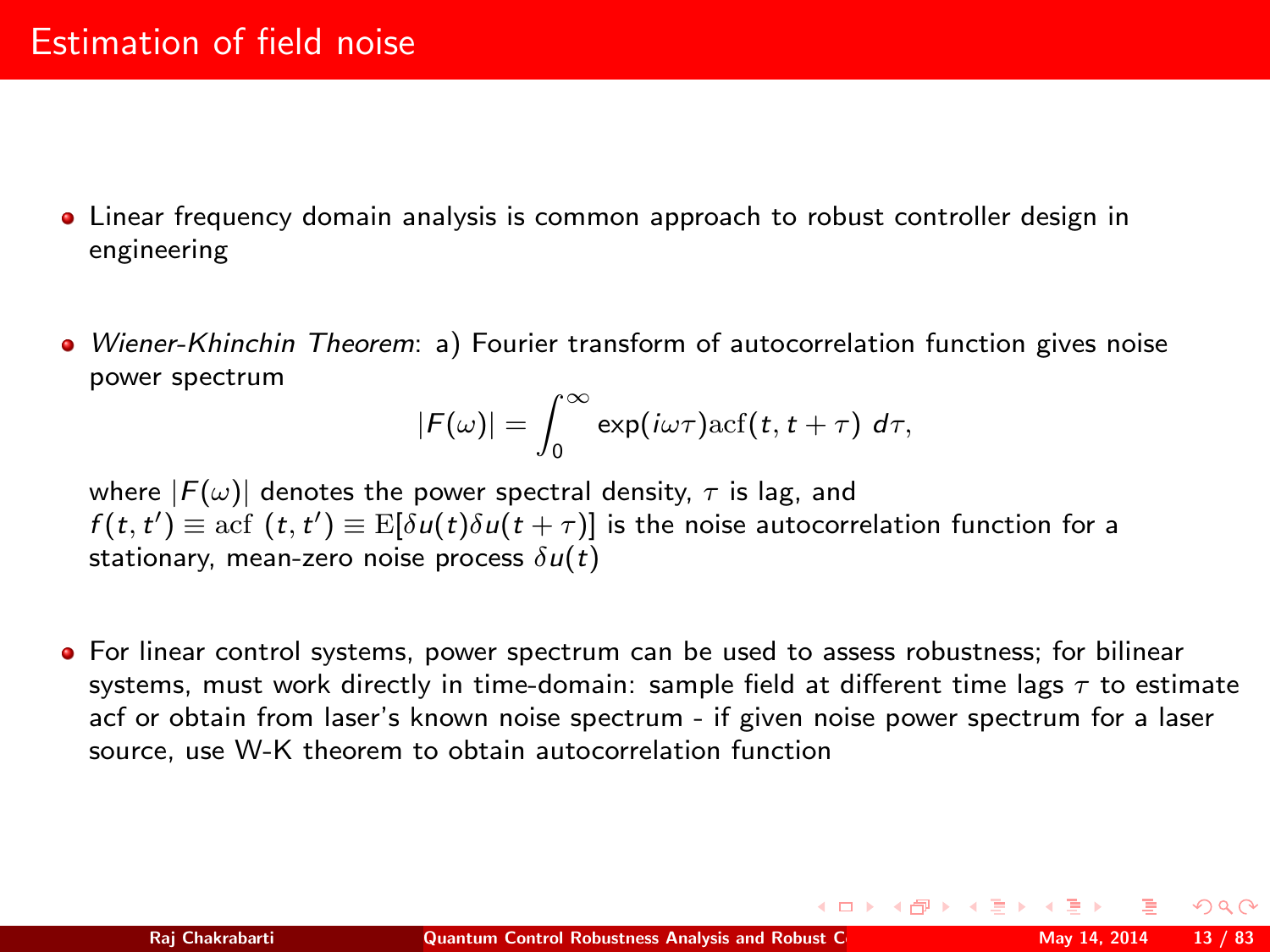- Linear frequency domain analysis is common approach to robust controller design in engineering
- Wiener-Khinchin Theorem: a) Fourier transform of autocorrelation function gives noise power spectrum

$$
|F(\omega)| = \int_0^\infty \exp(i\omega\tau) \arctan(t, t + \tau) d\tau,
$$

where  $|F(\omega)|$  denotes the power spectral density,  $\tau$  is lag, and  $f(t, t') \equiv \operatorname{acf}(t, t') \equiv \operatorname{E}[\delta u(t) \delta u(t + \tau)]$  is the noise autocorrelation function for a stationary, mean-zero noise process  $\delta u(t)$ 

For linear control systems, power spectrum can be used to assess robustness; for bilinear systems, must work directly in time-domain: sample field at different time lags  $\tau$  to estimate acf or obtain from laser's known noise spectrum - if given noise power spectrum for a laser source, use W-K theorem to obtain autocorrelation function

<span id="page-12-0"></span> $\Omega$ 

**K ロ ト K 何 ト K ヨ ト K**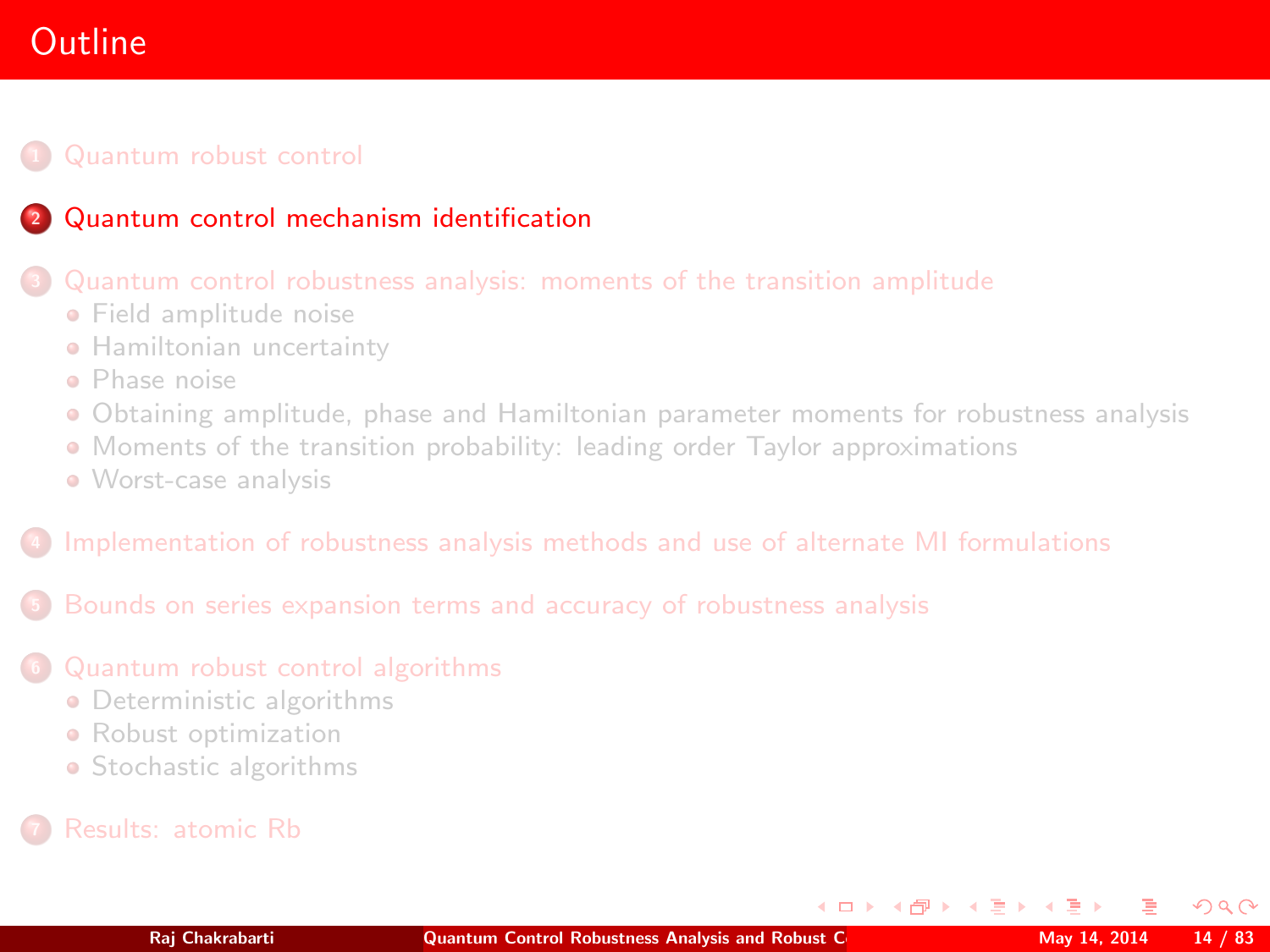# **Outline**

### **1 [Quantum robust control](#page-2-0)**

## <sup>2</sup> [Quantum control mechanism identification](#page-13-0)

#### <sup>3</sup> [Quantum control robustness analysis: moments of the transition amplitude](#page-25-0)

- **•** [Field amplitude noise](#page-27-0)
- **[Hamiltonian uncertainty](#page-39-0)**
- [Phase noise](#page-43-0)
- [Obtaining amplitude, phase and Hamiltonian parameter moments for robustness analysis](#page-46-0)
- [Moments of the transition probability: leading order Taylor approximations](#page-48-0)
- [Worst-case analysis](#page-56-0)

#### <sup>4</sup> [Implementation of robustness analysis methods and use of alternate MI formulations](#page-58-0)

<sup>5</sup> [Bounds on series expansion terms and accuracy of robustness analysis](#page-61-0)

#### <sup>6</sup> [Quantum robust control algorithms](#page-68-0)

- **•** [Deterministic algorithms](#page-71-0)
- **•** [Robust optimization](#page-78-0)
- [Stochastic algorithms](#page-79-0)
- 

<span id="page-13-0"></span> $\Omega$ 

**K ロ ト K 何 ト K ヨ ト K**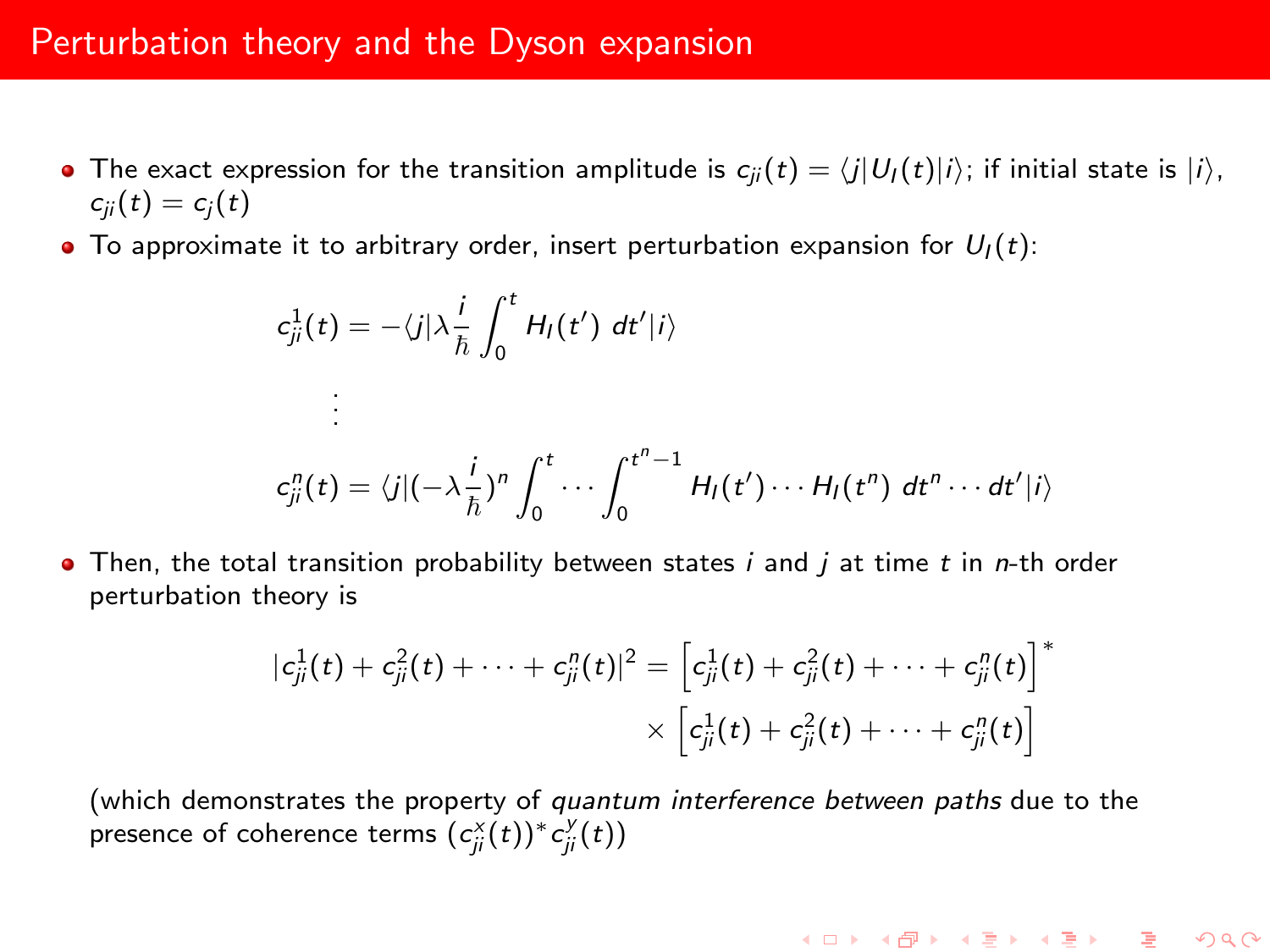- The exact expression for the transition amplitude is  $c_{ji}(t) = \langle j|U_I (t)|i\rangle$ ; if initial state is  $|i\rangle$ ,  $c_{ii}(t) = c_i(t)$
- $\bullet$  To approximate it to arbitrary order, insert perturbation expansion for  $U_1(t)$ :

$$
c_{ji}^1(t) = -\langle j | \lambda \frac{i}{\hbar} \int_0^t H_I(t') dt' | i \rangle
$$
  
\n
$$
\vdots
$$
  
\n
$$
c_{ji}^n(t) = \langle j | (-\lambda \frac{i}{\hbar})^n \int_0^t \cdots \int_0^{t^n - 1} H_I(t') \cdots H_I(t^n) dt^n \cdots dt' | i \rangle
$$

 $\bullet$  Then, the total transition probability between states i and j at time t in n-th order perturbation theory is

$$
|c_{ji}^1(t) + c_{ji}^2(t) + \cdots + c_{ji}^n(t)|^2 = \left[c_{ji}^1(t) + c_{ji}^2(t) + \cdots + c_{ji}^n(t)\right]^* \times \left[c_{ji}^1(t) + c_{ji}^2(t) + \cdots + c_{ji}^n(t)\right]
$$

(which demonstrates the property of quantum interference between paths due to the presence of coherence terms  $(c_{ji}^{x}(t))^{*} c_{ji}^{y}(t)$ 

K ロ ▶ K @ ▶ K 할 ▶ K 할 ▶ ... 할 ... 900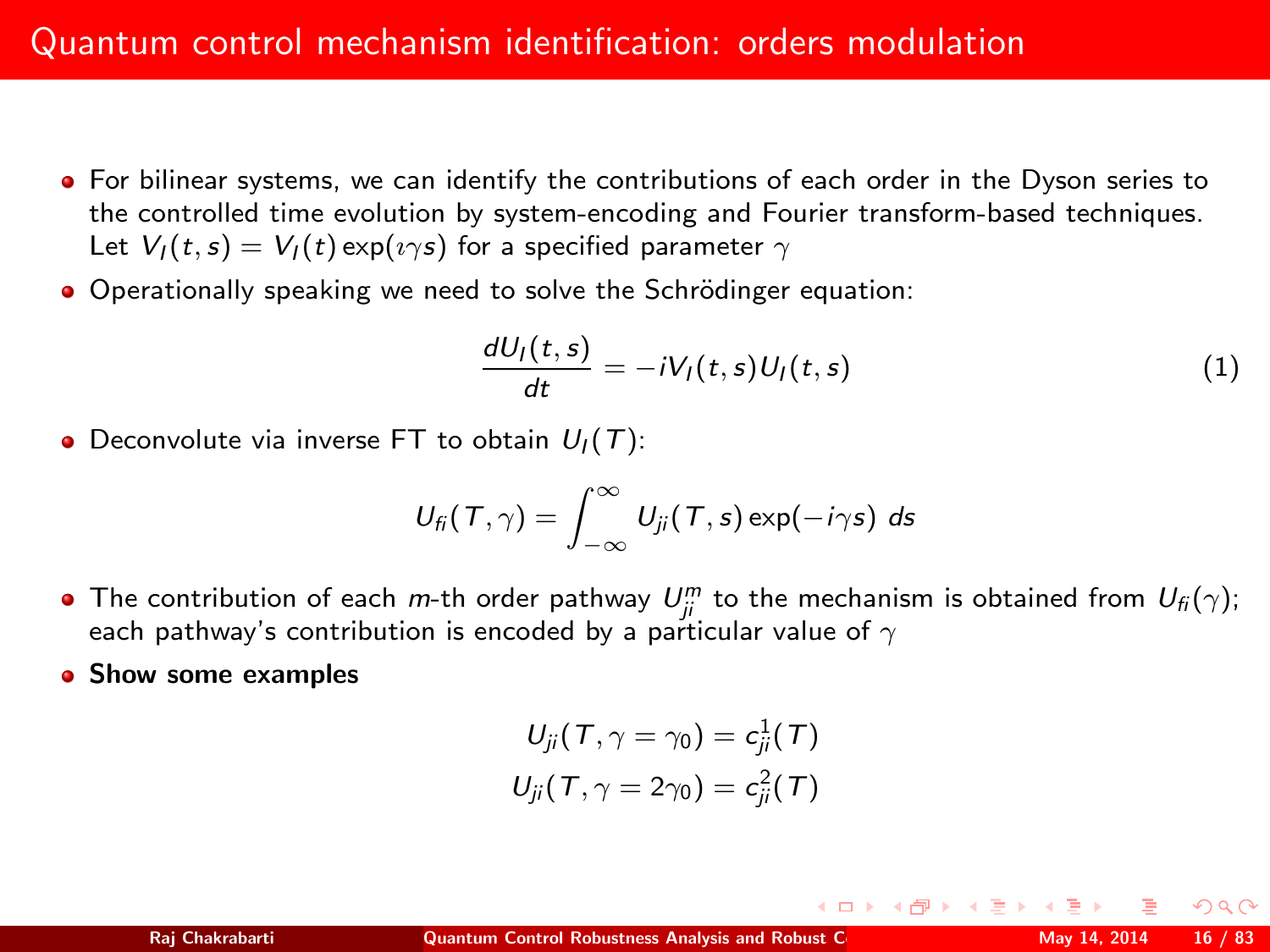- For bilinear systems, we can identify the contributions of each order in the Dyson series to the controlled time evolution by system-encoding and Fourier transform-based techniques. Let  $V_I(t,s) = V_I(t) \exp(i \gamma s)$  for a specified parameter  $\gamma$
- Operationally speaking we need to solve the Schrödinger equation:

$$
\frac{dU_I(t,s)}{dt} = -iV_I(t,s)U_I(t,s)
$$
\n(1)

 $\left\{ \begin{array}{ccc} 1 & 0 & 0 \\ 0 & 1 & 0 \end{array} \right.$ 

• Deconvolute via inverse FT to obtain  $U_1(T)$ :

$$
U_{\mathit{fi}}(\mathit{T},\gamma)=\int_{-\infty}^{\infty}U_{\mathit{ji}}(\mathit{T},s)\exp(-i\gamma s)\;ds
$$

- The contribution of each m-th order pathway  $U_{ji}^m$  to the mechanism is obtained from  $U_{fi}(\gamma)$ ; each pathway's contribution is encoded by a particular value of  $\gamma$
- Show some examples

$$
U_{ji}(T,\gamma=\gamma_0)=c_{ji}^1(T)
$$
  

$$
U_{ji}(T,\gamma=2\gamma_0)=c_{ji}^2(T)
$$

nar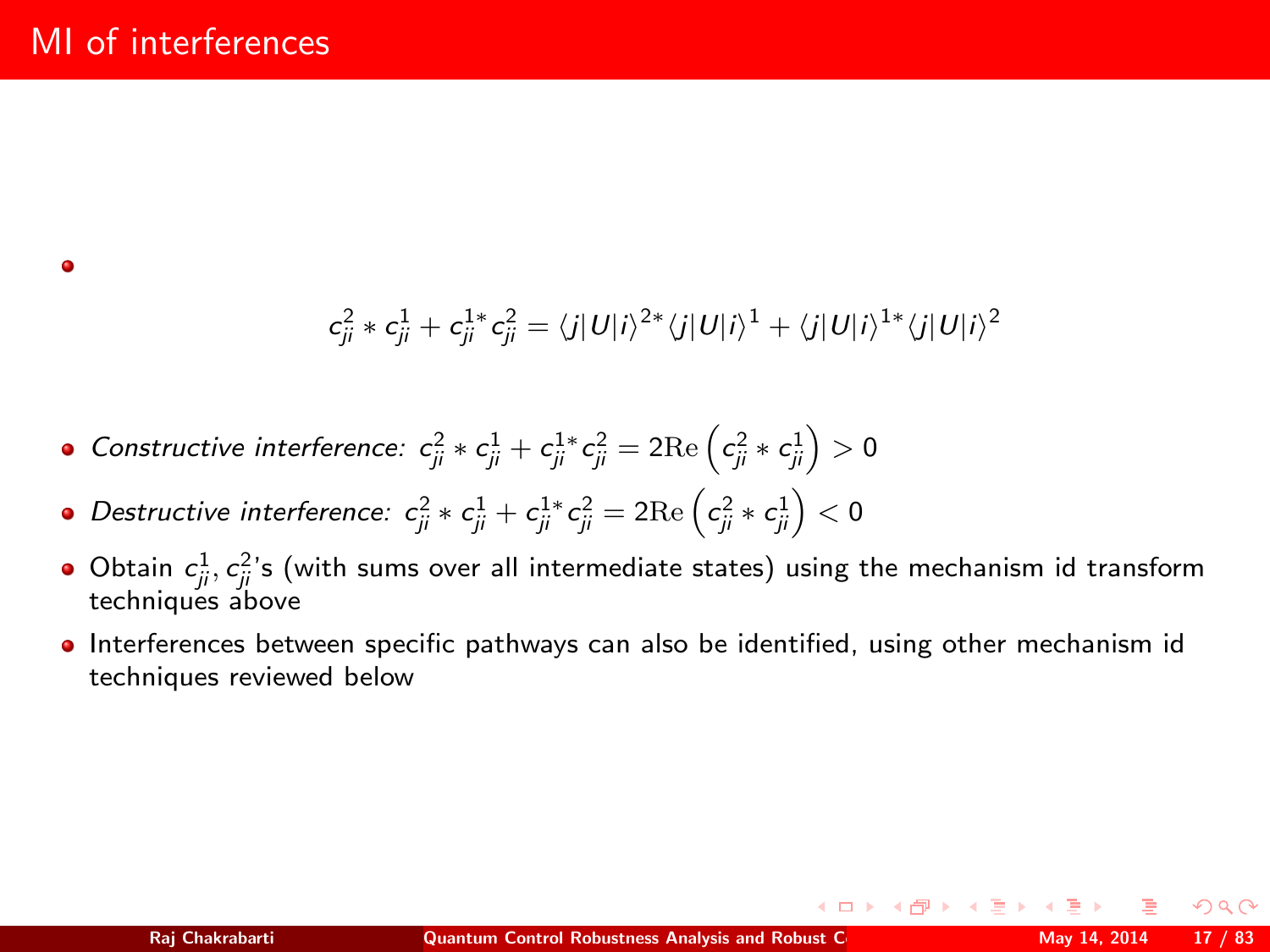$$
c_{ji}^2 * c_{ji}^1 + c_{ji}^{1*} c_{ji}^2 = \langle j|U|i\rangle^{2*} \langle j|U|i\rangle^{1} + \langle j|U|i\rangle^{1*} \langle j|U|i\rangle^{2}
$$

• Constructive interference: 
$$
c_{ji}^2 * c_{ji}^1 + c_{ji}^1 * c_{ji}^2 = 2 \text{Re} \left( c_{ji}^2 * c_{ji}^1 \right) > 0
$$

- Destructive interference:  $c_{ji}^2 \ast c_{ji}^1 + c_{ji}^{1 \ast} c_{ji}^2 = 2 \mathrm{Re} \left( c_{ji}^2 \ast c_{ji}^1 \right) < 0$
- Obtain  $c_{ji}^1, c_{ji}^2$ 's (with sums over all intermediate states) using the mechanism id transform techniques above
- **Interferences between specific pathways can also be identified, using other mechanism id** techniques reviewed below

つくい

イロト イ母ト イヨト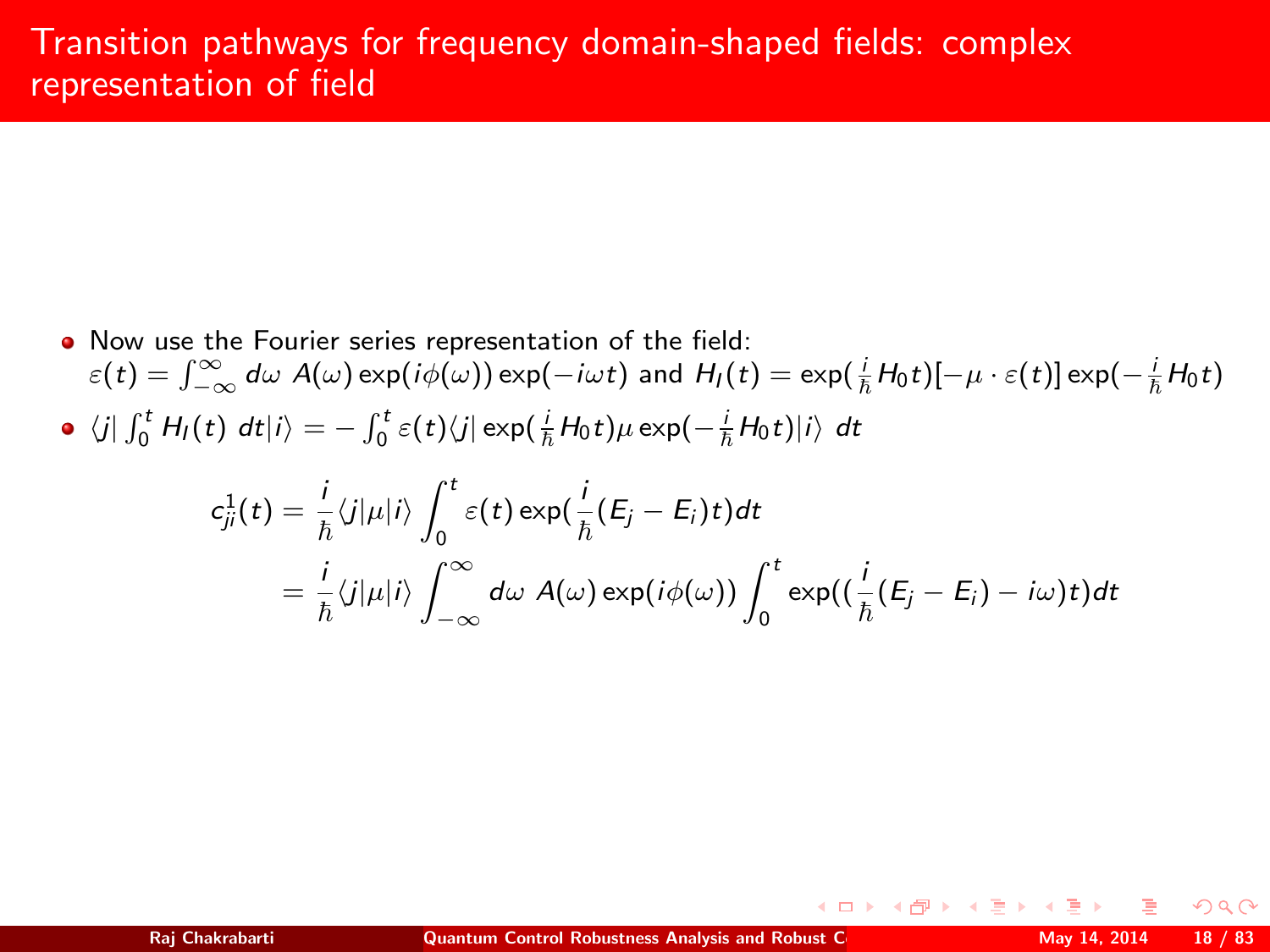- Now use the Fourier series representation of the field:  $\varepsilon(t)=\int_{-\infty}^{\infty}d\omega\;A(\omega)\exp(i\phi(\omega))\exp(-i\omega t)$  and  $H_l(t)=\exp(\frac{i}{\hbar}H_0t)[-\mu\cdot\varepsilon(t)]\exp(-\frac{i}{\hbar}H_0t)$
- $\langle j| \int_0^t H_I(t) dt |i\rangle = \int_0^t \varepsilon(t) \langle j| \exp(\frac{i}{\hbar} H_0 t) \mu \exp(-\frac{i}{\hbar} H_0 t) |i\rangle dt$

$$
c_{ji}^1(t) = \frac{i}{\hbar} \langle j | \mu | i \rangle \int_0^t \varepsilon(t) \exp(\frac{i}{\hbar} (E_j - E_i)t) dt
$$
  
=  $\frac{i}{\hbar} \langle j | \mu | i \rangle \int_{-\infty}^{\infty} d\omega A(\omega) \exp(i\phi(\omega)) \int_0^t \exp((\frac{i}{\hbar} (E_j - E_i) - i\omega)t) dt$ 

 $\Omega$ 

(ロ) (母) (ヨ)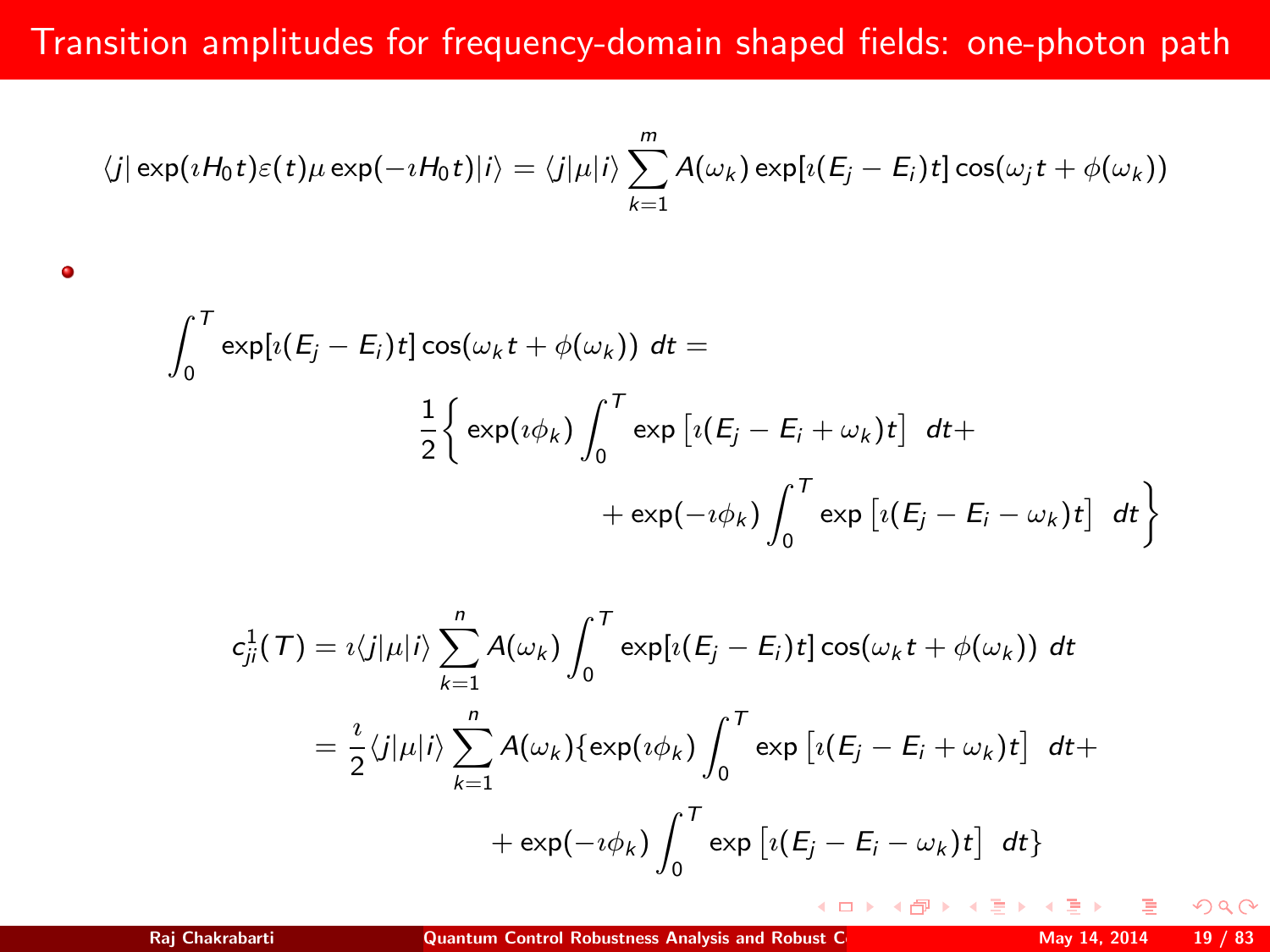# Transition amplitudes for frequency-domain shaped fields: one-photon path

$$
\langle j|\exp(iH_0t)\varepsilon(t)\mu\exp(-iH_0t)|i\rangle=\langle j|\mu|i\rangle\sum_{k=1}^m A(\omega_k)\exp[i(E_j-E_i)t]\cos(\omega_jt+\phi(\omega_k))
$$

$$
\int_0^T \exp[i(E_j - E_i)t] \cos(\omega_k t + \phi(\omega_k)) dt =
$$
  

$$
\frac{1}{2} \left\{ \exp(i\phi_k) \int_0^T \exp[i(E_j - E_i + \omega_k)t] dt + \right.
$$
  

$$
+ \exp(-i\phi_k) \int_0^T \exp[i(E_j - E_i - \omega_k)t] dt \right\}
$$

$$
c_{ji}^{1}(\mathcal{T}) = i \langle j | \mu | i \rangle \sum_{k=1}^{n} A(\omega_{k}) \int_{0}^{\mathcal{T}} \exp[i(E_{j} - E_{i}) t] \cos(\omega_{k} t + \phi(\omega_{k})) dt
$$
  

$$
= \frac{i}{2} \langle j | \mu | i \rangle \sum_{k=1}^{n} A(\omega_{k}) \{ \exp(i\phi_{k}) \int_{0}^{\mathcal{T}} \exp[i(E_{j} - E_{i} + \omega_{k}) t] dt + \exp(-i\phi_{k}) \int_{0}^{\mathcal{T}} \exp[i(E_{j} - E_{i} - \omega_{k}) t] dt \}
$$

**◆ロト ◆伊ト** 

 $\bullet$ 

 $2Q$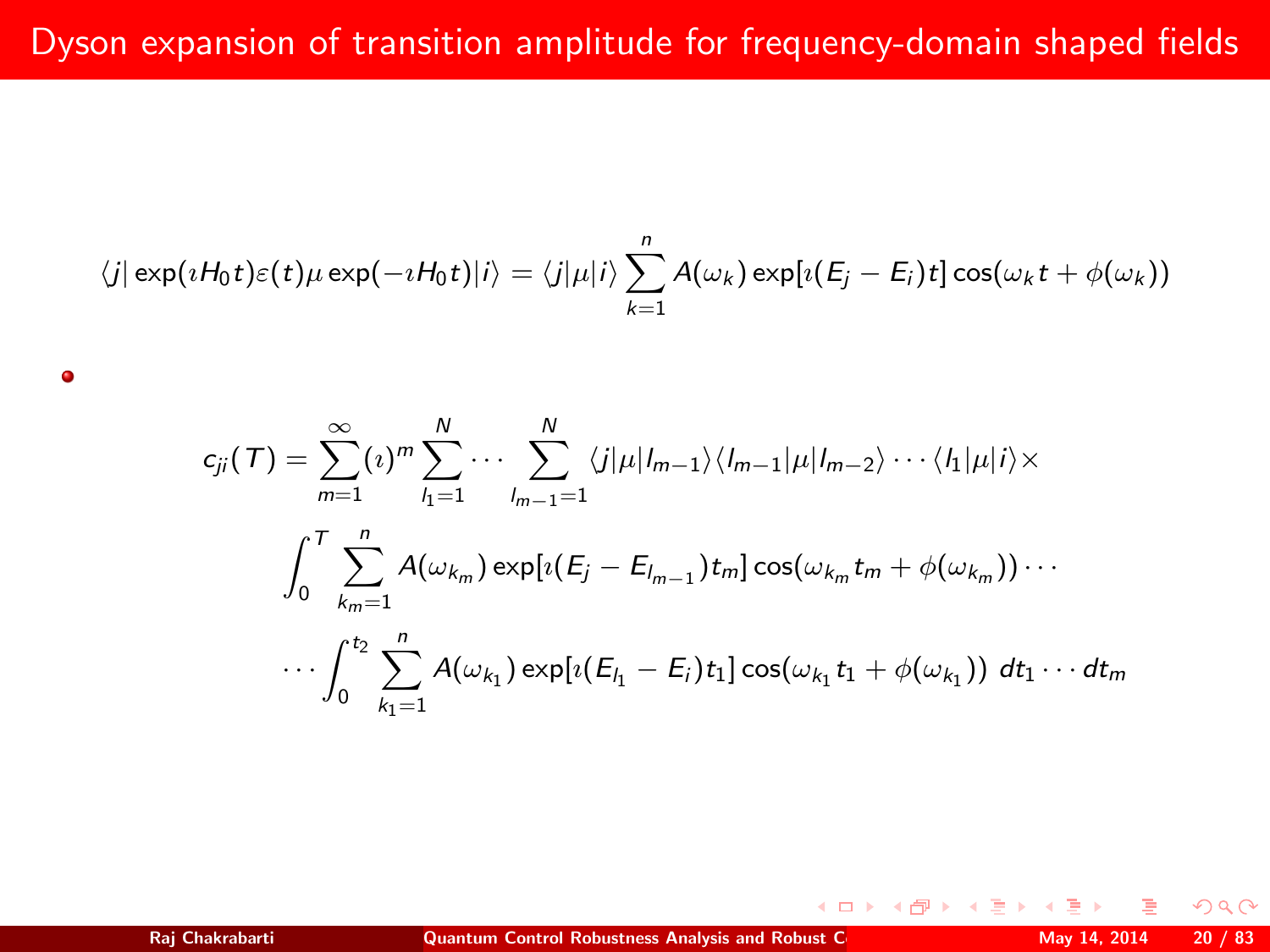$$
\langle j|\exp(\imath H_0t)\varepsilon(t)\mu\exp(-\imath H_0t)|i\rangle=\langle j|\mu|i\rangle\sum_{k=1}^n A(\omega_k)\exp[i(E_j-E_i)t]\cos(\omega_k t+\phi(\omega_k))
$$

$$
c_{ji}(T) = \sum_{m=1}^{\infty} \left\{ \frac{1}{n} \right\}_{i=1}^N \cdots \sum_{l_{m-1}=1}^N \langle j | \mu | l_{m-1} \rangle \langle l_{m-1} | \mu | l_{m-2} \rangle \cdots \langle l_1 | \mu | i \rangle \times
$$

$$
\int_0^T \sum_{k_m=1}^n A(\omega_{k_m}) \exp[i(E_j - E_{l_{m-1}}) t_m] \cos(\omega_{k_m} t_m + \phi(\omega_{k_m})) \cdots
$$

$$
\cdots \int_0^{t_2} \sum_{k_1=1}^n A(\omega_{k_1}) \exp[i(E_{l_1} - E_i) t_1] \cos(\omega_{k_1} t_1 + \phi(\omega_{k_1})) dt_1 \cdots dt_m
$$

٠

 $299$ 

**◆ロト ◆母ト**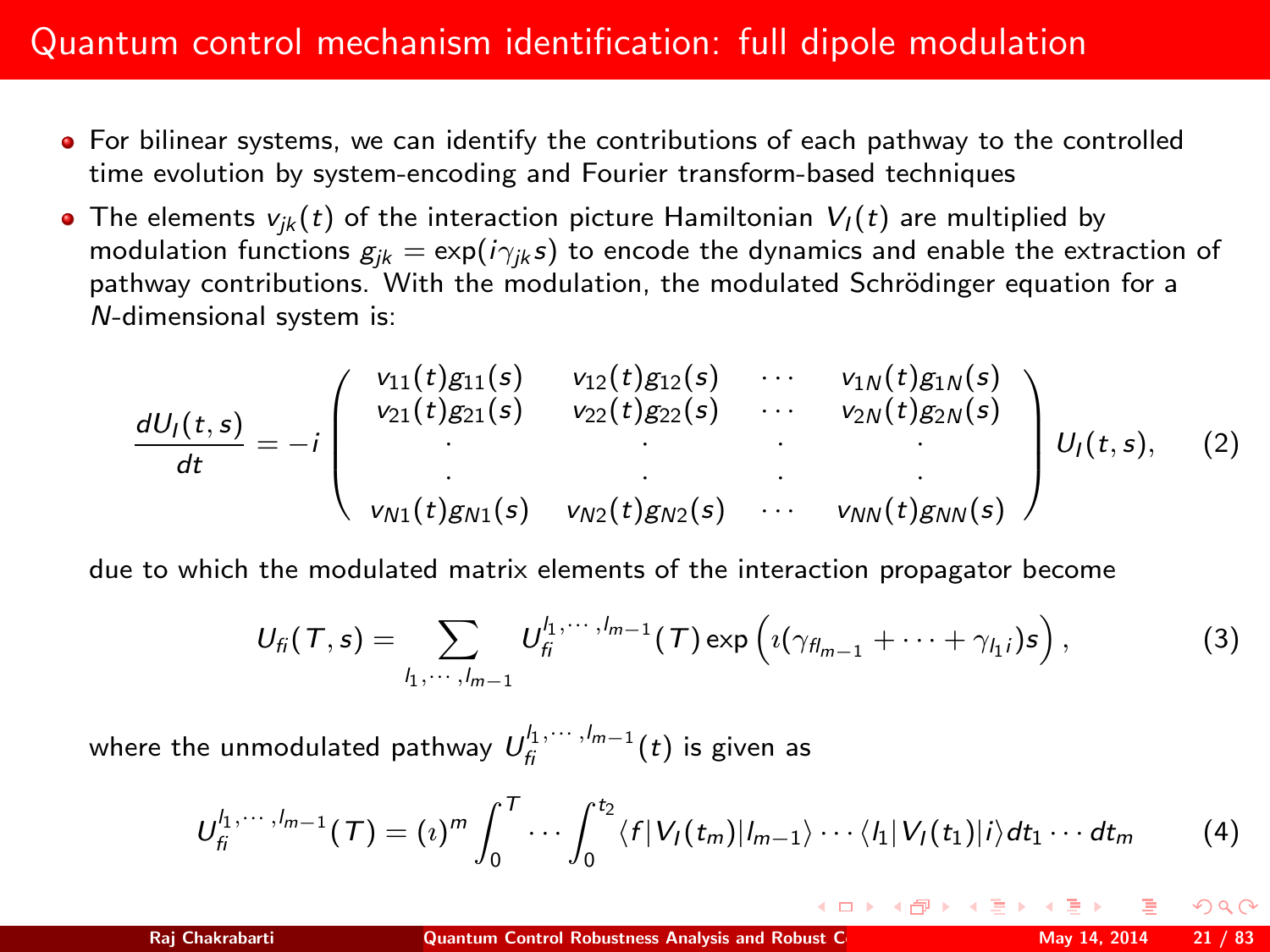## Quantum control mechanism identification: full dipole modulation

- For bilinear systems, we can identify the contributions of each pathway to the controlled time evolution by system-encoding and Fourier transform-based techniques
- The elements  $v_{ik}(t)$  of the interaction picture Hamiltonian  $V_l(t)$  are multiplied by modulation functions  $g_{ik} = \exp(i\gamma_{ik}s)$  to encode the dynamics and enable the extraction of pathway contributions. With the modulation, the modulated Schrödinger equation for a N-dimensional system is:

$$
\frac{dU_I(t,s)}{dt} = -i \begin{pmatrix} v_{11}(t)g_{11}(s) & v_{12}(t)g_{12}(s) & \cdots & v_{1N}(t)g_{1N}(s) \\ v_{21}(t)g_{21}(s) & v_{22}(t)g_{22}(s) & \cdots & v_{2N}(t)g_{2N}(s) \\ \vdots & \vdots & \ddots & \vdots \\ v_{N1}(t)g_{N1}(s) & v_{N2}(t)g_{N2}(s) & \cdots & v_{NN}(t)g_{NN}(s) \end{pmatrix} U_I(t,s), \quad (2)
$$

due to which the modulated matrix elements of the interaction propagator become

$$
U_{fi}(T,s)=\sum_{l_1,\cdots,l_{m-1}}U_{fi}^{l_1,\cdots,l_{m-1}}(T)\exp\left(\imath(\gamma_{fl_{m-1}}+\cdots+\gamma_{l_1})s\right),\qquad \qquad (3)
$$

where the unmodulated pathway  $\mathit{U}_{\mathit{fi}}^{l_1,\cdots,l_{m-1}}(t)$  is given as

$$
U_{fi}^{l_1,\cdots,l_{m-1}}(\mathcal{T})=(\imath)^m\int_0^{\mathcal{T}}\cdots\int_0^{t_2}\langle f|V_I(t_m)|l_{m-1}\rangle\cdots\langle l_1|V_I(t_1)|i\rangle dt_1\cdots dt_m
$$
 (4)

 $\Omega$ 

(ロ) (倒) (重) (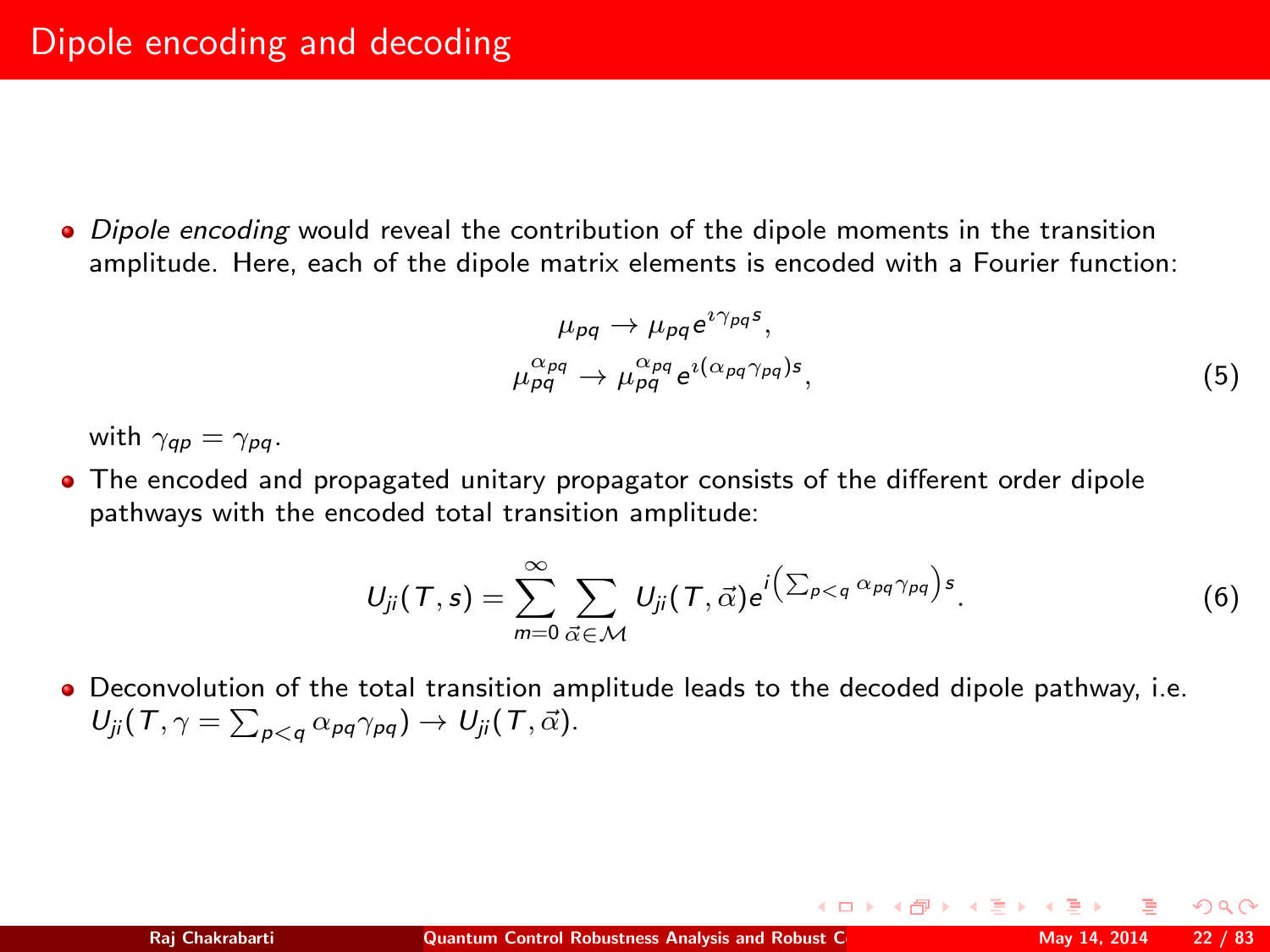• Dipole encoding would reveal the contribution of the dipole moments in the transition amplitude. Here, each of the dipole matrix elements is encoded with a Fourier function:

$$
\mu_{pq} \to \mu_{pq} e^{i\gamma_{pq}s},
$$
\n
$$
\mu_{pq}^{\alpha_{pq}} \to \mu_{pq}^{\alpha_{pq}} e^{i(\alpha_{pq}\gamma_{pq})s},
$$
\n(5)

イロト イ母 トイヨ トイヨト

with  $\gamma_{\alpha\rho} = \gamma_{\rho\alpha}$ .

The encoded and propagated unitary propagator consists of the different order dipole pathways with the encoded total transition amplitude:

$$
U_{ji}(\mathcal{T},s)=\sum_{m=0}^{\infty}\sum_{\vec{\alpha}\in\mathcal{M}}U_{ji}(\mathcal{T},\vec{\alpha})e^{i(\sum_{p (6)
$$

Deconvolution of the total transition amplitude leads to the decoded dipole pathway, i.e.  $U_{ji}(\mathcal{T}, \gamma = \sum_{p < q} \alpha_{pq} \gamma_{pq}) \rightarrow U_{ji}(\mathcal{T}, \vec{\alpha}).$ 

 $\Omega$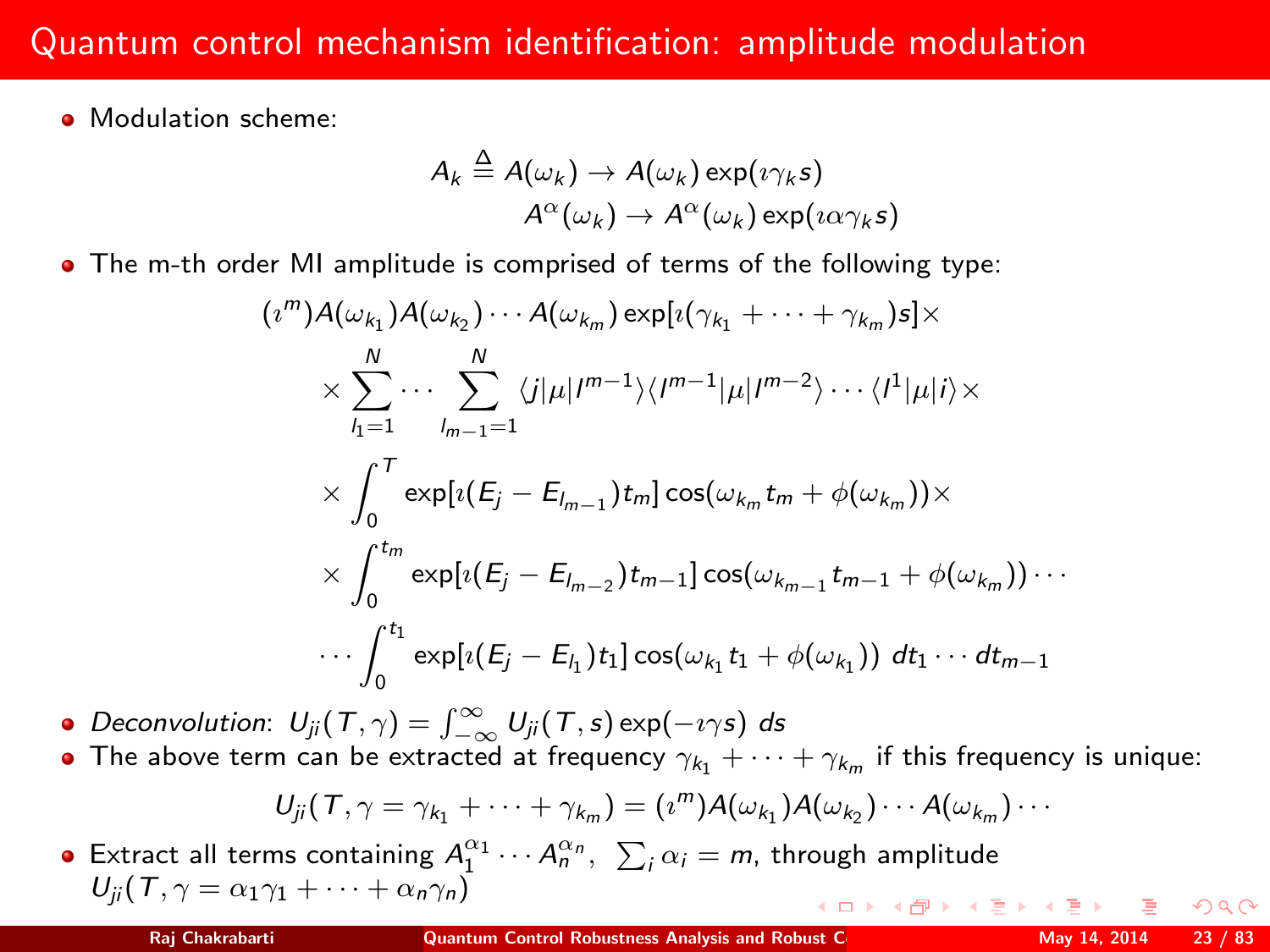## Quantum control mechanism identification: amplitude modulation

• Modulation scheme:

(ı

$$
A_k \stackrel{\Delta}{=} A(\omega_k) \to A(\omega_k) \exp(i\gamma_k s)
$$
  

$$
A^{\alpha}(\omega_k) \to A^{\alpha}(\omega_k) \exp(i\alpha \gamma_k s)
$$

The m-th order MI amplitude is comprised of terms of the following type:

$$
\begin{aligned} &\pi^m) A(\omega_{k_1}) A(\omega_{k_2}) \cdots A(\omega_{k_m}) \exp[\imath(\gamma_{k_1} + \cdots + \gamma_{k_m}) s] \times \\ &\times \sum_{l_1=1}^N \cdots \sum_{l_{m-1}=1}^N \langle j|\mu|I^{m-1}\rangle \langle I^{m-1}|\mu|I^{m-2}\rangle \cdots \langle I^1|\mu|i\rangle \times \\ &\times \int_0^T \exp[\imath(E_j - E_{l_{m-1}})t_m] \cos(\omega_{k_m} t_m + \phi(\omega_{k_m})) \times \\ &\times \int_0^{t_m} \exp[\imath(E_j - E_{l_{m-2}})t_{m-1}] \cos(\omega_{k_{m-1}} t_{m-1} + \phi(\omega_{k_m})) \cdots \\ &\cdots \int_0^{t_1} \exp[\imath(E_j - E_{l_1})t_1] \cos(\omega_{k_1} t_1 + \phi(\omega_{k_1})) \ dt_1 \cdots dt_{m-1} \end{aligned}
$$

Deconvolution:  $U_{ji}(\mathcal{T}, \gamma) = \int_{-\infty}^{\infty} U_{ji}(\mathcal{T}, s) \exp(-i \gamma s) ds$ 

The above term can be extracted at frequency  $\gamma_{k_1}+\cdots+\gamma_{k_m}$  if this frequency is unique:

$$
U_{ji}(T,\gamma=\gamma_{k_1}+\cdots+\gamma_{k_m})=(\imath^m)A(\omega_{k_1})A(\omega_{k_2})\cdots A(\omega_{k_m})\cdots
$$

Extract all terms containing  $A_1^{\alpha_1}\cdots A_n^{\alpha_n}$ ,  $\sum_i \alpha_i = m$ , through amplitude  $U_{ii}$  (T,  $\gamma = \alpha_1 \gamma_1 + \cdots + \alpha_n \gamma_n$ ) (ロ) (個) (目) (目)

 $2990$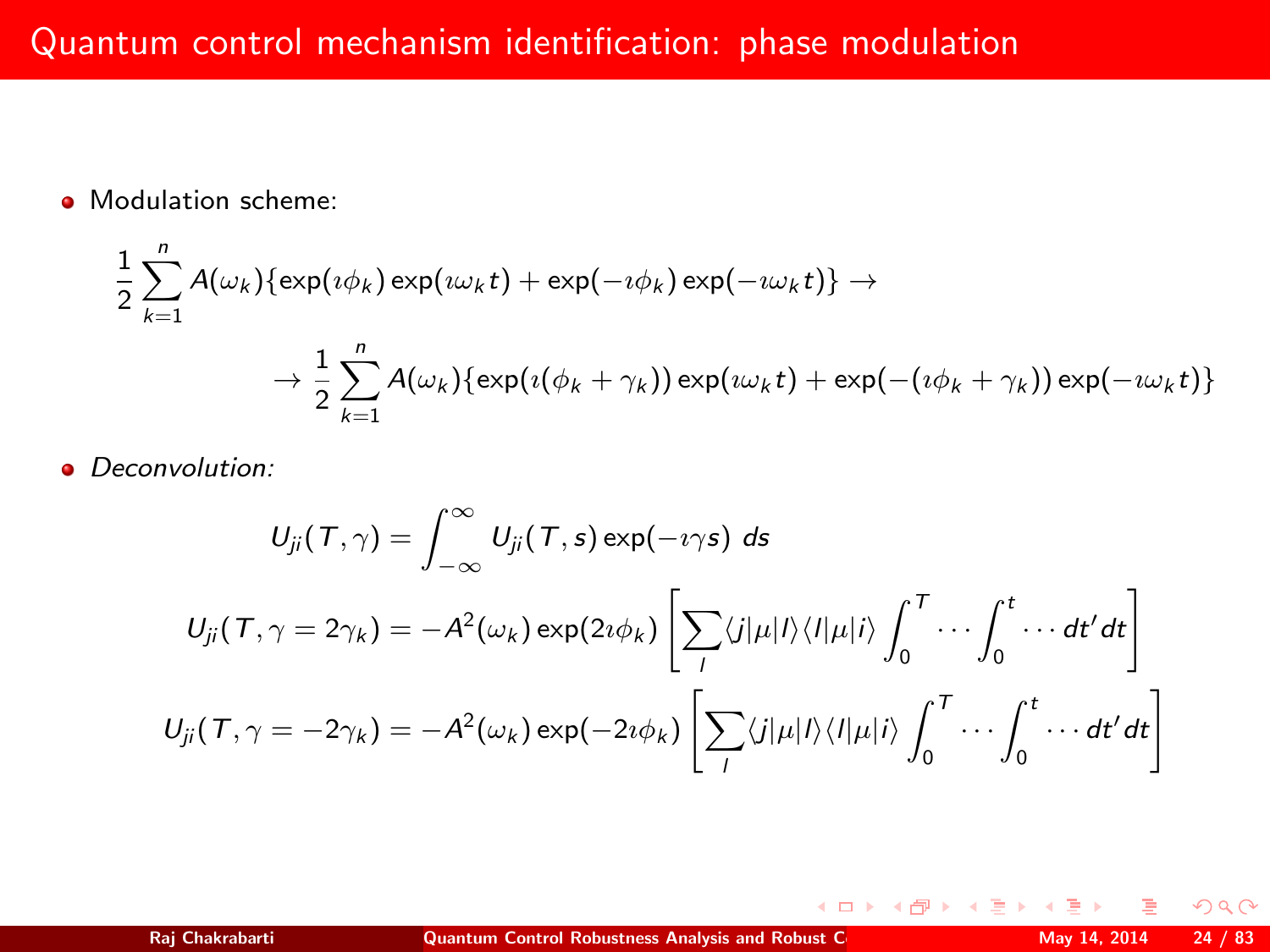• Modulation scheme:

$$
\frac{1}{2}\sum_{k=1}^{n} A(\omega_k) \{ \exp(i\phi_k) \exp(i\omega_k t) + \exp(-i\phi_k) \exp(-i\omega_k t) \} \rightarrow
$$

$$
\rightarrow \frac{1}{2}\sum_{k=1}^{n} A(\omega_k) \{ \exp(i(\phi_k + \gamma_k)) \exp(i\omega_k t) + \exp(-(i\phi_k + \gamma_k)) \exp(-i\omega_k t) \}
$$

• Deconvolution:

$$
U_{ji}(T,\gamma) = \int_{-\infty}^{\infty} U_{ji}(T,s) \exp(-\imath \gamma s) \, ds
$$

$$
U_{ji}(T,\gamma = 2\gamma_k) = -A^2(\omega_k) \exp(2\imath \phi_k) \left[ \sum_{l} \langle j|\mu|l\rangle\langle l|\mu|l\rangle \int_{0}^{T} \cdots \int_{0}^{t} \cdots dt' dt \right]
$$

$$
U_{ji}(T,\gamma = -2\gamma_k) = -A^2(\omega_k) \exp(-2\imath \phi_k) \left[ \sum_{l} \langle j|\mu|l\rangle\langle l|\mu|l\rangle \int_{0}^{T} \cdots \int_{0}^{t} \cdots dt' dt \right]
$$

 $\left\{ \begin{array}{ccc} 1 & 0 & 0 \\ 0 & 1 & 0 \end{array} \right.$ 

<span id="page-23-0"></span> $2Q$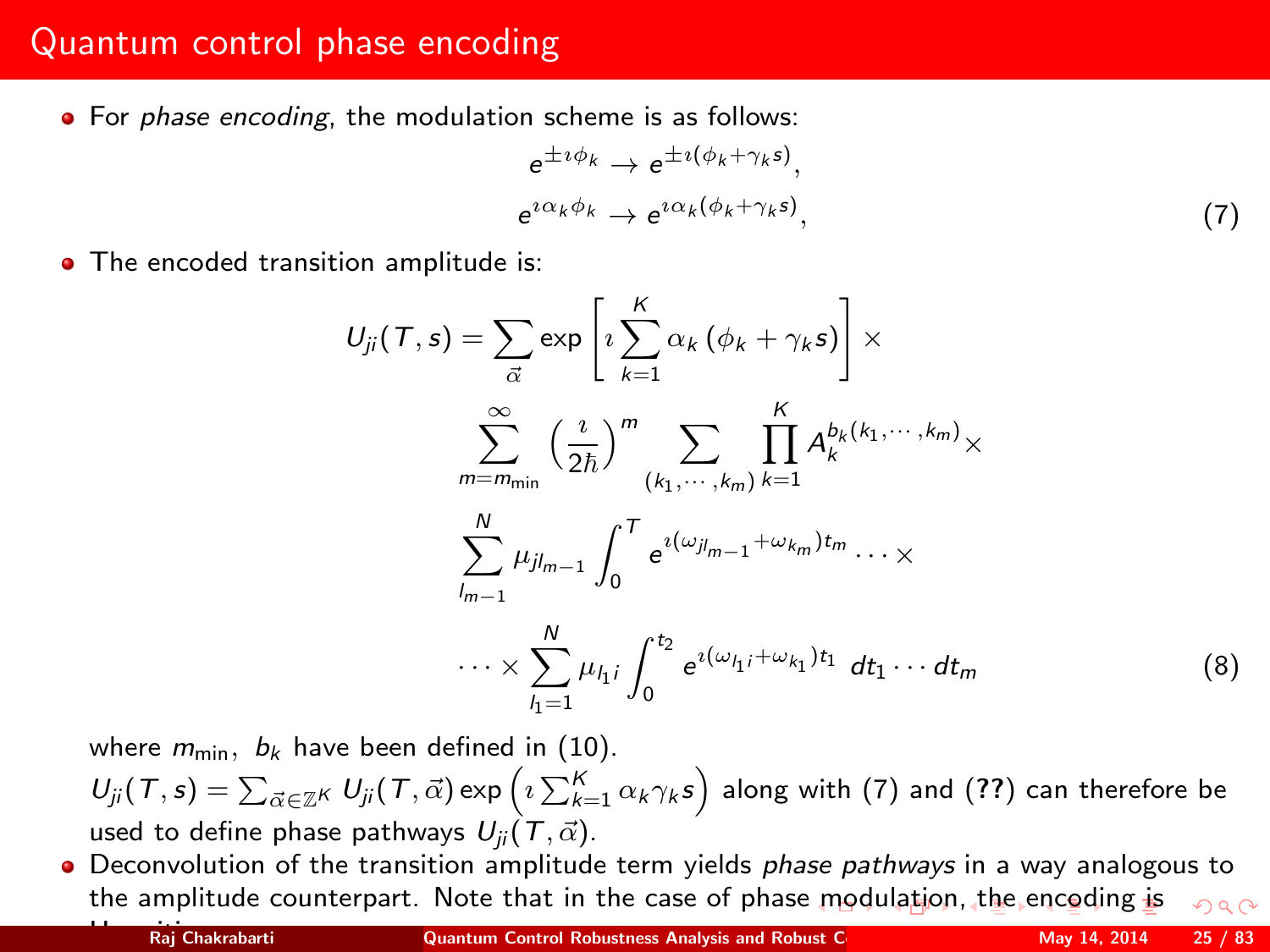## Quantum control phase encoding

• For phase encoding, the modulation scheme is as follows:

<span id="page-24-1"></span><span id="page-24-0"></span>
$$
e^{\pm i\phi_k} \to e^{\pm i(\phi_k + \gamma_k s)},
$$
  
\n
$$
e^{i\alpha_k \phi_k} \to e^{i\alpha_k(\phi_k + \gamma_k s)},
$$
\n(7)

• The encoded transition amplitude is:

$$
U_{ji}(T,s) = \sum_{\vec{\alpha}} \exp\left[i\sum_{k=1}^{K} \alpha_k (\phi_k + \gamma_k s)\right] \times
$$
  

$$
\sum_{m=m_{min}}^{\infty} \left(\frac{i}{2\hbar}\right)^m \sum_{\substack{(k_1,\dots,k_m) \ k=1}}^K \prod_{k=1}^K A_k^{b_k(k_1,\dots,k_m)} \times
$$
  

$$
\sum_{l_{m-1}}^N \mu_{jl_{m-1}} \int_0^T e^{i(\omega_{jl_{m-1}} + \omega_{k_m})t_m} \dots \times
$$
  

$$
\dots \times \sum_{l_1=1}^N \mu_{l_1} \int_0^{t_2} e^{i(\omega_{l_1} + \omega_{k_1})t_1} dt_1 \dots dt_m
$$
 (8)

where  $m_{\text{min}}$ ,  $b_k$  have been defined in (10).

 $U_{ji}(\mathcal T,\mathsf s)=\sum_{\vec \alpha\in\mathbb Z^K}~U_{ji}(\mathcal T,\vec \alpha)$ exp $\left(\imath\sum_{k=1}^K\alpha_k\gamma_k\mathsf s\right)$  along with  $(7)$  and  $(??)$  $(??)$  $(??)$  can therefore be used to define phase pathways  $U_{ii}(T, \vec{\alpha})$ .

• Deconvolution of the transition amplitude term yields *phase pathways* in a way analogous to the amplitude counterpart. Note that in the case of phas[e m](#page-23-0)o[du](#page-25-0)[la](#page-23-0)[tio](#page-24-0)[n](#page-25-0)[,](#page-12-0) [th](#page-13-0)[e](#page-24-0) [e](#page-25-0)[n](#page-12-0)[co](#page-13-0)[d](#page-24-0)[i](#page-25-0)[ng](#page-0-0) [is](#page-82-0)  $\Omega$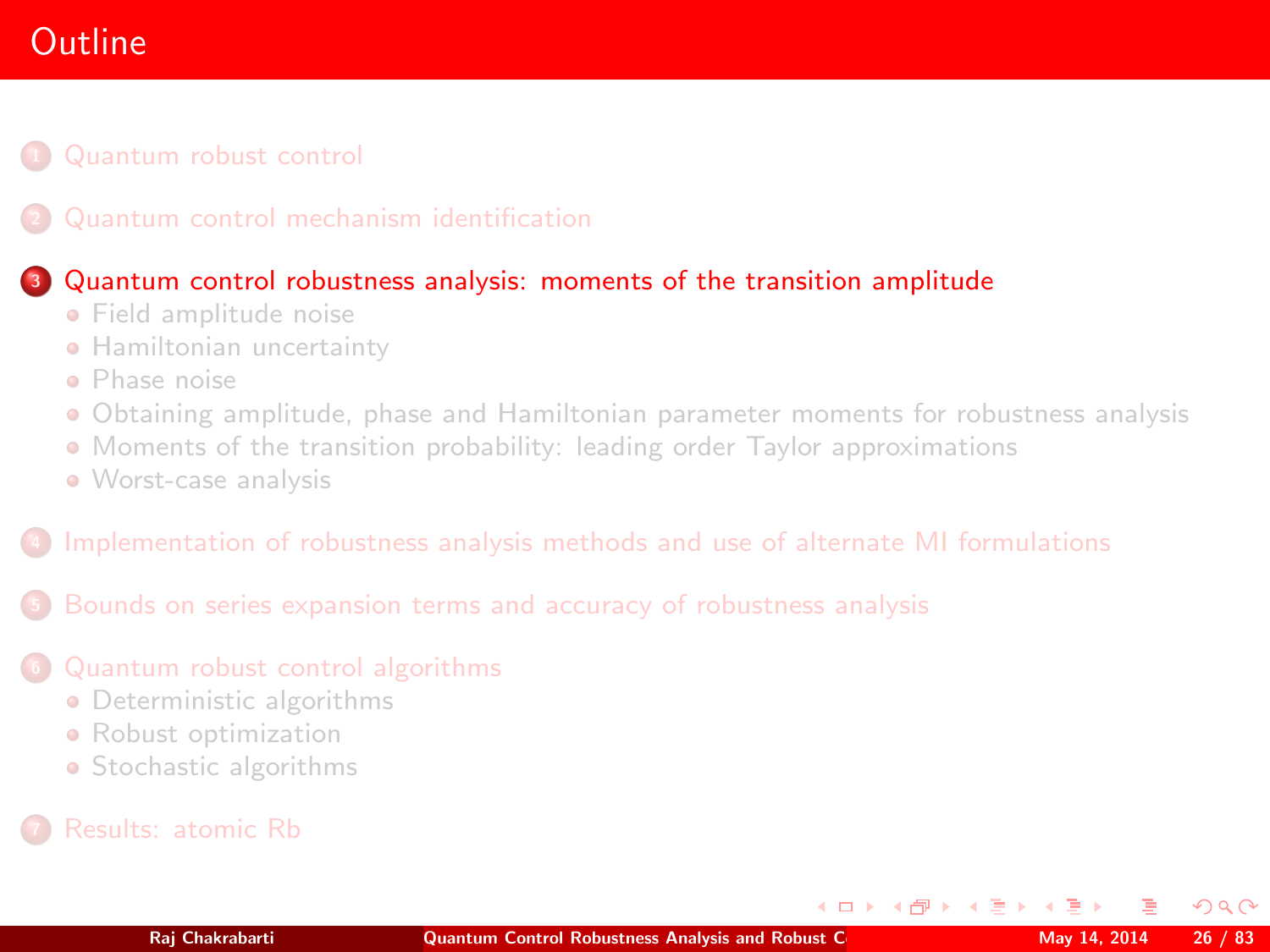# **Outline**

#### [Quantum robust control](#page-2-0)

#### <sup>3</sup> [Quantum control robustness analysis: moments of the transition amplitude](#page-25-0)

- **•** [Field amplitude noise](#page-27-0)
- **[Hamiltonian uncertainty](#page-39-0)**
- [Phase noise](#page-43-0)
- [Obtaining amplitude, phase and Hamiltonian parameter moments for robustness analysis](#page-46-0)
- [Moments of the transition probability: leading order Taylor approximations](#page-48-0)
- [Worst-case analysis](#page-56-0)

#### <sup>4</sup> [Implementation of robustness analysis methods and use of alternate MI formulations](#page-58-0)

<sup>5</sup> [Bounds on series expansion terms and accuracy of robustness analysis](#page-61-0)

#### <sup>6</sup> [Quantum robust control algorithms](#page-68-0)

- **•** [Deterministic algorithms](#page-71-0)
- **•** [Robust optimization](#page-78-0)
- [Stochastic algorithms](#page-79-0)
- 

<span id="page-25-0"></span> $\Omega$ 

**K ロ ト K 何 ト K ヨ ト K**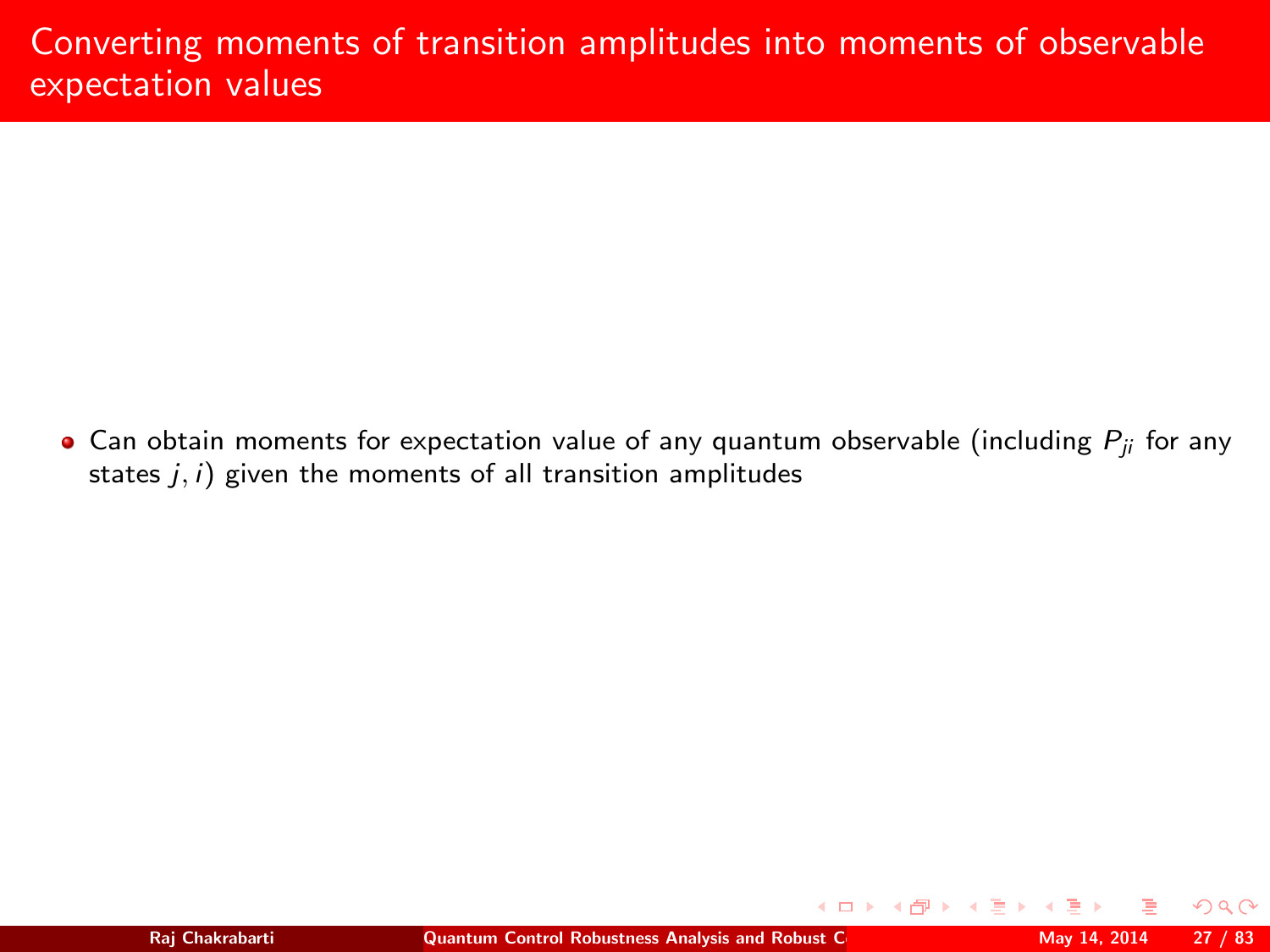$\bullet$  Can obtain moments for expectation value of any quantum observable (including  $P_{ii}$  for any states  $j, i$ ) given the moments of all transition amplitudes

 $QQ$ 

**∢ ロ ▶ - ∢ 何 ▶ - ∢**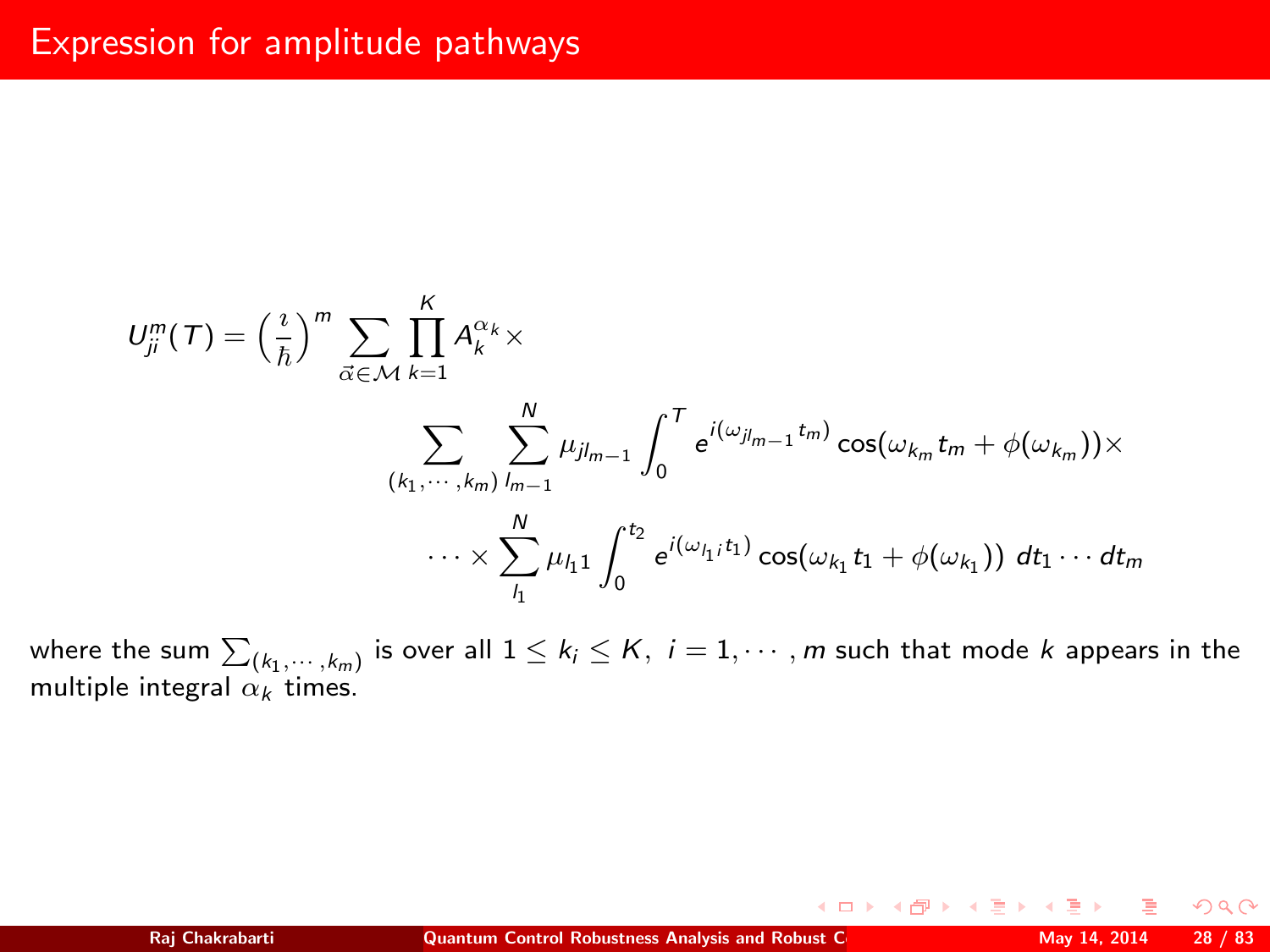## Expression for amplitude pathways

$$
U_{ji}^{m}(T) = \left(\frac{i}{\hbar}\right)^{m} \sum_{\vec{\alpha} \in \mathcal{M}} \prod_{k=1}^{K} A_{k}^{\alpha_{k}} \times
$$

$$
\sum_{(k_{1}, \cdots, k_{m})} \sum_{j_{m-1}}^{N} \mu_{j j_{m-1}} \int_{0}^{T} e^{i(\omega j_{m-1} t_{m})} \cos(\omega_{k_{m}} t_{m} + \phi(\omega_{k_{m}})) \times
$$

$$
\cdots \times \sum_{j_{1}}^{N} \mu_{j_{1}} \int_{0}^{t_{2}} e^{i(\omega_{j_{1}} t_{1})} \cos(\omega_{k_{1}} t_{1} + \phi(\omega_{k_{1}})) dt_{1} \cdots dt_{m}
$$

where the sum  $\sum_{(k_1,\cdots,k_m)}$  is over all  $1\leq k_i\leq K,~i=1,\cdots,m$  such that mode  $k$  appears in the multiple integral  $\alpha_k$  times.

<span id="page-27-0"></span> $2Q$ 

**K ロ ⊁ K 伊 ⊁ K ミ ▶**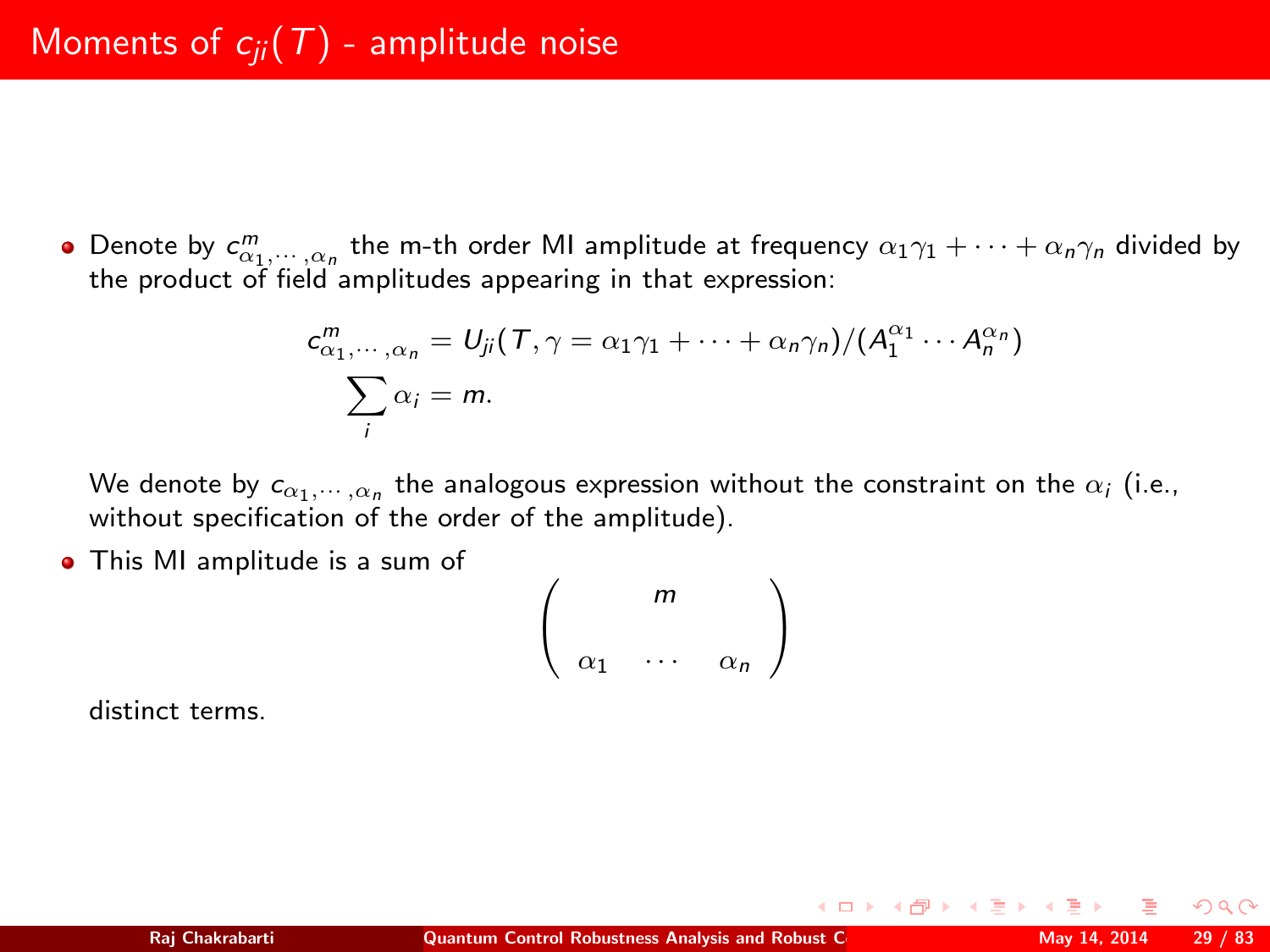Denote by  $c^m_{\alpha_1,\cdots,\alpha_n}$  the m-th order MI amplitude at frequency  $\alpha_1\gamma_1+\cdots+\alpha_n\gamma_n$  divided by the product of field amplitudes appearing in that expression:

$$
c_{\alpha_1,\dots,\alpha_n}^m = U_{ji}(T,\gamma = \alpha_1\gamma_1 + \dots + \alpha_n\gamma_n)/(A_1^{\alpha_1}\cdots A_n^{\alpha_n})
$$
  

$$
\sum_i \alpha_i = m.
$$

We denote by  $c_{\alpha_1,\cdots,\alpha_n}$  the analogous expression without the constraint on the  $\alpha_i$  (i.e., without specification of the order of the amplitude).

This MI amplitude is a sum of

$$
\left(\begin{array}{ccc} & m & \\ & & \\ \alpha_1 & \cdots & \alpha_n \end{array}\right)
$$

distinct terms.

nar

 $4$  D  $\rightarrow$   $4$   $\overline{B}$   $\rightarrow$   $4$   $\overline{B}$   $\rightarrow$   $4$   $\overline{B}$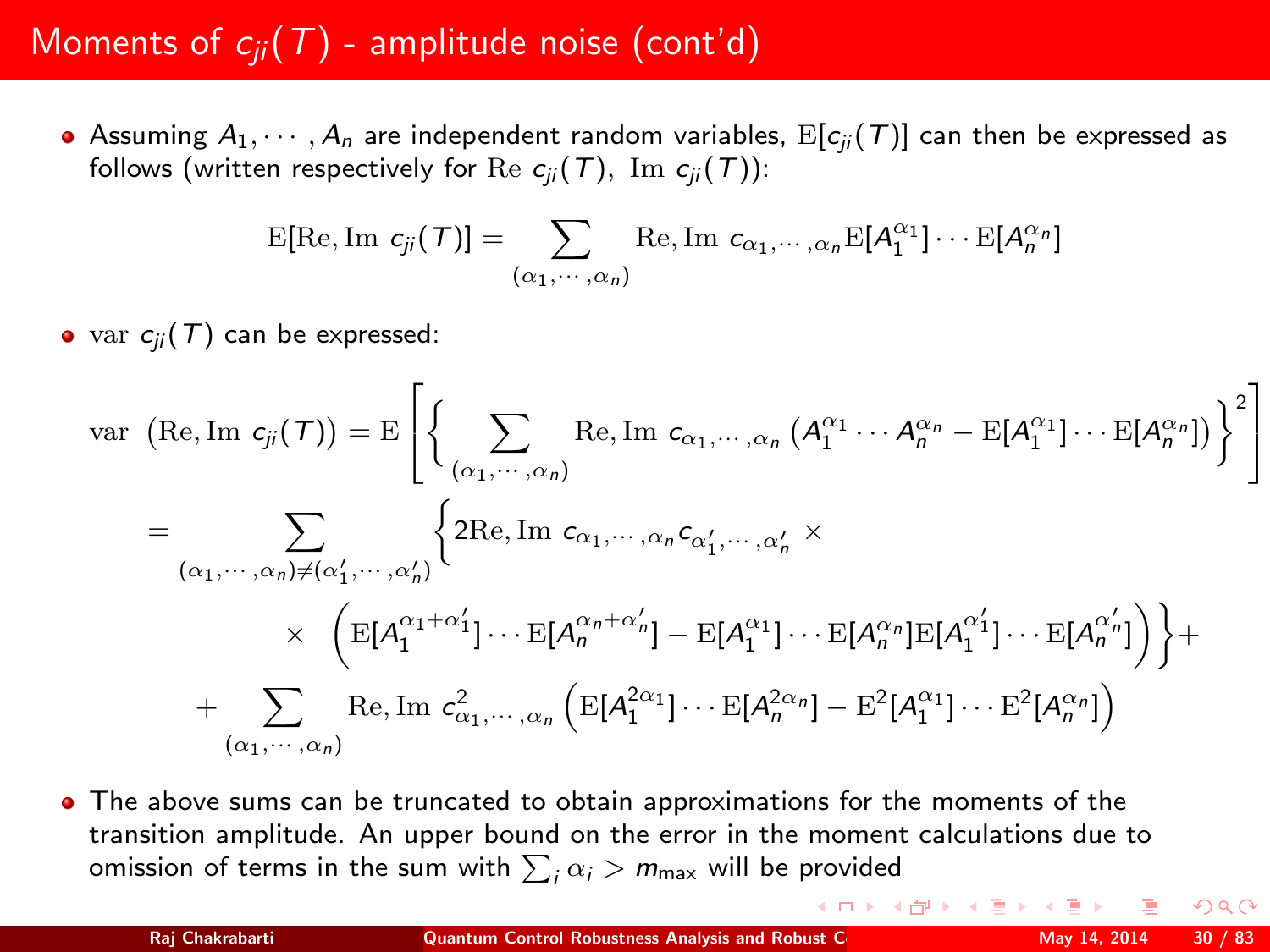# Moments of  $c_{ii}(T)$  - amplitude noise (cont'd)

Assuming  $A_1, \dots, A_n$  are independent random variables,  $E[c_{ii}(T)]$  can then be expressed as follows (written respectively for Re  $c_{ii}$  (T), Im  $c_{ii}$  (T)):

$$
E[Re, Im \ c_{ji}(\mathcal{T})] = \sum_{(\alpha_1, \cdots, \alpha_n)} Re, Im \ c_{\alpha_1, \cdots, \alpha_n} E[A_1^{\alpha_1}] \cdots E[A_n^{\alpha_n}]
$$

• var  $c_{ii}$  (T) can be expressed:

$$
\text{var}\left(\text{Re},\text{Im } c_{ji}(\mathcal{T})\right) = \text{E}\left[\left\{\sum_{(\alpha_1,\cdots,\alpha_n)} \text{Re},\text{Im } c_{\alpha_1,\cdots,\alpha_n}\left(A_1^{\alpha_1}\cdots A_n^{\alpha_n} - \text{E}[A_1^{\alpha_1}]\cdots \text{E}[A_n^{\alpha_n}]\right)\right\}^2\right]
$$
\n
$$
= \sum_{(\alpha_1,\cdots,\alpha_n)\neq(\alpha'_1,\cdots,\alpha'_n)} \left\{\text{2Re},\text{Im } c_{\alpha_1,\cdots,\alpha_n}c_{\alpha'_1,\cdots,\alpha'_n} \times \right.
$$
\n
$$
\times \left(\text{E}[A_1^{\alpha_1+\alpha'_1}]\cdots \text{E}[A_n^{\alpha_n+\alpha'_n}]-\text{E}[A_1^{\alpha_1}]\cdots \text{E}[A_n^{\alpha_n}]\text{E}[A_1^{\alpha'_1}]\cdots \text{E}[A_n^{\alpha'_n}]\right)\right\} + \left.\sum_{(\alpha_1,\cdots,\alpha_n)} \text{Re},\text{Im } c_{\alpha_1,\cdots,\alpha_n}^2\left(\text{E}[A_1^{2\alpha_1}]\cdots \text{E}[A_n^{2\alpha_n}]-\text{E}^2[A_1^{\alpha_1}]\cdots \text{E}^2[A_n^{\alpha_n}]\right)
$$

The above sums can be truncated to obtain approximations for the moments of the transition amplitude. An upper bound on the error in the moment calculations due to omission of terms in the sum with  $\sum_i \alpha_i > m_{\sf max}$  will be provided

 $\Omega$ 

(ロ) (*同*) (ヨ) (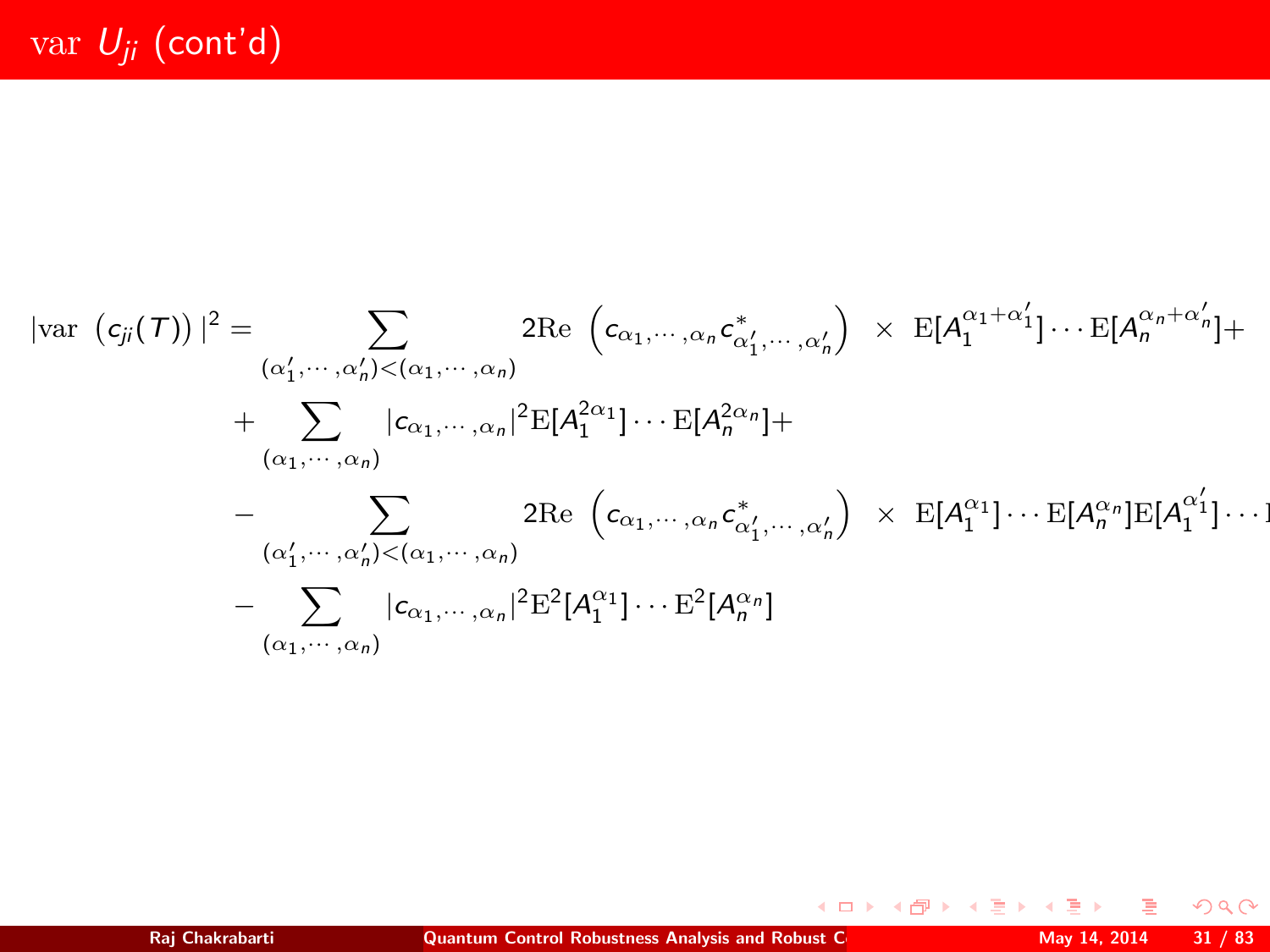$$
|\text{var}(c_{ji}(\tau))|^2 = \sum_{(\alpha'_1, \cdots, \alpha'_n) < (\alpha_1, \cdots, \alpha_n)} 2\text{Re}(c_{\alpha_1, \cdots, \alpha_n} c_{\alpha'_1, \cdots, \alpha'_n}') \times \text{E}[A_1^{\alpha_1 + \alpha'_1}] \cdots \text{E}[A_n^{\alpha_n + \alpha'_n}] +
$$
\n
$$
+ \sum_{(\alpha_1, \cdots, \alpha_n)} |c_{\alpha_1, \cdots, \alpha_n}|^2 \text{E}[A_1^{2\alpha_1}] \cdots \text{E}[A_n^{2\alpha_n}] +
$$
\n
$$
- \sum_{(\alpha'_1, \cdots, \alpha'_n) < (\alpha_1, \cdots, \alpha_n)} 2\text{Re}(c_{\alpha_1, \cdots, \alpha_n} c_{\alpha'_1, \cdots, \alpha'_n}') \times \text{E}[A_1^{\alpha_1}] \cdots \text{E}[A_n^{\alpha_n}] \text{E}[A_1^{\alpha'_1}] \cdots]
$$
\n
$$
- \sum_{(\alpha_1, \cdots, \alpha_n)} |c_{\alpha_1, \cdots, \alpha_n}|^2 \text{E}^2[A_1^{\alpha_1}] \cdots \text{E}^2[A_n^{\alpha_n}]
$$

 $2Q$ 

 $\mathcal{A} \ \Box \ \rightarrow \ \mathcal{A} \ \Box \overline{\partial} \rightarrow \ \mathcal{A} \ \Xi \rightarrow \ \mathcal{A} \ \Xi \rightarrow \nonumber$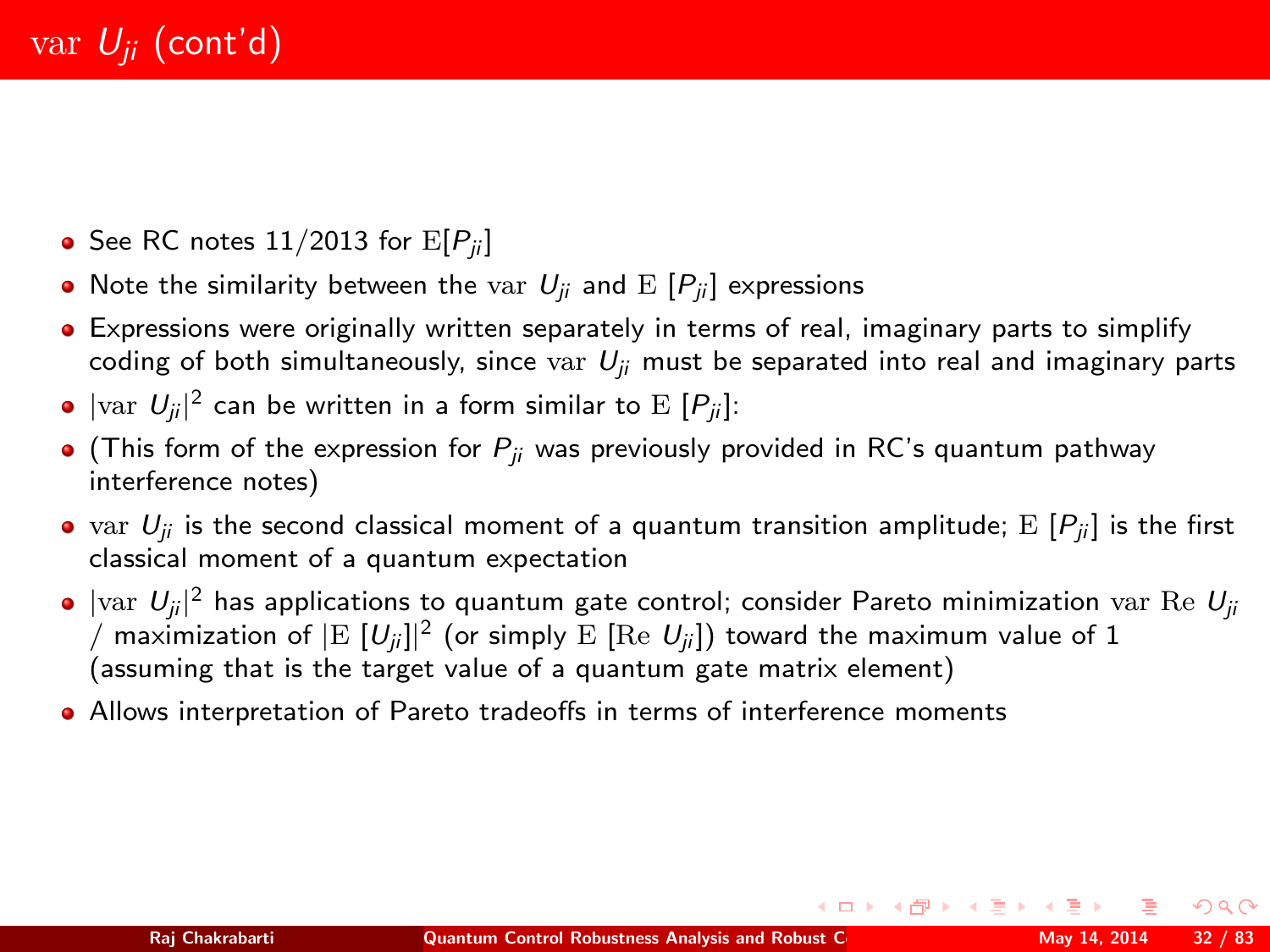- See RC notes  $11/2013$  for  $E[P_{ii}]$
- Note the similarity between the var  $U_{ii}$  and  $E[P_{ii}]$  expressions
- Expressions were originally written separately in terms of real, imaginary parts to simplify coding of both simultaneously, since var  $U_{ii}$  must be separated into real and imaginary parts
- $|\mathrm{var}\,\ U_{ji}|^2$  can be written in a form similar to  $\mathrm{E}\,\left[P_{ji}\right]$ :
- (This form of the expression for  $P_{ij}$  was previously provided in RC's quantum pathway interference notes)
- var  $U_{ii}$  is the second classical moment of a quantum transition amplitude; E  $[P_{ii}]$  is the first classical moment of a quantum expectation
- |var  $|U_{ji}|^2$  has applications to quantum gate control; consider Pareto minimization var Re  $U_{ji}$ / maximization of  $|{\rm E}~[U_{ji}]|^2$  (or simply  ${\rm E}~[{\rm Re}~U_{ji}] )$  toward the maximum value of  $1$ (assuming that is the target value of a quantum gate matrix element)
- Allows interpretation of Pareto tradeoffs in terms of interference moments

 $200$ 

イロト イ部 トイ き トイ き トー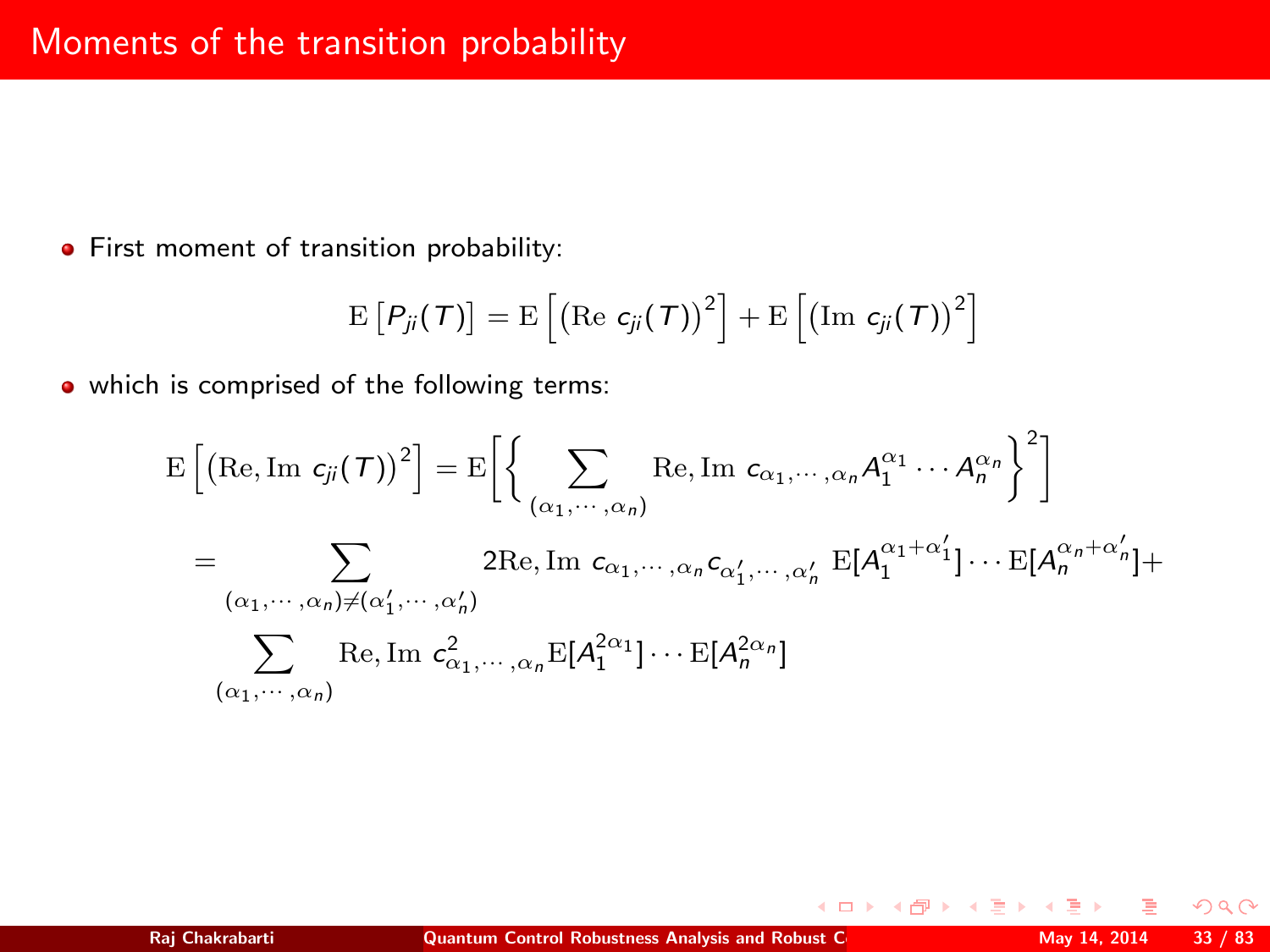**•** First moment of transition probability:

$$
\mathrm{E}\left[P_{ji}(\mathcal{T})\right]=\mathrm{E}\left[\left(\mathrm{Re} \hspace{0.1cm} c_{ji}(\mathcal{T})\right)^2\right]+\mathrm{E}\left[\left(\mathrm{Im} \hspace{0.1cm} c_{ji}(\mathcal{T})\right)^2\right]
$$

• which is comprised of the following terms:

$$
E\left[\left(\text{Re}, \text{Im } c_{ji}(\mathcal{T})\right)^{2}\right] = E\left[\left\{\sum_{(\alpha_{1}, \dots, \alpha_{n})} \text{Re}, \text{Im } c_{\alpha_{1}, \dots, \alpha_{n}} A_{1}^{\alpha_{1}} \dots A_{n}^{\alpha_{n}}\right\}^{2}\right]
$$
  
\n
$$
= \sum_{(\alpha_{1}, \dots, \alpha_{n}) \neq (\alpha'_{1}, \dots, \alpha'_{n})} 2 \text{Re}, \text{Im } c_{\alpha_{1}, \dots, \alpha_{n}} c_{\alpha'_{1}, \dots, \alpha'_{n}} E[A_{1}^{\alpha_{1} + \alpha'_{1}}] \dots E[A_{n}^{\alpha_{n} + \alpha'_{n}}] +
$$
  
\n
$$
\sum_{(\alpha_{1}, \dots, \alpha_{n})} \text{Re}, \text{Im } c_{\alpha_{1}, \dots, \alpha_{n}}^{2} E[A_{1}^{2\alpha_{1}}] \dots E[A_{n}^{2\alpha_{n}}]
$$

 $2Q$ 

**K ロ ⊁ K 倒 ≯ K 差 ≯ K**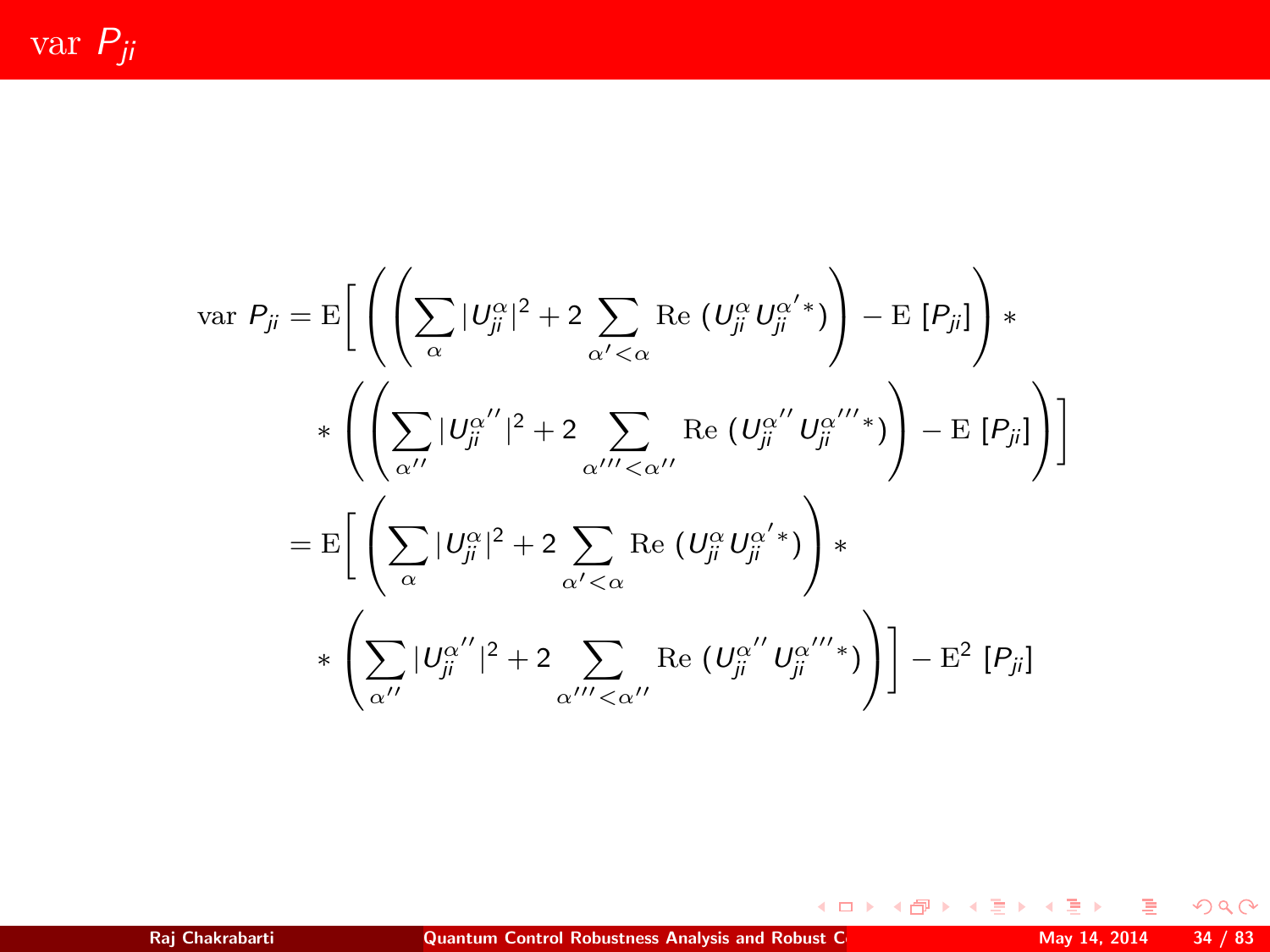var  $P_{ji}$ 

$$
\begin{split} \text{var } P_{ji} &= \mathrm{E}\bigg[\left(\left(\sum_{\alpha} |U_{ji}^{\alpha}|^2 + 2\sum_{\alpha' < \alpha} \mathrm{Re}\left(U_{ji}^{\alpha} U_{ji}^{\alpha' *}\right)\right) - \mathrm{E}\left[P_{ji}\right]\right)*\\ &\quad * \left(\left(\sum_{\alpha'} |U_{ji}^{\alpha''}|^2 + 2\sum_{\alpha''' < \alpha''} \mathrm{Re}\left(U_{ji}^{\alpha''} U_{ji}^{\alpha'''}\right)\right) - \mathrm{E}\left[P_{ji}\right]\right)\bigg] \\ &= \mathrm{E}\bigg[\left(\sum_{\alpha} |U_{ji}^{\alpha}|^2 + 2\sum_{\alpha' < \alpha} \mathrm{Re}\left(U_{ji}^{\alpha} U_{ji}^{\alpha' *}\right)\right)*\\ &\quad * \left(\sum_{\alpha''} |U_{ji}^{\alpha''}|^2 + 2\sum_{\alpha'' < \alpha''} \mathrm{Re}\left(U_{ji}^{\alpha''} U_{ji}^{\alpha''*}\right)\right)\bigg] - \mathrm{E}^2\left[P_{ji}\right] \end{split}
$$

 $\mathcal{P}(\mathcal{A}) \subset \mathcal{P}(\mathcal{A})$ 

メロトメ 倒 トメ 君 トメ 君 トッ 君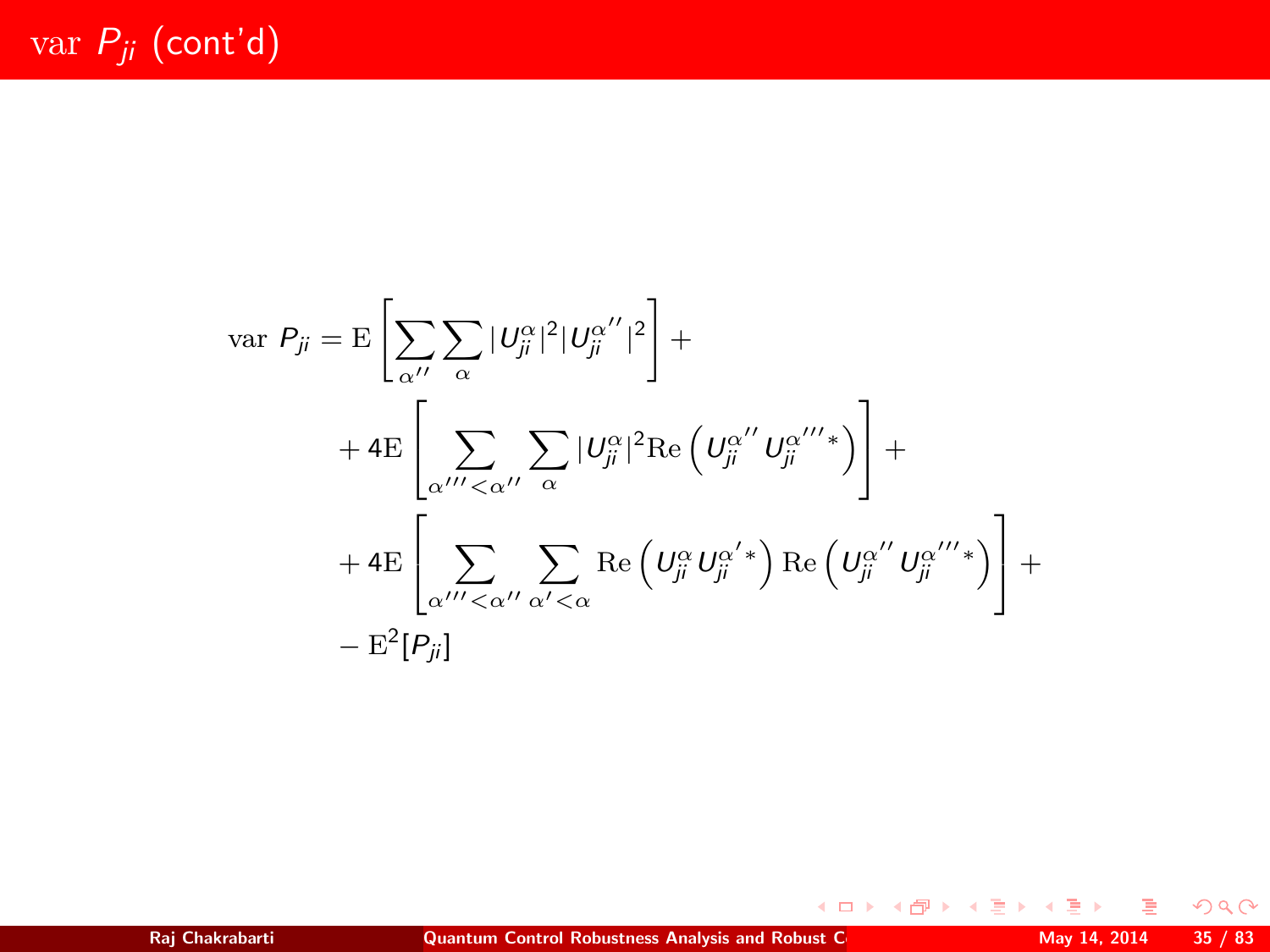$$
\begin{split} \text{var } P_{ji} &= \mathrm{E}\left[\sum_{\alpha''}\sum_{\alpha}|\mathit{U}_{ji}^{\alpha}|^{2}|\mathit{U}_{ji}^{\alpha''}|^{2}\right] + \\ &+ 4\mathrm{E}\left[\sum_{\alpha'''\leq \alpha''}\sum_{\alpha}|\mathit{U}_{ji}^{\alpha}|^{2}\mathrm{Re}\left(\mathit{U}_{ji}^{\alpha''}\mathit{U}_{ji}^{\alpha'''}\right)\right] + \\ &+ 4\mathrm{E}\left[\sum_{\alpha'''\leq \alpha''}\sum_{\alpha'<\alpha}\mathrm{Re}\left(\mathit{U}_{ji}^{\alpha}\mathit{U}_{ji}^{\alpha''}\right)\mathrm{Re}\left(\mathit{U}_{ji}^{\alpha''}\mathit{U}_{ji}^{\alpha'''}\right)\right] + \\ &- \mathrm{E}^{2}[P_{ji}] \end{split}
$$

 $2Q$ 

メロトメ 伊 トメ 差 トメ 差 ト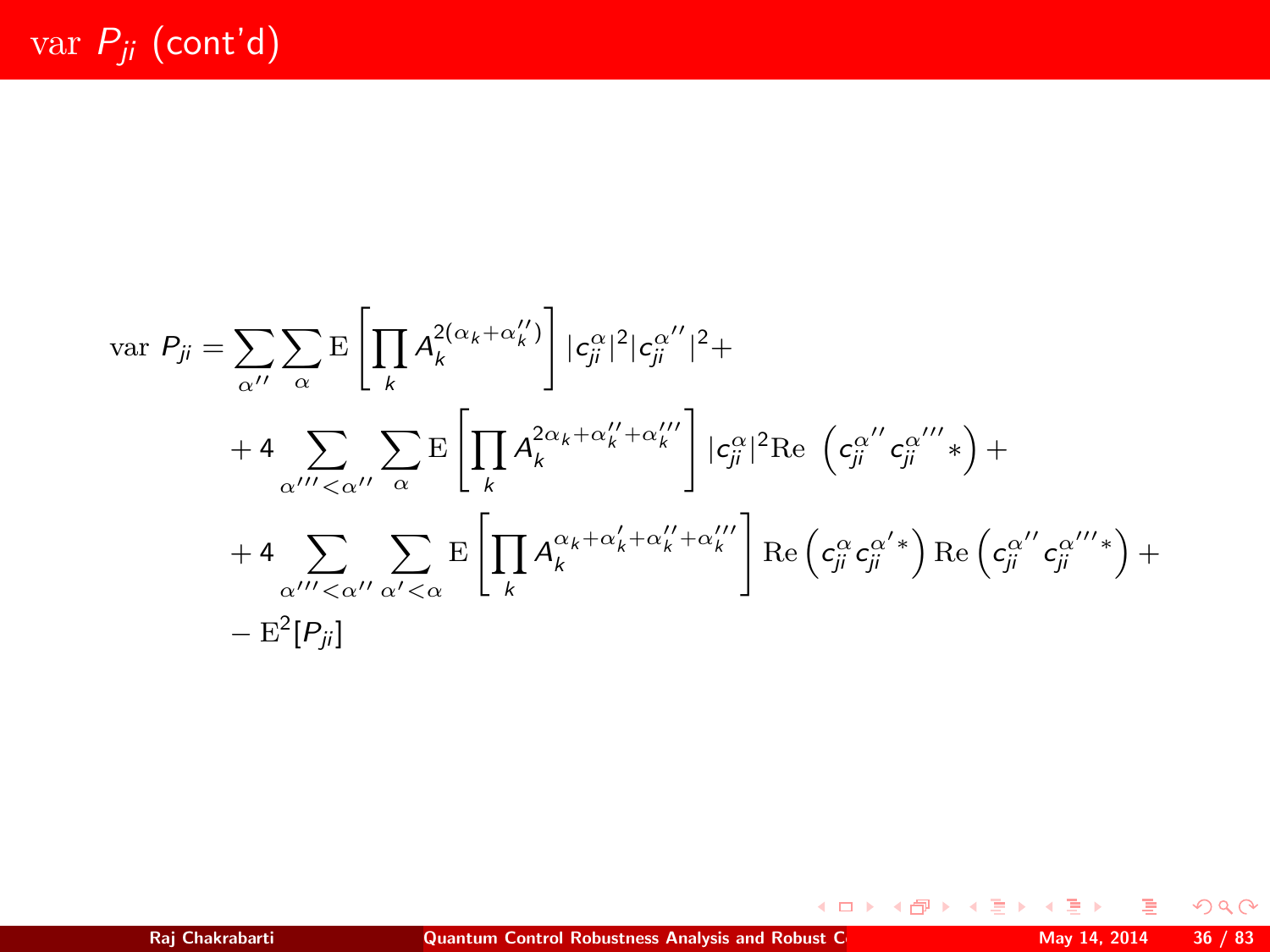$$
\begin{split} \text{var } P_{ji} &= \sum_{\alpha^{\prime\prime}} \sum_{\alpha} \mathrm{E} \left[ \prod_{k} A_{k}^{2(\alpha_{k}+\alpha_{k}^{\prime\prime})} \right] |c_{ji}^{\alpha}|^{2} |c_{ji}^{\alpha^{\prime\prime}}|^{2} + \\ &+ 4 \sum_{\alpha^{\prime\prime\prime} < \alpha^{\prime\prime}} \sum_{\alpha} \mathrm{E} \left[ \prod_{k} A_{k}^{2\alpha_{k}+\alpha_{k}^{\prime\prime}+\alpha_{k}^{\prime\prime}} \right] |c_{ji}^{\alpha}|^{2} \text{Re} \left( c_{ji}^{\alpha^{\prime\prime}} c_{ji}^{\alpha^{\prime\prime\prime}} \right) + \\ &+ 4 \sum_{\alpha^{\prime\prime\prime} < \alpha^{\prime\prime}} \sum_{\alpha^{\prime} < \alpha} \mathrm{E} \left[ \prod_{k} A_{k}^{\alpha_{k}+\alpha_{k}^{\prime}+\alpha_{k}^{\prime\prime}+\alpha_{k}^{\prime\prime}} \right] \text{Re} \left( c_{ji}^{\alpha} c_{ji}^{\alpha^{\prime\prime}} \right) \text{Re} \left( c_{ji}^{\alpha^{\prime\prime}} c_{ji}^{\alpha^{\prime\prime\prime}} \right) + \\ &- \mathrm{E}^{2}[P_{ji}] \end{split}
$$

 $2Q$ 

メロトメ 伊 トメ 差 トメ 差 ト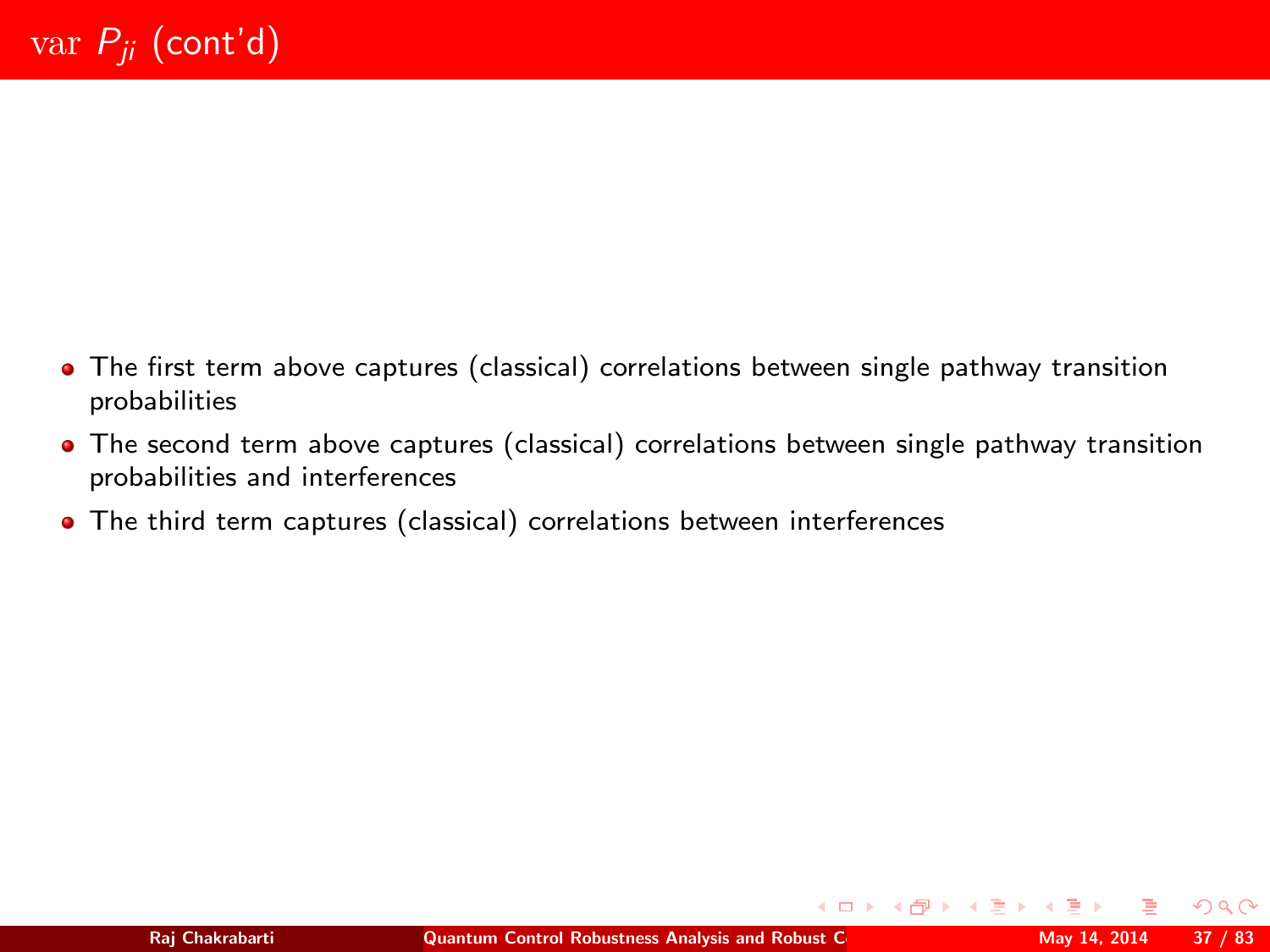- The first term above captures (classical) correlations between single pathway transition probabilities
- The second term above captures (classical) correlations between single pathway transition probabilities and interferences
- The third term captures (classical) correlations between interferences

 $2Q$ 

 $\left\{ \begin{array}{ccc} 1 & 0 & 0 \\ 0 & 1 & 0 \end{array} \right.$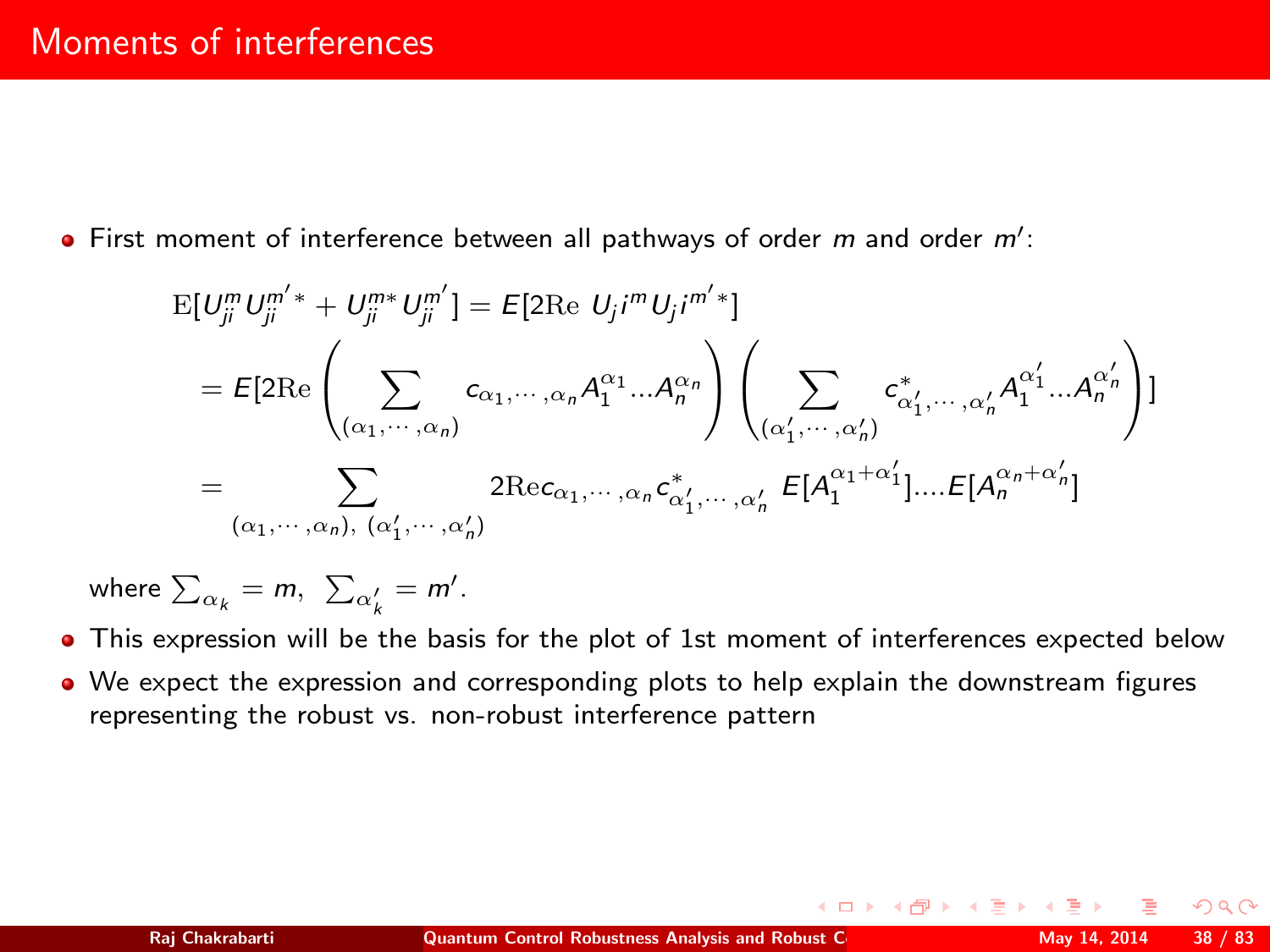First moment of interference between all pathways of order  $m$  and order  $m'$ :

$$
E[U_{ji}^m U_{ji}^{m'*} + U_{ji}^{m*} U_{ji}^{m'}] = E[2 \text{Re } U_j i^m U_j i^{m'*}]
$$
  
\n
$$
= E[2 \text{Re}\left(\sum_{(\alpha_1, \dots, \alpha_n)} c_{\alpha_1, \dots, \alpha_n} A_1^{\alpha_1} \dots A_n^{\alpha_n}\right) \left(\sum_{(\alpha'_1, \dots, \alpha'_n)} c_{\alpha'_1, \dots, \alpha'_n}^* A_1^{\alpha'_1} \dots A_n^{\alpha'_n}\right)]
$$
  
\n
$$
= \sum_{(\alpha_1, \dots, \alpha_n), (\alpha'_1, \dots, \alpha'_n)} 2 \text{Re} c_{\alpha_1, \dots, \alpha_n} c_{\alpha'_1, \dots, \alpha'_n}^* E[A_1^{\alpha_1 + \alpha'_1}] \dots E[A_n^{\alpha_n + \alpha'_n}]
$$

where  $\sum_{\alpha_k} = m, \ \sum_{\alpha'_k} = m'.$ 

- This expression will be the basis for the plot of 1st moment of interferences expected below
- We expect the expression and corresponding plots to help explain the downstream figures representing the robust vs. non-robust interference pattern

 $\Omega$ 

**K ロ ⊁ K 倒 ≯ K 差 ≯ K**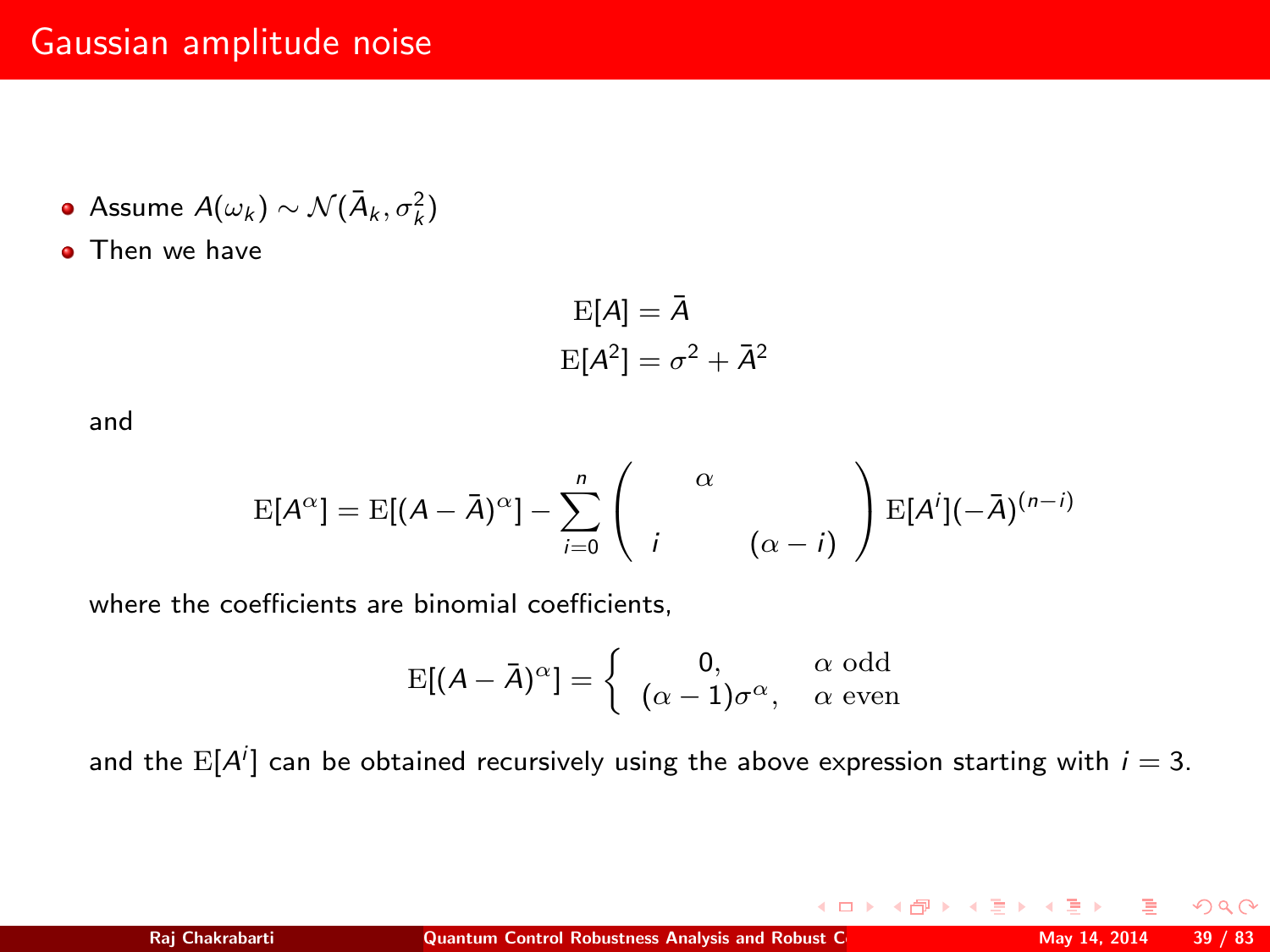## Gaussian amplitude noise

- Assume  $A(\omega_k) \sim \mathcal{N}(\bar{A}_k, \sigma_k^2)$
- **o** Then we have

$$
\mathrm{E}[A] = \bar{A}
$$

$$
\mathrm{E}[A^2] = \sigma^2 + \bar{A}^2
$$

and

$$
E[A^{\alpha}] = E[(A - \bar{A})^{\alpha}] - \sum_{i=0}^{n} \left( \begin{array}{cc} \alpha \\ i \end{array} \begin{array}{cc} \alpha \\ (\alpha - i) \end{array} \right) E[A^{i}](-\bar{A})^{(n-i)}
$$

where the coefficients are binomial coefficients,

$$
E[(A - \bar{A})^{\alpha}] = \begin{cases} 0, & \alpha \text{ odd} \\ (\alpha - 1)\sigma^{\alpha}, & \alpha \text{ even} \end{cases}
$$

and the  $\mathbb{E}[A^i]$  can be obtained recursively using the above expression starting with  $i=3$ .

 $QQ$ 

K ロト K 御 ト K 差 ト K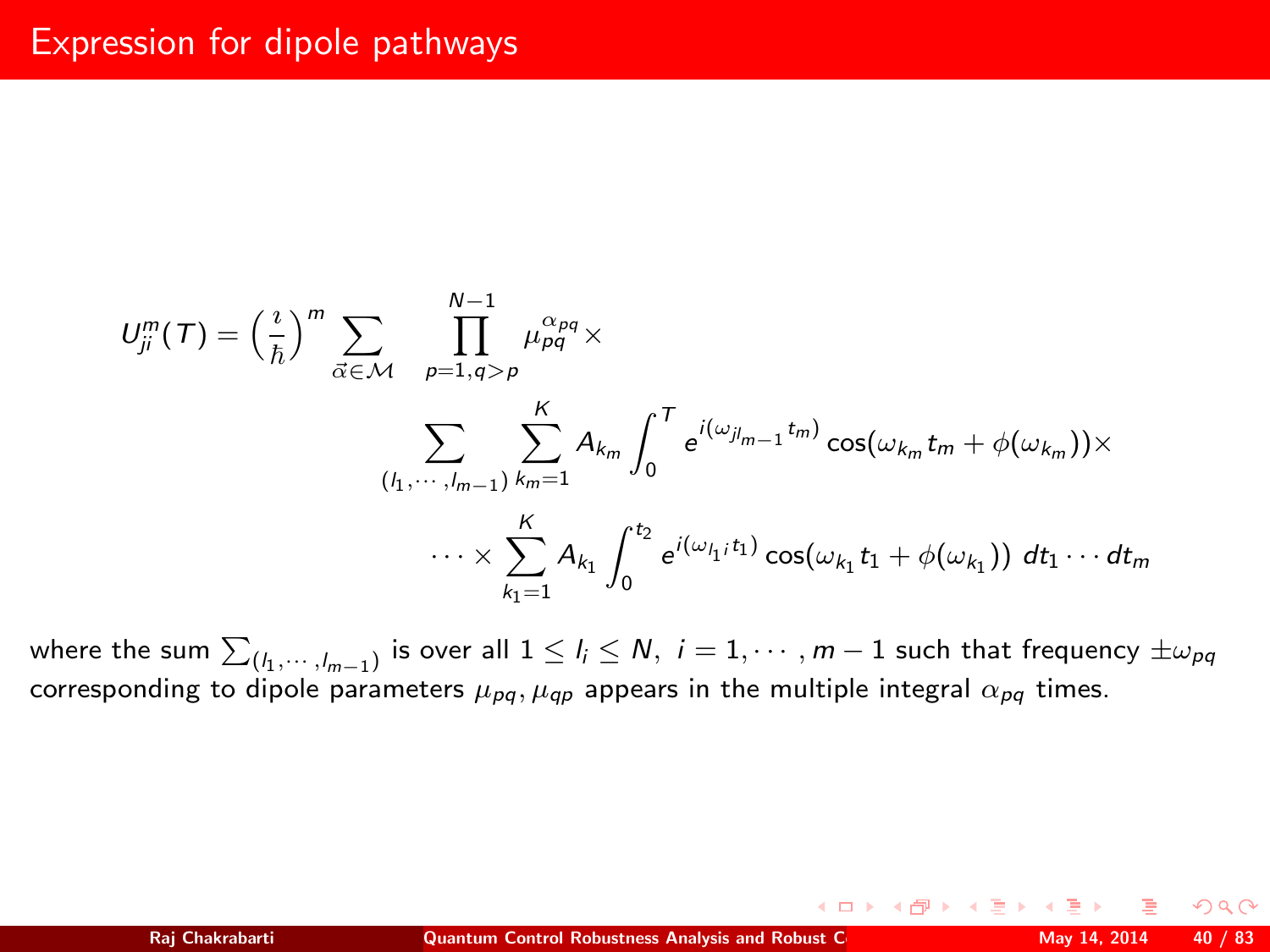$$
U_{ji}^{m}(T) = \left(\frac{i}{\hbar}\right)^{m} \sum_{\vec{\alpha} \in \mathcal{M}} \prod_{p=1, q>p}^{N-1} \mu_{pq}^{\alpha_{pq}} \times \sum_{(l_1, \dots, l_{m-1})} \sum_{k_m=1}^{K} A_{k_m} \int_{0}^{T} e^{i(\omega_{jl_m-1}t_m)} \cos(\omega_{k_m}t_m + \phi(\omega_{k_m})) \times \cdots \times \sum_{k_1=1}^{K} A_{k_1} \int_{0}^{t_2} e^{i(\omega_{l_1}; t_1)} \cos(\omega_{k_1}t_1 + \phi(\omega_{k_1})) dt_1 \cdots dt_m
$$

where the sum  $\sum_{(l_1,\cdots,l_{m-1})}$  is over all  $1\leq l_i\leq N,~i=1,\cdots,m-1$  such that frequency  $\pm\omega_{pq}$ corresponding to dipole parameters  $\mu_{pq}$ ,  $\mu_{qp}$  appears in the multiple integral  $\alpha_{pq}$  times.

<span id="page-39-0"></span> $2Q$ 

**K ロ ▶ | K 伊 ▶ | K ヨ ▶**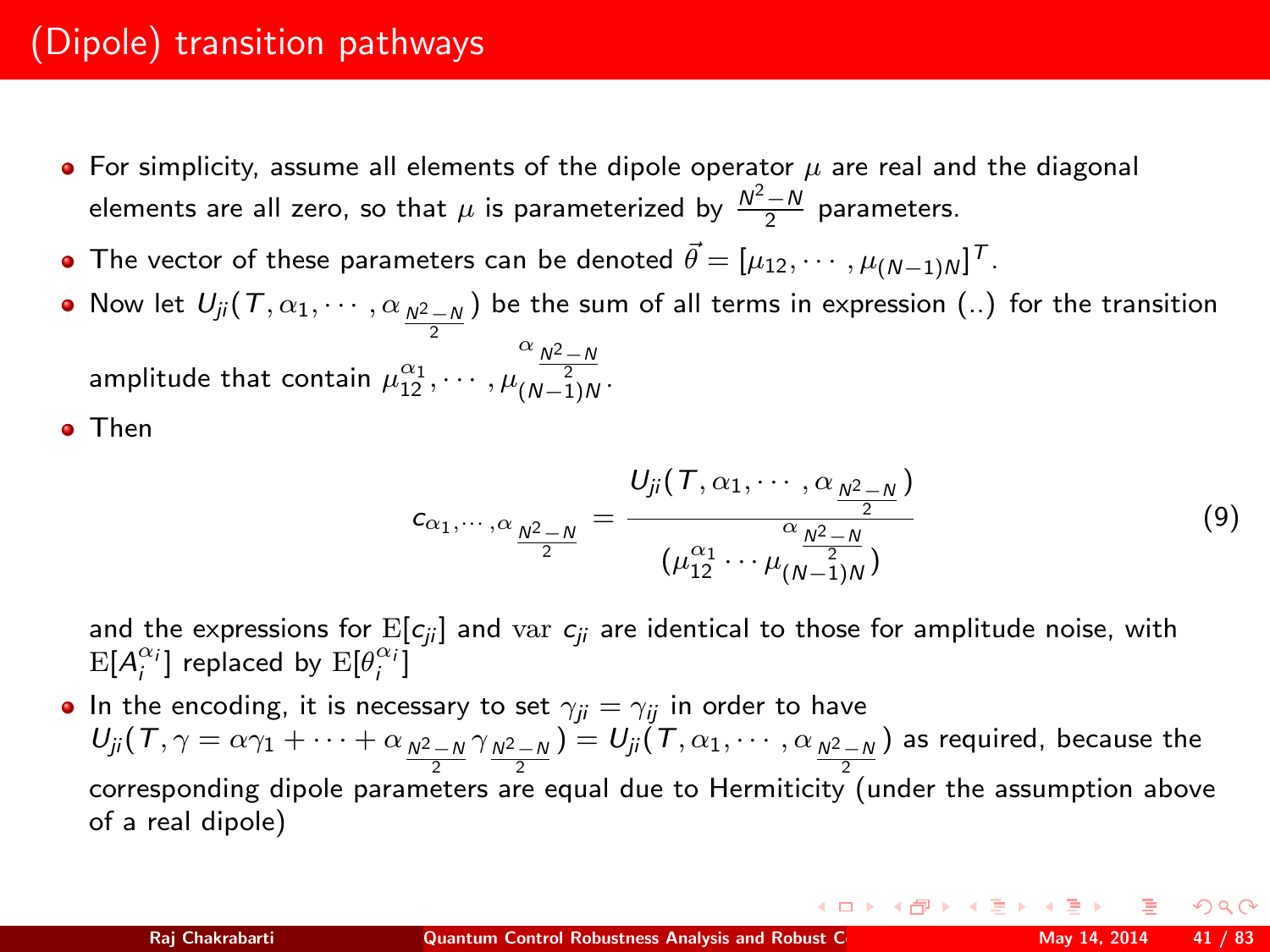# (Dipole) transition pathways

- $\bullet$  For simplicity, assume all elements of the dipole operator  $\mu$  are real and the diagonal elements are all zero, so that  $\mu$  is parameterized by  $\frac{N^2-N}{2}$  parameters.
- The vector of these parameters can be denoted  $\vec{\theta} = [\mu_{12}, \cdots, \mu_{(N-1)N}]^T$ .
- Now let  $U_{ji}(\mathcal{T}, \alpha_1, \cdots, \alpha_{\frac{N^2-N}{2}})$  be the sum of all terms in expression (..) for the transition amplitude that contain  $\mu_{12}^{\alpha_1}, \cdots, \mu$  $\frac{\alpha_{N^2-N}}{N^2}$   $(N-1)N$

Then

$$
c_{\alpha_1,\cdots,\alpha} \frac{\sum\limits_{\substack{\lambda^2-N}}{2}}{2} = \frac{U_{ji}(T,\alpha_1,\cdots,\alpha \frac{\lambda^2-N}{2})}{(\mu_{12}^{\alpha_1}\cdots\mu_{(N-1)N}^{\alpha_{N-1}^2})}
$$
(9)

and the expressions for  $E[c_{ij}]$  and var  $c_{ij}$  are identical to those for amplitude noise, with  $\mathrm{E}[A_i^{\alpha_i}]$  replaced by  $\mathrm{E}[\theta_i^{\alpha_i}]$ 

• In the encoding, it is necessary to set  $\gamma_{ji} = \gamma_{ij}$  in order to have  $U_{ji}(\mathcal{T},\gamma=\alpha\gamma_1+\cdots+\alpha_{N^2-N}\gamma_{N^2-N})=U_{ji}(\mathcal{T},\alpha_1,\cdots,\alpha_{N^2-N})$  as required, because the corresponding dipole parameters are equal due to Hermiticity (under the assumption above of a real dipole)

イロト イ部 トイモト イモト 一番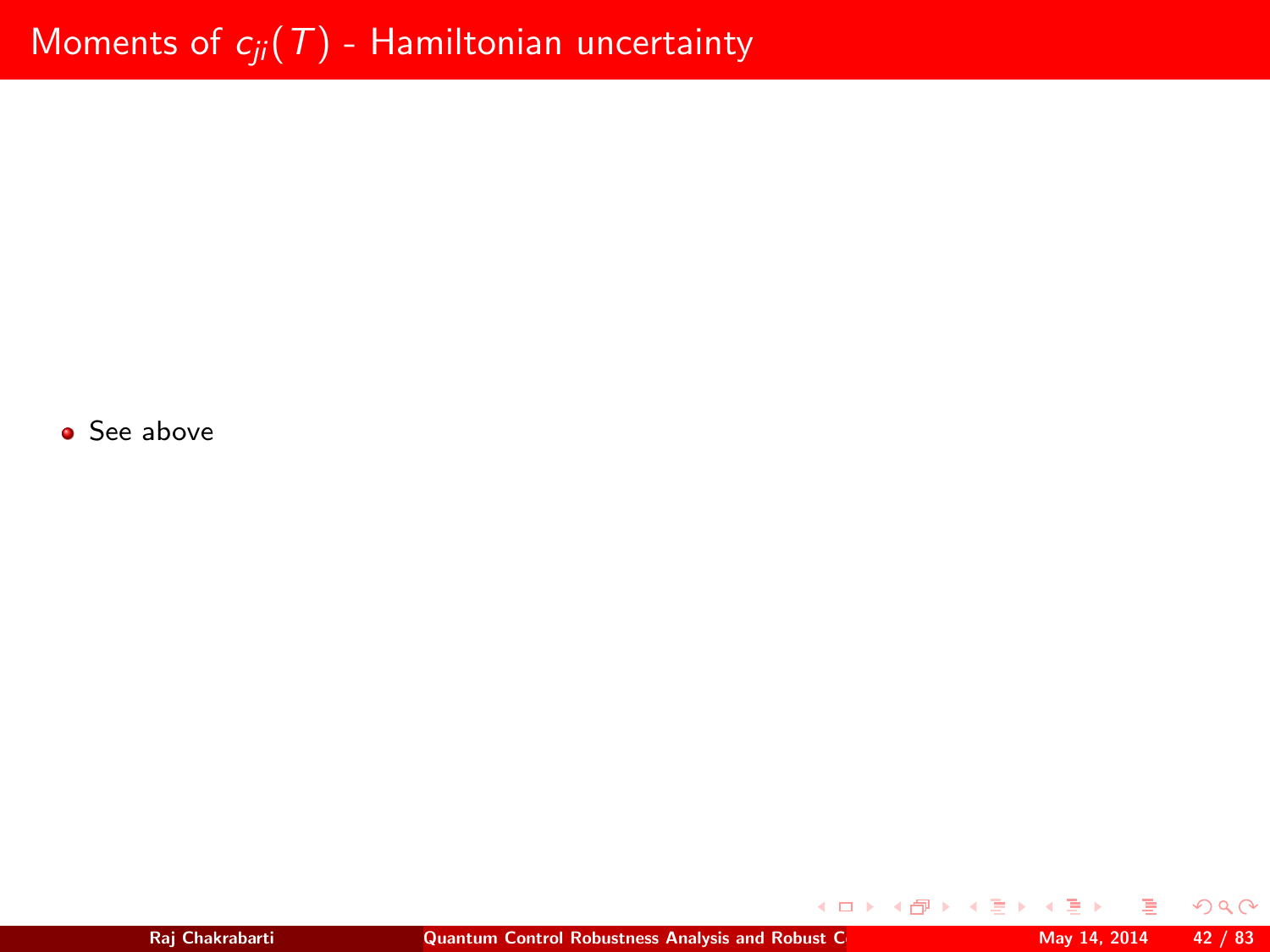• See above

э

 $299$ 

メロトメ 伊 トメ ミトメ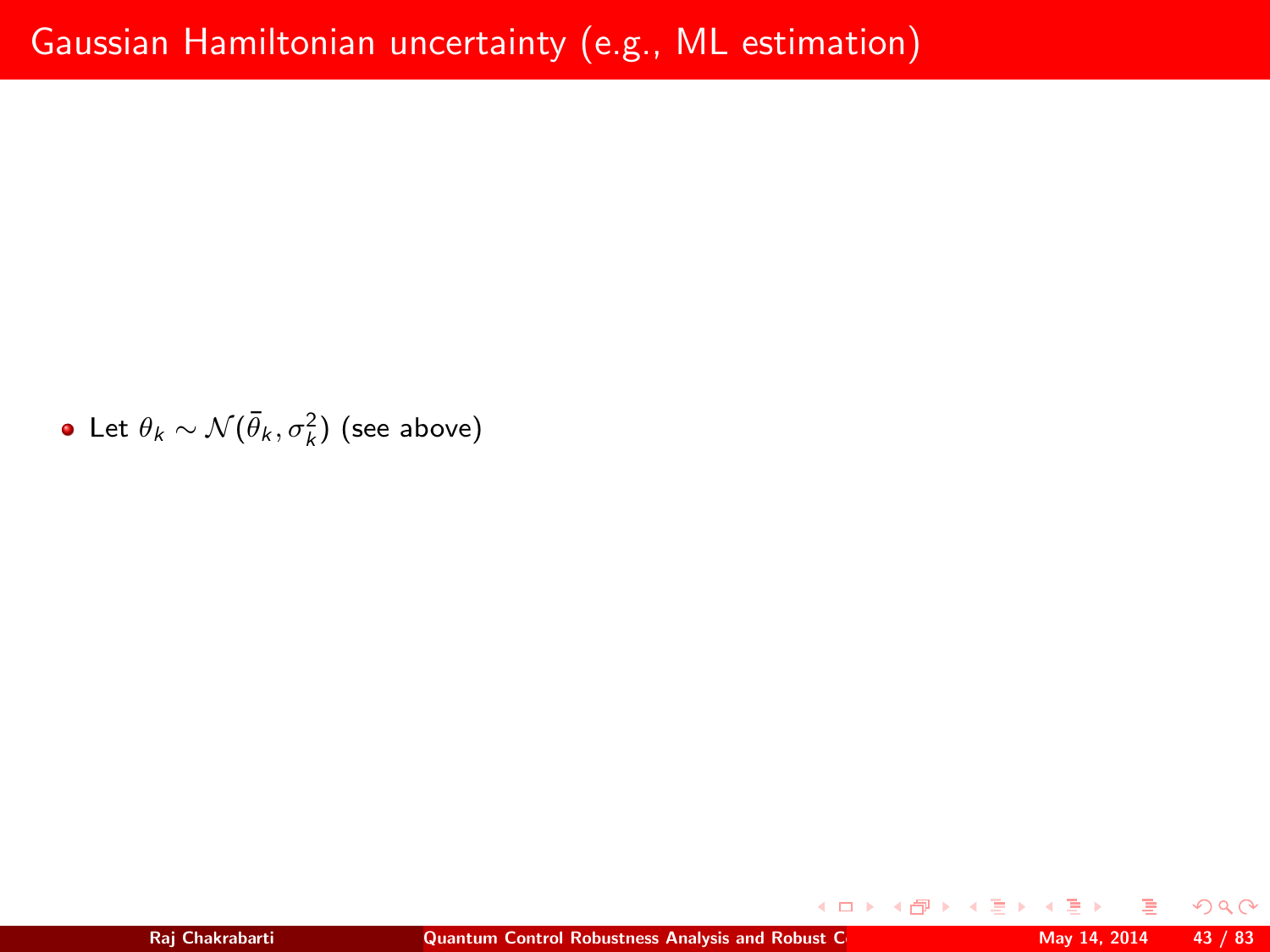Let  $\theta_k \sim \mathcal{N}(\bar{\theta}_k, \sigma_k^2)$  (see above)

 $2Q$ 

**K ロ ⊁ K 個 ▶ K 君 ▶**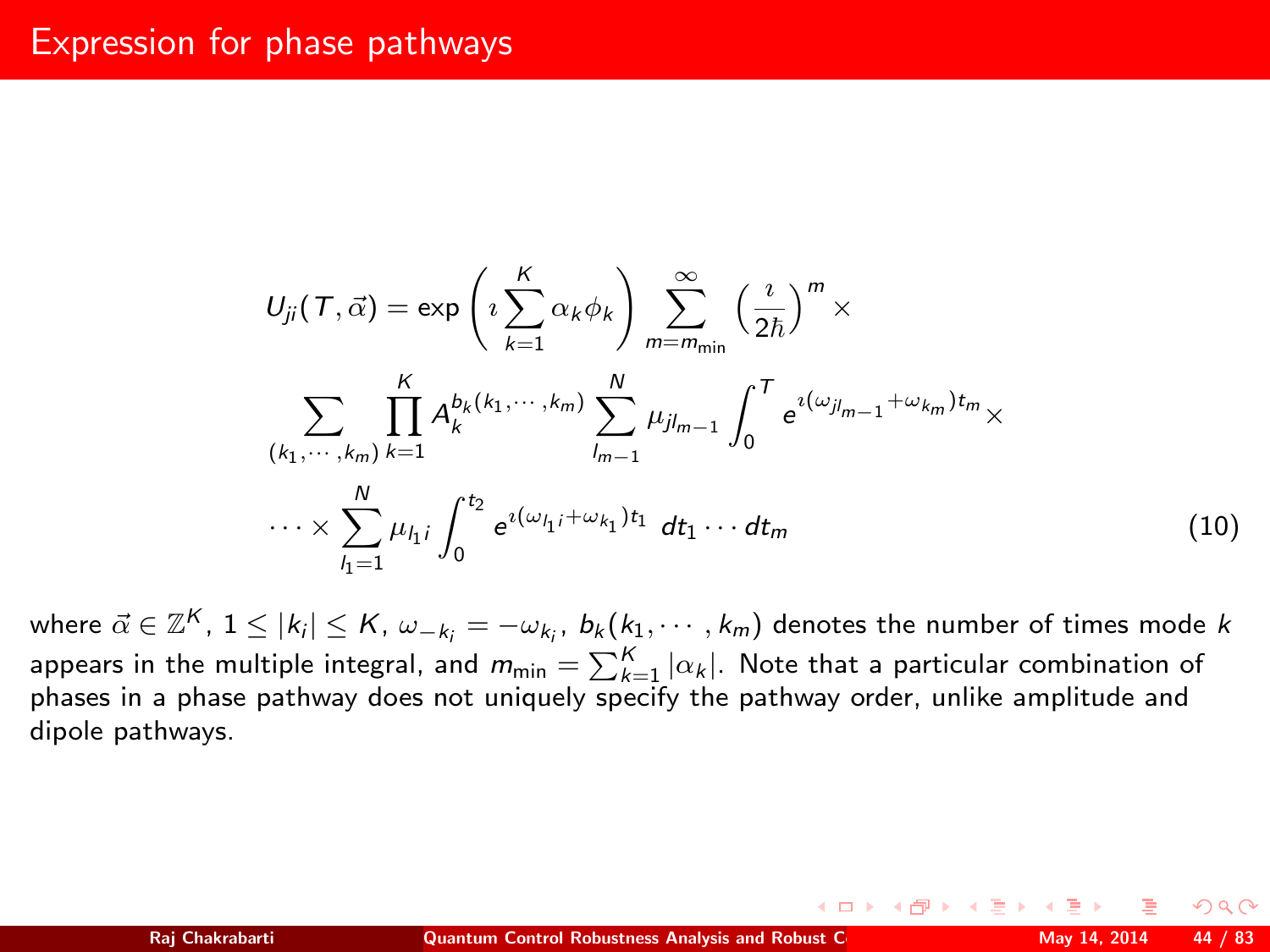## Expression for phase pathways

$$
U_{ji}(T, \vec{\alpha}) = \exp\left(i\sum_{k=1}^{K} \alpha_k \phi_k\right) \sum_{m=m_{\text{min}}}^{\infty} \left(\frac{i}{2\hbar}\right)^m \times
$$

$$
\sum_{\substack{(k_1, \dots, k_m) \ k=1}} \prod_{k=1}^{K} A_k^{b_k(k_1, \dots, k_m)} \sum_{l_{m-1}}^{N} \mu_{jl_{m-1}} \int_0^T e^{i(\omega_{jl_{m-1}} + \omega_{k_m})t_m} \times
$$

$$
\cdots \times \sum_{l_1=1}^{N} \mu_{l_1} i \int_0^{t_2} e^{i(\omega_{l_1} + \omega_{k_1})t_1} dt_1 \cdots dt_m
$$
(10)

**◆ロト ◆伊ト** 

where  $\vec{\alpha} \in \mathbb{Z}^K$ ,  $1 \leq |k_i| \leq K$ ,  $\omega_{-k_i} = -\omega_{k_i}$ ,  $b_k(k_1, \cdots, k_m)$  denotes the number of times mode  $k$ appears in the multiple integral, and  $m_{\text{min}} = \sum_{k=1}^K |\alpha_k|.$  Note that a particular combination of phases in a phase pathway does not uniquely specify the pathway order, unlike amplitude and dipole pathways.

<span id="page-43-0"></span>つくい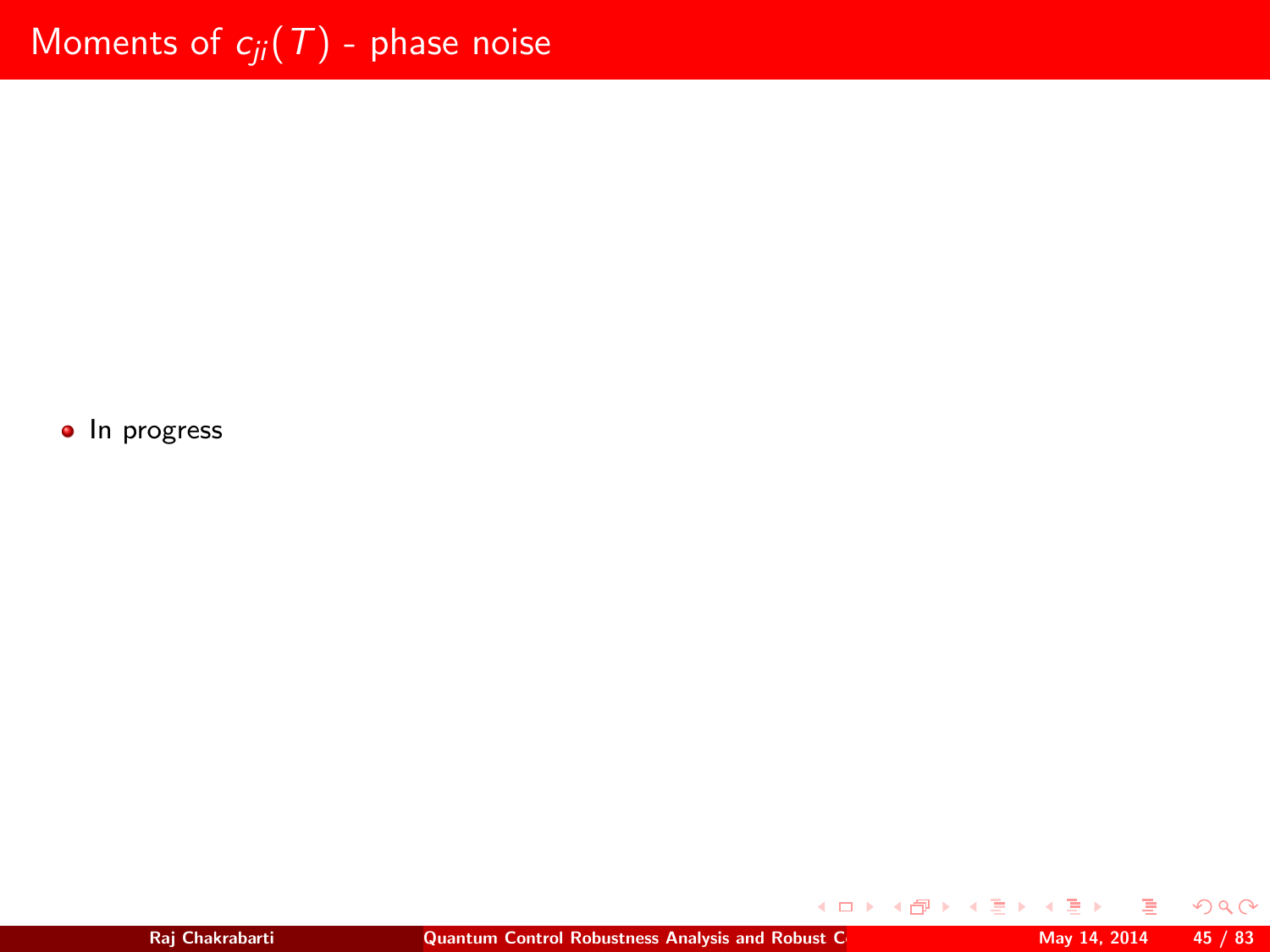• In progress

 $2Q$ 

K ロ ▶ K 御 ▶ K 唐 ▶ K 唐 ▶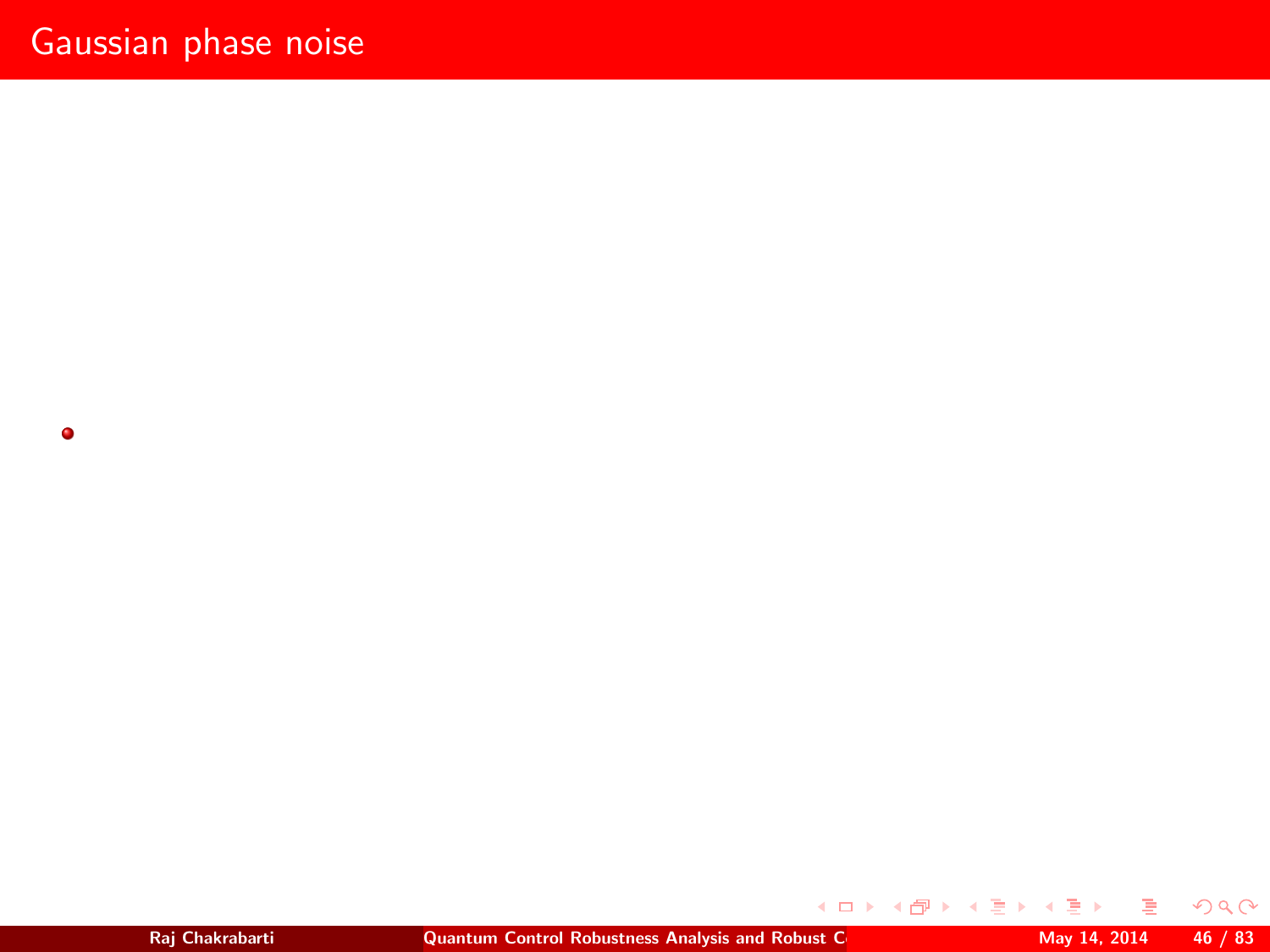$\bullet$ 

×

 $2Q$ 

イロン イ部ン イミン イミ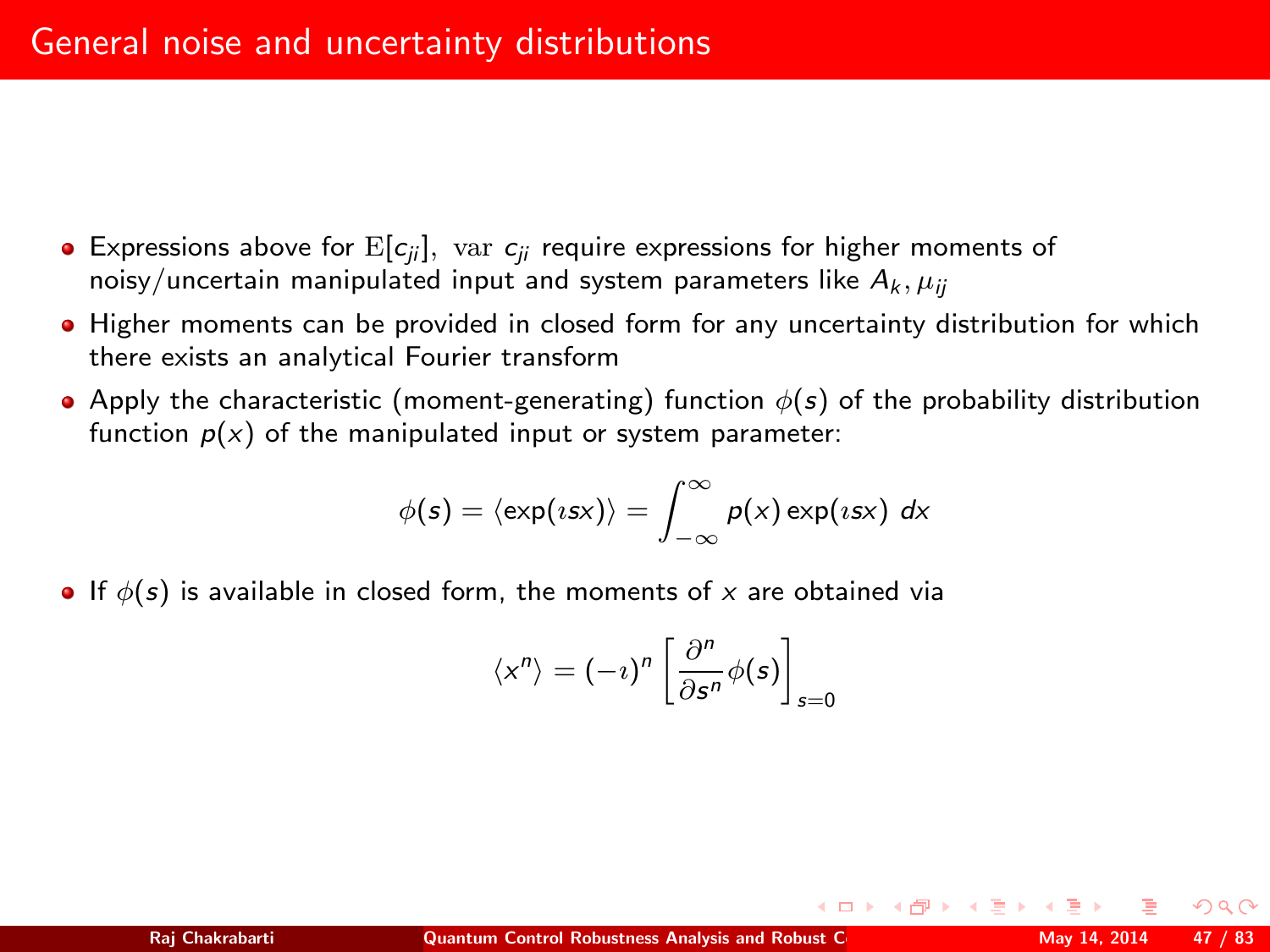- **Expressions above for**  $E[c_{ii}]$ **, var**  $c_{ii}$  **require expressions for higher moments of** noisy/uncertain manipulated input and system parameters like  $A_k, \mu_{ii}$
- Higher moments can be provided in closed form for any uncertainty distribution for which there exists an analytical Fourier transform
- Apply the characteristic (moment-generating) function  $\phi(s)$  of the probability distribution function  $p(x)$  of the manipulated input or system parameter:

$$
\phi(s) = \langle \exp(\iota s x) \rangle = \int_{-\infty}^{\infty} p(x) \exp(\iota s x) dx
$$

• If  $\phi(s)$  is available in closed form, the moments of x are obtained via

$$
\langle x^n \rangle = (-i)^n \left[ \frac{\partial^n}{\partial s^n} \phi(s) \right]_{s=0}
$$

<span id="page-46-0"></span>つくい

**K ロ ▶ | K 伊 ▶ | K ヨ ▶** |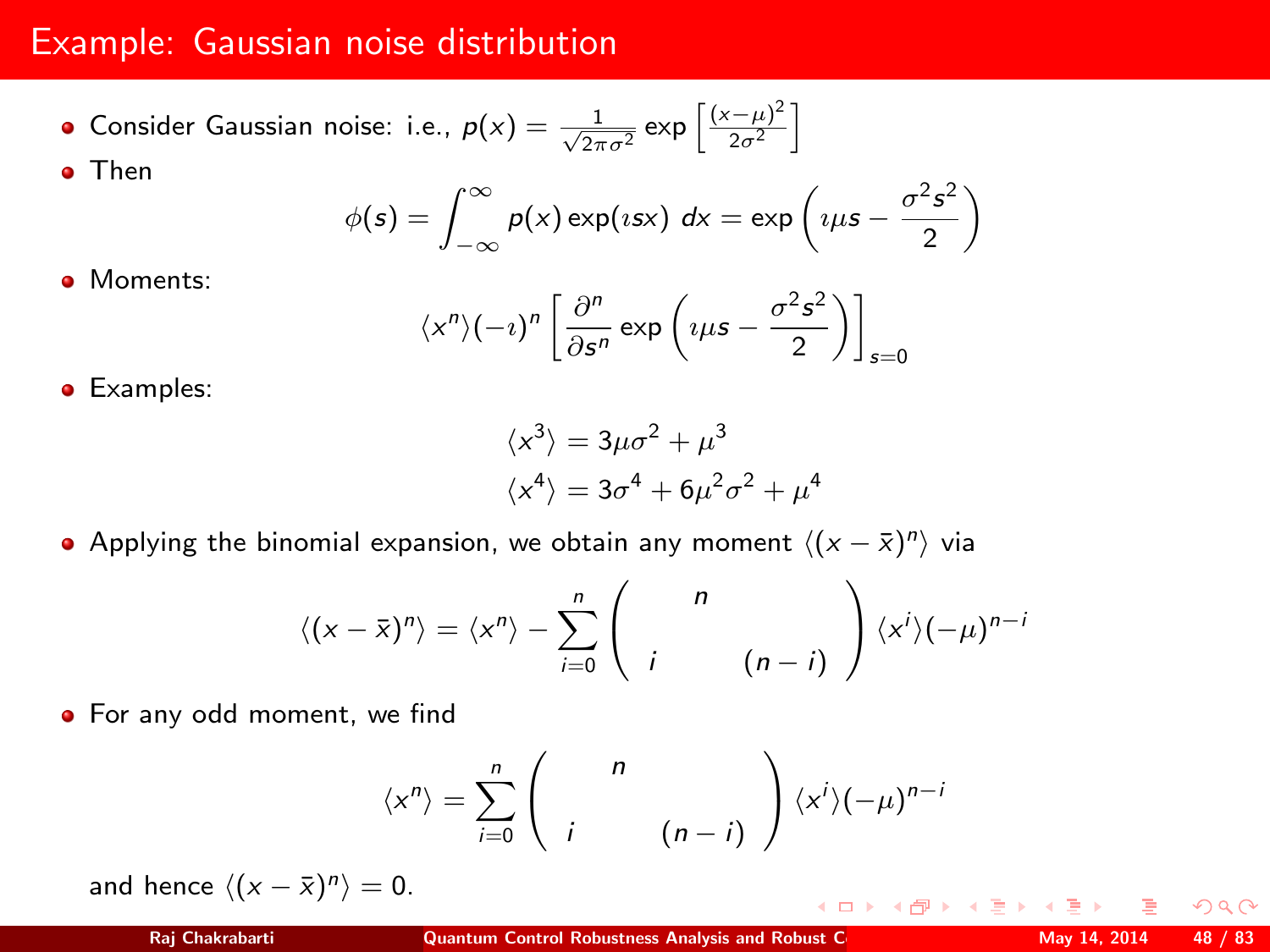## Example: Gaussian noise distribution

Consider Gaussian noise: i.e.,  $p(x) = \frac{1}{\sqrt{2\pi\sigma^2}} \exp\left[\frac{(x-\mu)^2}{2\sigma^2}\right]$  $\frac{(-\mu)^2}{2\sigma^2}$ **•** Then

$$
\phi(s) = \int_{-\infty}^{\infty} p(x) \exp(isx) \, dx = \exp\left(i\mu s - \frac{\sigma^2 s^2}{2}\right)
$$

Moments:

$$
\langle x^n \rangle (-i)^n \left[ \frac{\partial^n}{\partial s^n} \exp \left( i \mu s - \frac{\sigma^2 s^2}{2} \right) \right]_{s=0}
$$

**•** Examples:

$$
\langle x^3 \rangle = 3\mu\sigma^2 + \mu^3
$$
  

$$
\langle x^4 \rangle = 3\sigma^4 + 6\mu^2\sigma^2 + \mu^4
$$

Applying the binomial expansion, we obtain any moment  $\langle (x - \bar{x})^n \rangle$  via

$$
\langle (x-\bar{x})^n \rangle = \langle x^n \rangle - \sum_{i=0}^n \begin{pmatrix} n \\ i & (n-i) \end{pmatrix} \langle x^i \rangle (-\mu)^{n-i}
$$

• For any odd moment, we find

$$
\langle x^n \rangle = \sum_{i=0}^n \begin{pmatrix} n \\ i & (n-i) \end{pmatrix} \langle x^i \rangle (-\mu)^{n-i}
$$

and hence  $\langle (x - \bar{x})^n \rangle = 0$ .

 $\Omega$ 

K ロト K 御 ト K 差 ト K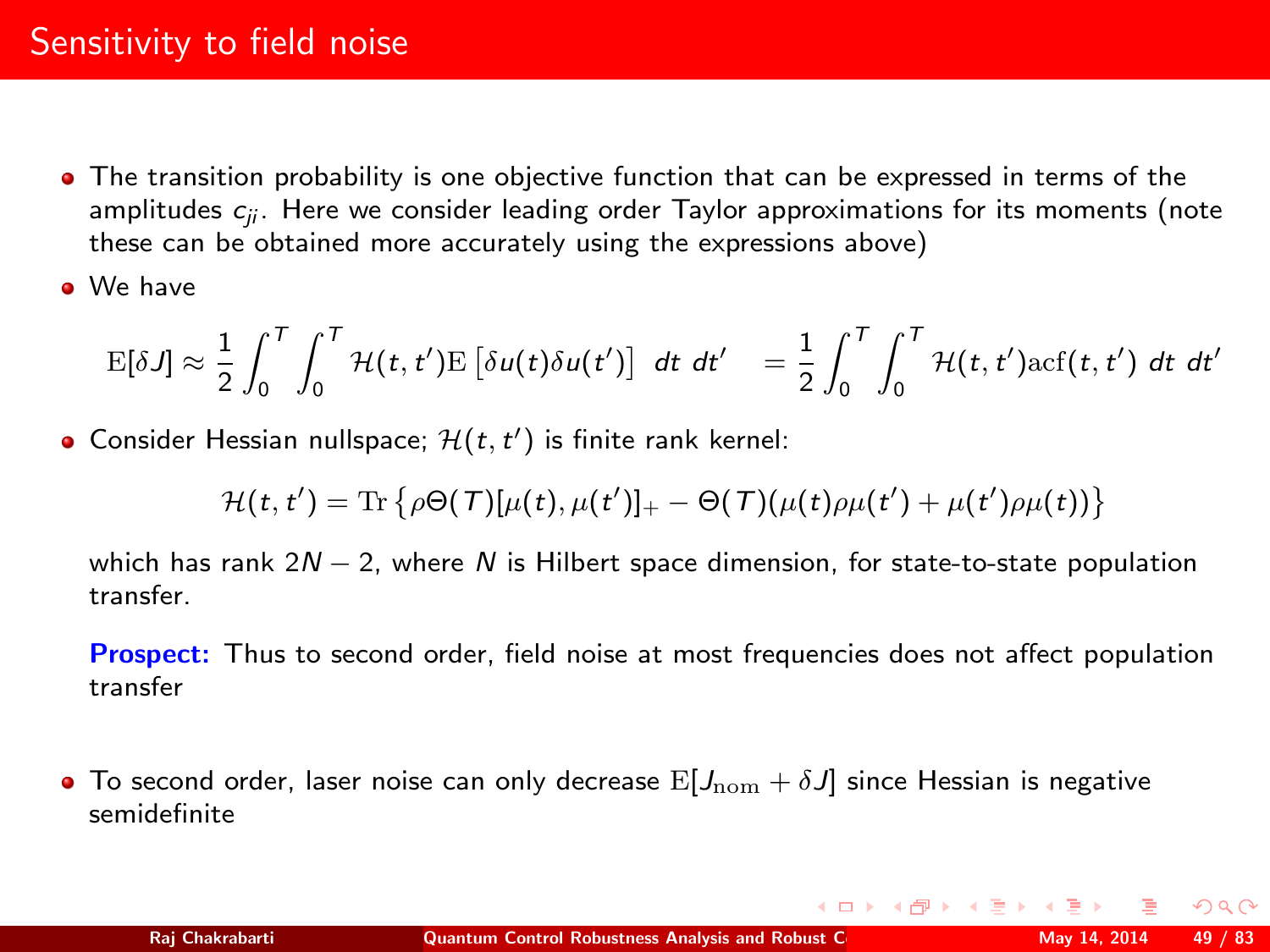## Sensitivity to field noise

- The transition probability is one objective function that can be expressed in terms of the amplitudes  $c_{ii}$ . Here we consider leading order Taylor approximations for its moments (note these can be obtained more accurately using the expressions above)
- We have

$$
\mathrm{E}[\delta J] \approx \frac{1}{2} \int_0^T \int_0^T \mathcal{H}(t,t') \mathrm{E}\left[\delta u(t)\delta u(t')\right] dt dt' = \frac{1}{2} \int_0^T \int_0^T \mathcal{H}(t,t') \mathrm{acf}(t,t') dt dt'
$$

Consider Hessian nullspace;  $\mathcal{H}(t, t')$  is finite rank kernel:

$$
\mathcal{H}(t,t') = \mathrm{Tr} \left\{ \rho \Theta(\mathcal{T}) [\mu(t), \mu(t')]_+ - \Theta(\mathcal{T}) (\mu(t) \rho \mu(t') + \mu(t') \rho \mu(t)) \right\}
$$

which has rank  $2N - 2$ , where N is Hilbert space dimension, for state-to-state population transfer.

Prospect: Thus to second order, field noise at most frequencies does not affect population transfer

**To second order, laser noise can only decrease**  $E[J_{\text{nom}} + \delta J]$  **since Hessian is negative** semidefinite

<span id="page-48-0"></span> $\Omega$ 

 $\left\{ \begin{array}{ccc} 1 & 0 & 0 \\ 0 & 1 & 0 \end{array} \right.$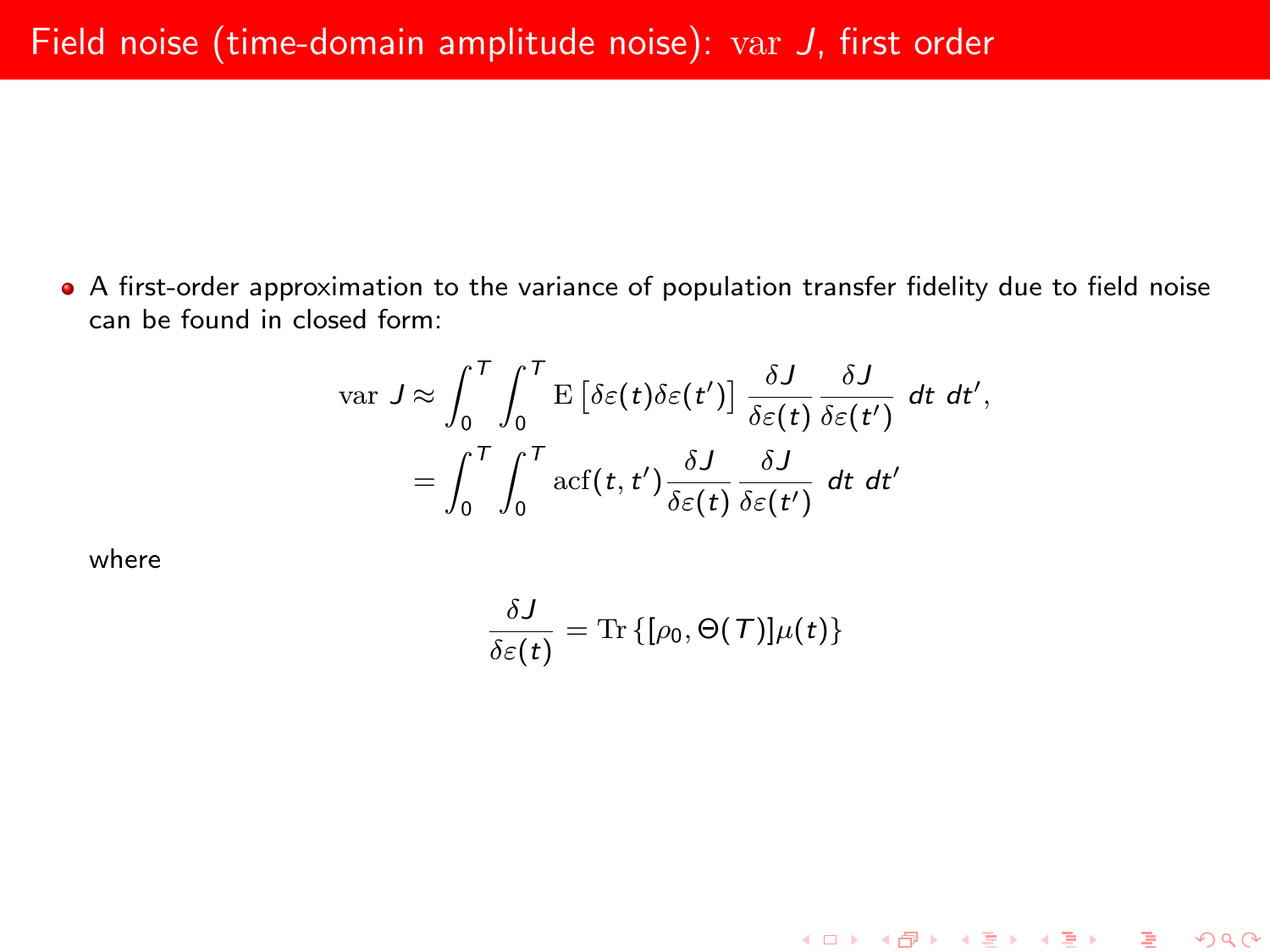A first-order approximation to the variance of population transfer fidelity due to field noise can be found in closed form:

$$
\begin{split} \text{var } J \approx \int_0^T \int_0^T \mathbf{E} \left[ \delta \varepsilon(t) \delta \varepsilon(t') \right] \frac{\delta J}{\delta \varepsilon(t)} \frac{\delta J}{\delta \varepsilon(t')} \, dt \, dt', \\ = \int_0^T \int_0^T \text{arf}(t, t') \frac{\delta J}{\delta \varepsilon(t)} \frac{\delta J}{\delta \varepsilon(t')} \, dt \, dt' \end{split}
$$

where

$$
\frac{\delta J}{\delta \varepsilon(t)} = \text{Tr} \left\{ [\rho_0, \Theta(T)] \mu(t) \right\}
$$

K ロ ▶ K @ ▶ K 할 ▶ K 할 ▶ ① 할 → ① 익단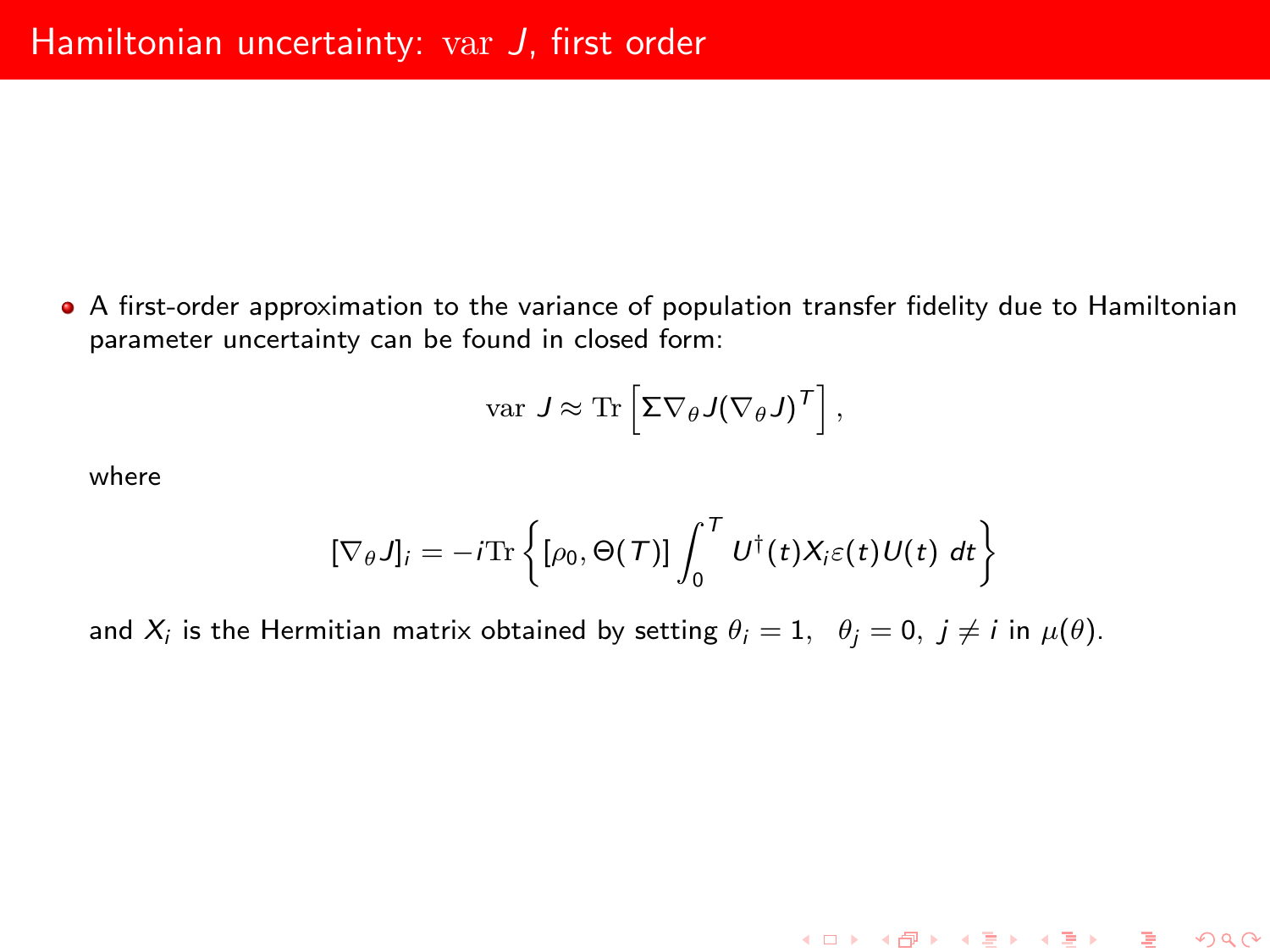A first-order approximation to the variance of population transfer fidelity due to Hamiltonian parameter uncertainty can be found in closed form:

var 
$$
J \approx \text{Tr} \left[ \Sigma \nabla_{\theta} J (\nabla_{\theta} J)^{\mathsf{T}} \right],
$$

where

$$
[\nabla_{\theta} J]_i = -i \text{Tr} \left\{ [\rho_0, \Theta(T)] \int_0^T U^{\dagger}(t) X_i \varepsilon(t) U(t) dt \right\}
$$

K ロ ▶ K 레 ▶ K 코 ▶ K 코 ▶ 『 코 │ ⊙ Q Q

and  $X_i$  is the Hermitian matrix obtained by setting  $\theta_i=1,\;\;\theta_j=0,\;j\neq i$  in  $\mu(\theta).$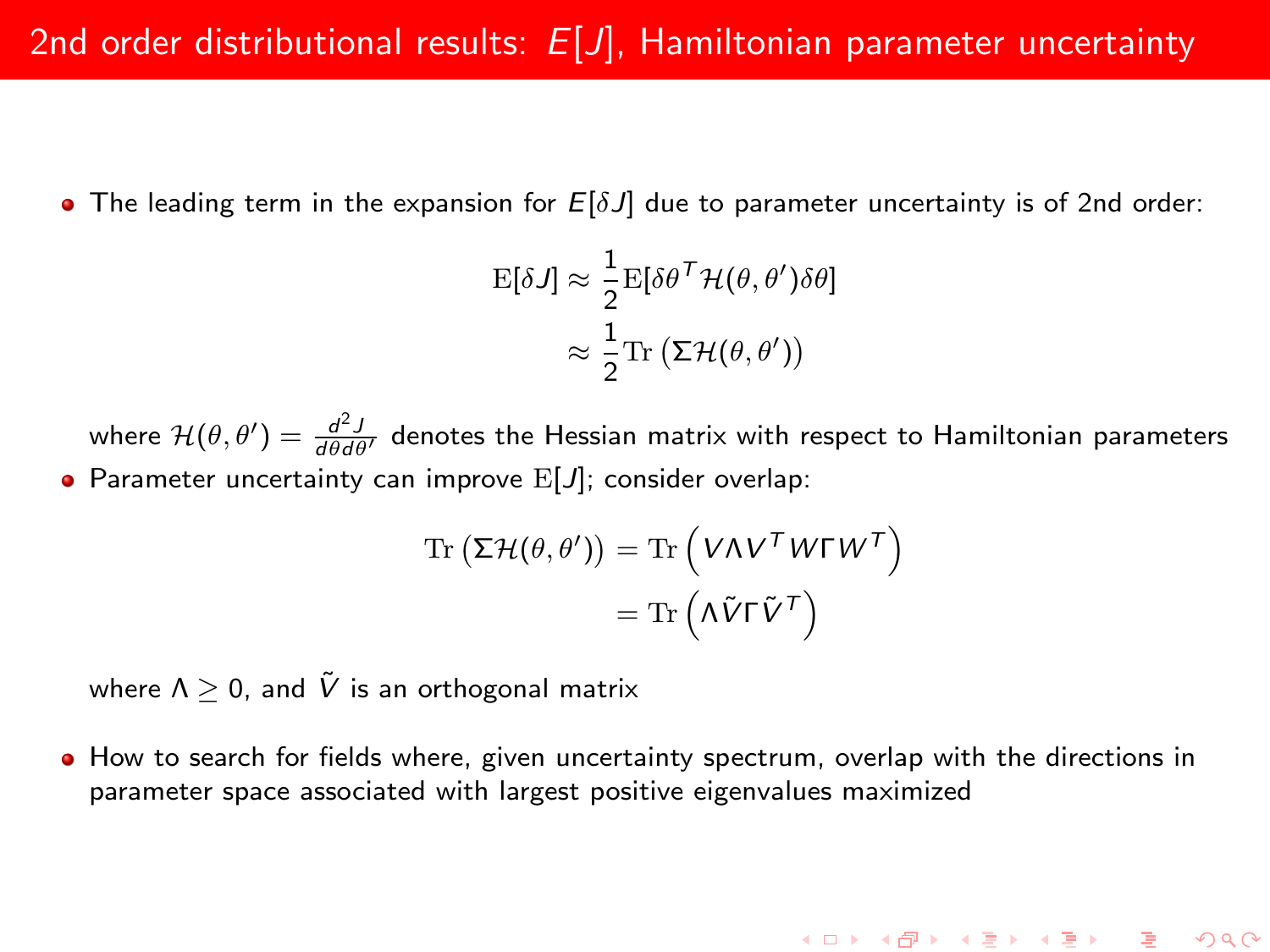**•** The leading term in the expansion for  $E[\delta J]$  due to parameter uncertainty is of 2nd order:

$$
\mathbf{E}[\delta J] \approx \frac{1}{2} \mathbf{E}[\delta \theta^T \mathcal{H}(\theta, \theta') \delta \theta]
$$

$$
\approx \frac{1}{2} \text{Tr} (\Sigma \mathcal{H}(\theta, \theta'))
$$

where  $\mathcal{H}(\theta, \theta') = \frac{d^2J}{d\theta d\theta'}$  denotes the Hessian matrix with respect to Hamiltonian parameters • Parameter uncertainty can improve  $E[J]$ ; consider overlap:

$$
\operatorname{Tr}\left(\Sigma \mathcal{H}(\theta, \theta')\right) = \operatorname{Tr}\left(V \Lambda V^T W \Gamma W^T\right) \n= \operatorname{Tr}\left(\Lambda \tilde{V} \Gamma \tilde{V}^T\right)
$$

where  $\Lambda \geq 0$ , and  $\tilde{V}$  is an orthogonal matrix

 $\bullet$  How to search for fields where, given uncertainty spectrum, overlap with the directions in parameter space associated with largest positive eigenvalues maximized

K ロ ▶ K @ ▶ K 할 ▶ K 할 ▶ ... 할 ... 900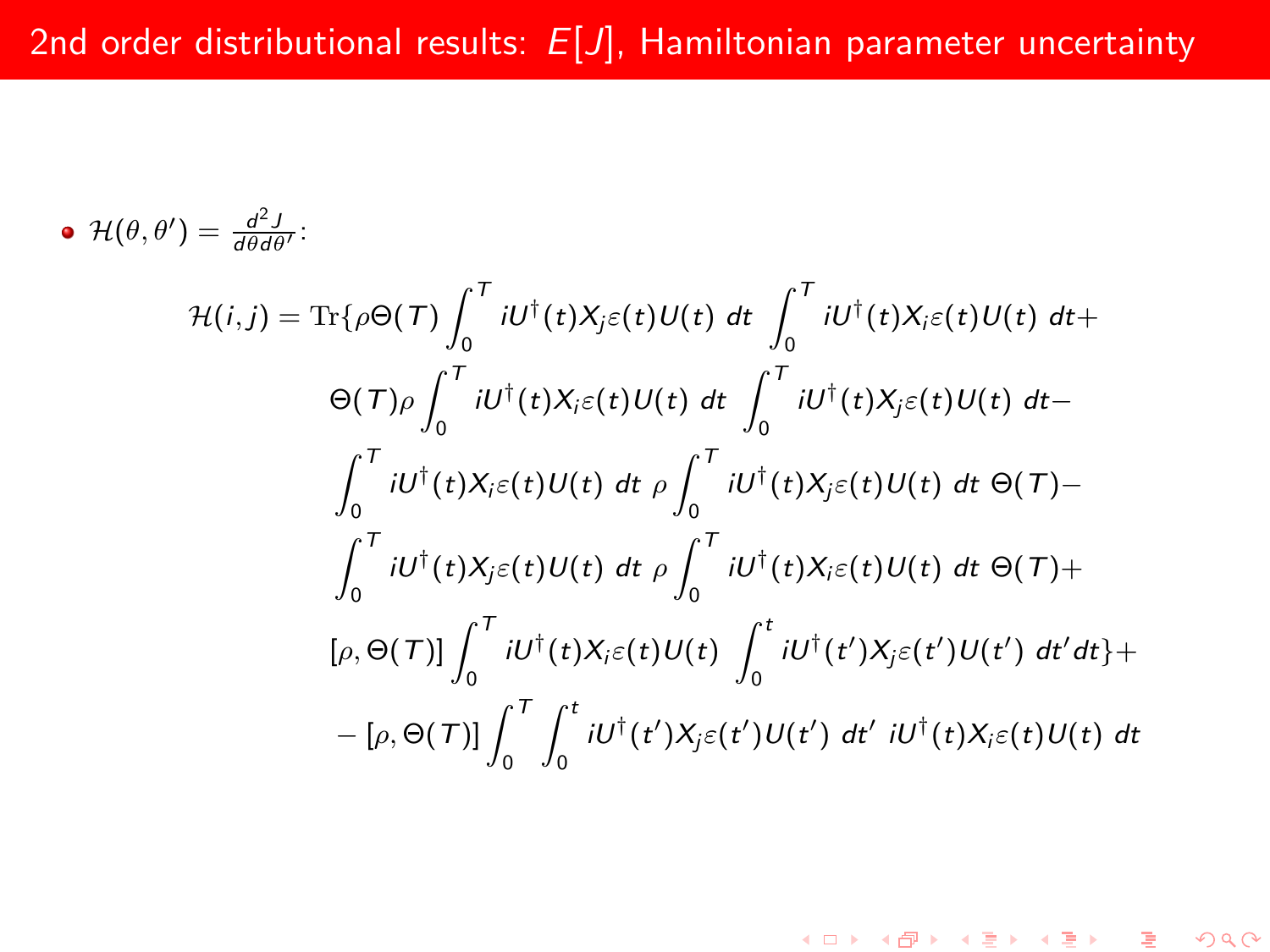• 
$$
\mathcal{H}(\theta,\theta') = \frac{d^2J}{d\theta d\theta'}
$$
  
\n
$$
\mathcal{H}(i,j) = \text{Tr}\{\rho\Theta(\mathcal{T})\int_0^{\mathcal{T}} iU^{\dagger}(t)X_j\varepsilon(t)U(t) dt \int_0^{\mathcal{T}} iU^{\dagger}(t)X_i\varepsilon(t)U(t) dt + \Theta(\mathcal{T})\rho \int_0^{\mathcal{T}} iU^{\dagger}(t)X_i\varepsilon(t)U(t) dt \int_0^{\mathcal{T}} iU^{\dagger}(t)X_j\varepsilon(t)U(t) dt - \int_0^{\mathcal{T}} iU^{\dagger}(t)X_i\varepsilon(t)U(t) dt \rho \int_0^{\mathcal{T}} iU^{\dagger}(t)X_j\varepsilon(t)U(t) dt \Theta(\mathcal{T}) - \int_0^{\mathcal{T}} iU^{\dagger}(t)X_j\varepsilon(t)U(t) dt \rho \int_0^{\mathcal{T}} iU^{\dagger}(t)X_i\varepsilon(t)U(t) dt \Theta(\mathcal{T}) + [\rho, \Theta(\mathcal{T})]\int_0^{\mathcal{T}} iU^{\dagger}(t)X_i\varepsilon(t)U(t) \int_0^t iU^{\dagger}(t')X_j\varepsilon(t')U(t') dt' dt] + - [\rho, \Theta(\mathcal{T})]\int_0^{\mathcal{T}} \int_0^t iU^{\dagger}(t')X_j\varepsilon(t')U(t') dt' iU^{\dagger}(t)X_i\varepsilon(t)U(t) dt]
$$

K ロ ▶ K 레 ▶ K 코 ▶ K 코 ▶ │ 코 │ ⊙ Q Q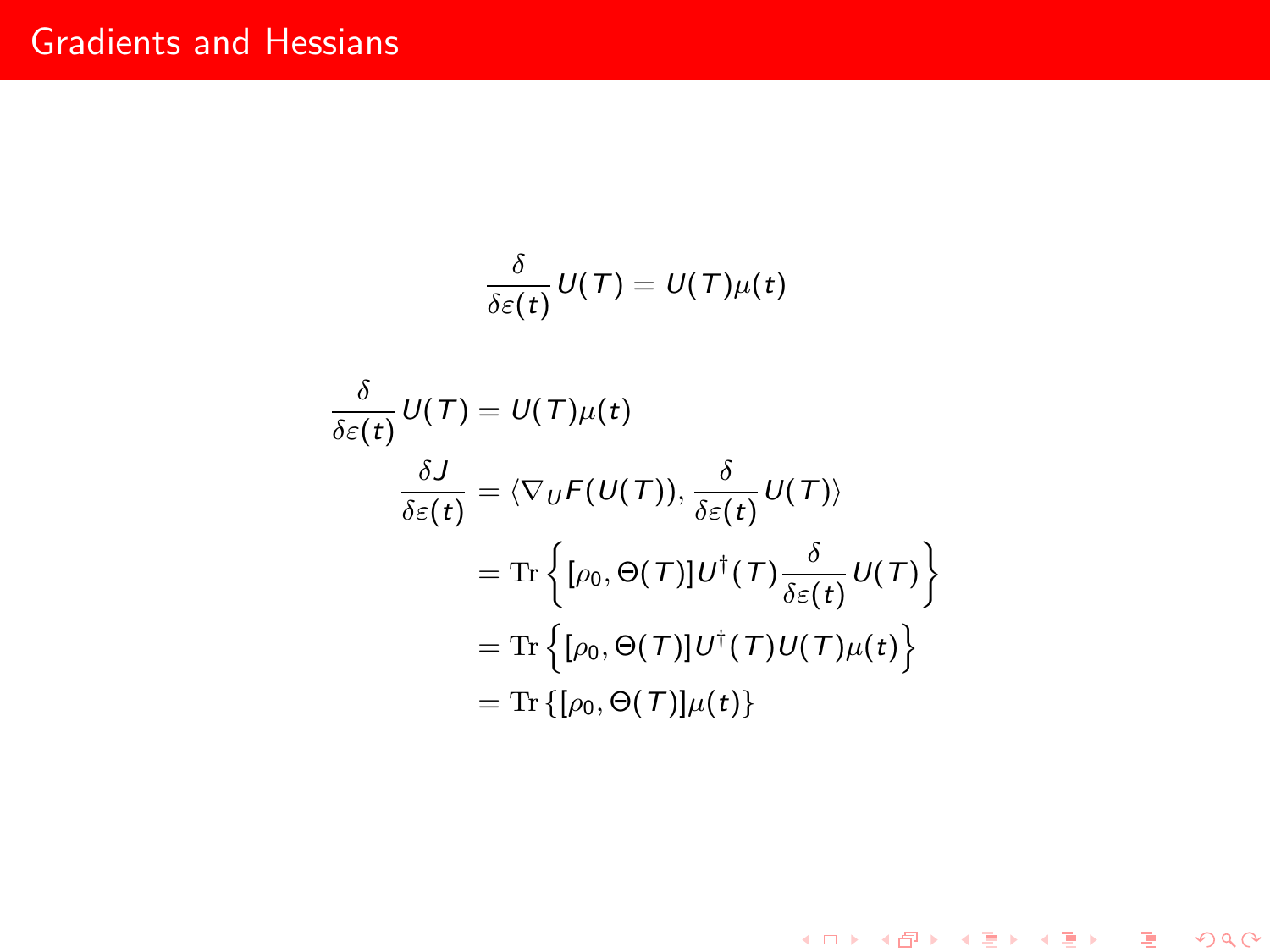$$
\frac{\delta}{\delta \varepsilon(t)} U(T) = U(T) \mu(t)
$$
\n
$$
\frac{\delta}{\delta \varepsilon(t)} U(T) = U(T) \mu(t)
$$
\n
$$
\frac{\delta J}{\delta \varepsilon(t)} = \langle \nabla_U F(U(T)), \frac{\delta}{\delta \varepsilon(t)} U(T) \rangle
$$
\n
$$
= \text{Tr} \left\{ [\rho_0, \Theta(T)] U^{\dagger}(T) \frac{\delta}{\delta \varepsilon(t)} U(T) \right\}
$$
\n
$$
= \text{Tr} \left\{ [\rho_0, \Theta(T)] U^{\dagger}(T) U(T) \mu(t) \right\}
$$
\n
$$
= \text{Tr} \left\{ [\rho_0, \Theta(T)] \mu(t) \right\}
$$

<sup>1</sup>

K ロ ▶ K 레 ▶ K 코 ▶ K 코 ▶ 『코 │ ◆ 9 Q ⊙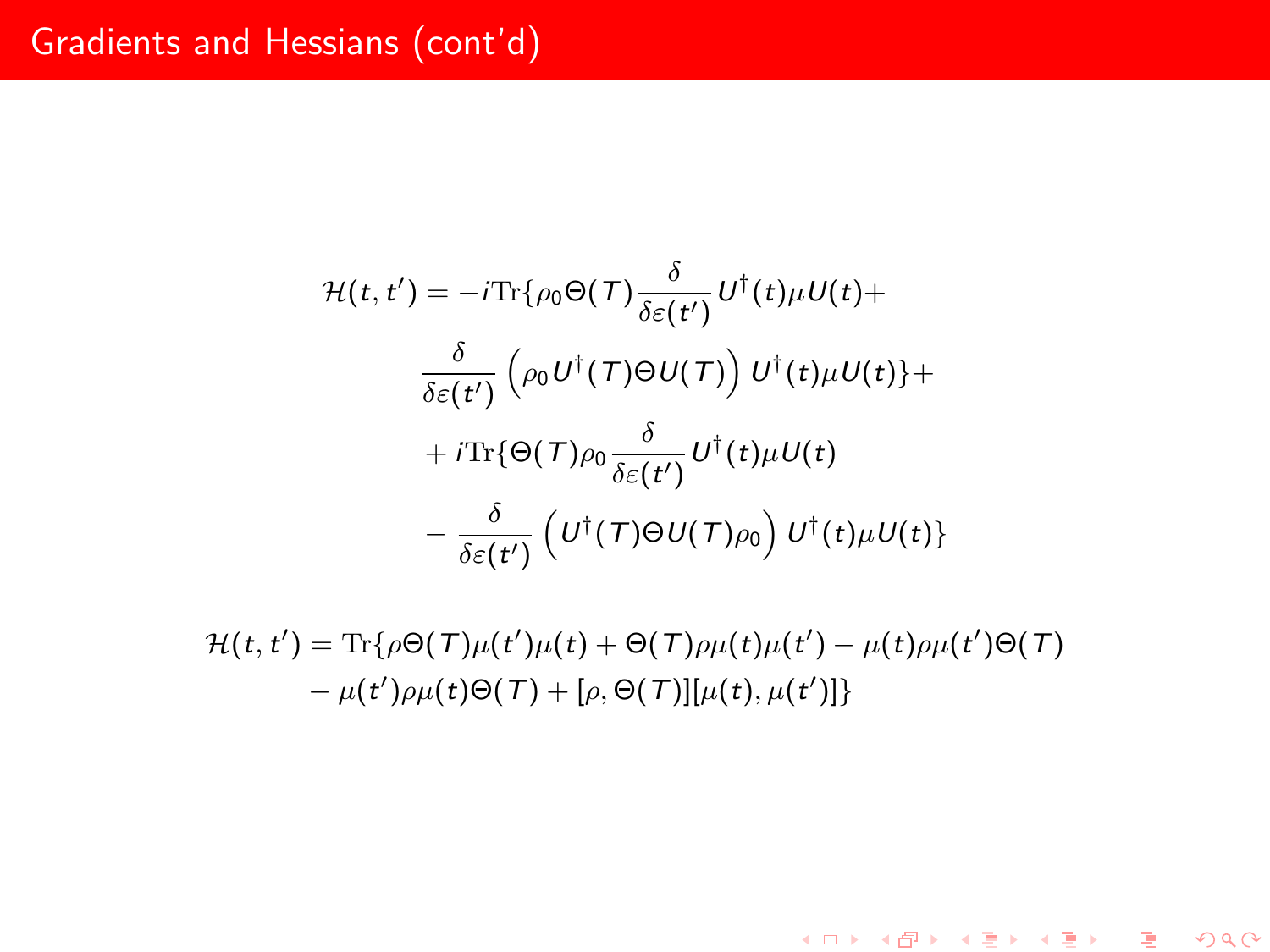# Gradients and Hessians (cont'd)

$$
\mathcal{H}(t, t') = -i \text{Tr}\{\rho_0 \Theta(\mathcal{T}) \frac{\delta}{\delta \varepsilon(t')} U^{\dagger}(t) \mu U(t) +
$$

$$
\frac{\delta}{\delta \varepsilon(t')} \left( \rho_0 U^{\dagger}(\mathcal{T}) \Theta U(\mathcal{T}) \right) U^{\dagger}(t) \mu U(t) \} +
$$

$$
+ i \text{Tr}\{\Theta(\mathcal{T}) \rho_0 \frac{\delta}{\delta \varepsilon(t')} U^{\dagger}(t) \mu U(t)
$$

$$
- \frac{\delta}{\delta \varepsilon(t')} \left( U^{\dagger}(\mathcal{T}) \Theta U(\mathcal{T}) \rho_0 \right) U^{\dagger}(t) \mu U(t) \}
$$

 $\mathcal{H}(t,t') = \text{Tr}\{\rho \Theta(\mathcal{T})\mu(t')\mu(t) + \Theta(\mathcal{T})\rho\mu(t)\mu(t') - \mu(t)\rho\mu(t')\Theta(\mathcal{T})\}$  $-\mu(t')\rho\mu(t)\Theta(T) + [\rho, \Theta(T)][\mu(t), \mu(t')]$ 

K ロ ▶ K 레 ▶ K 코 ▶ K 코 ▶ │ 코 │ ⊙ Q Q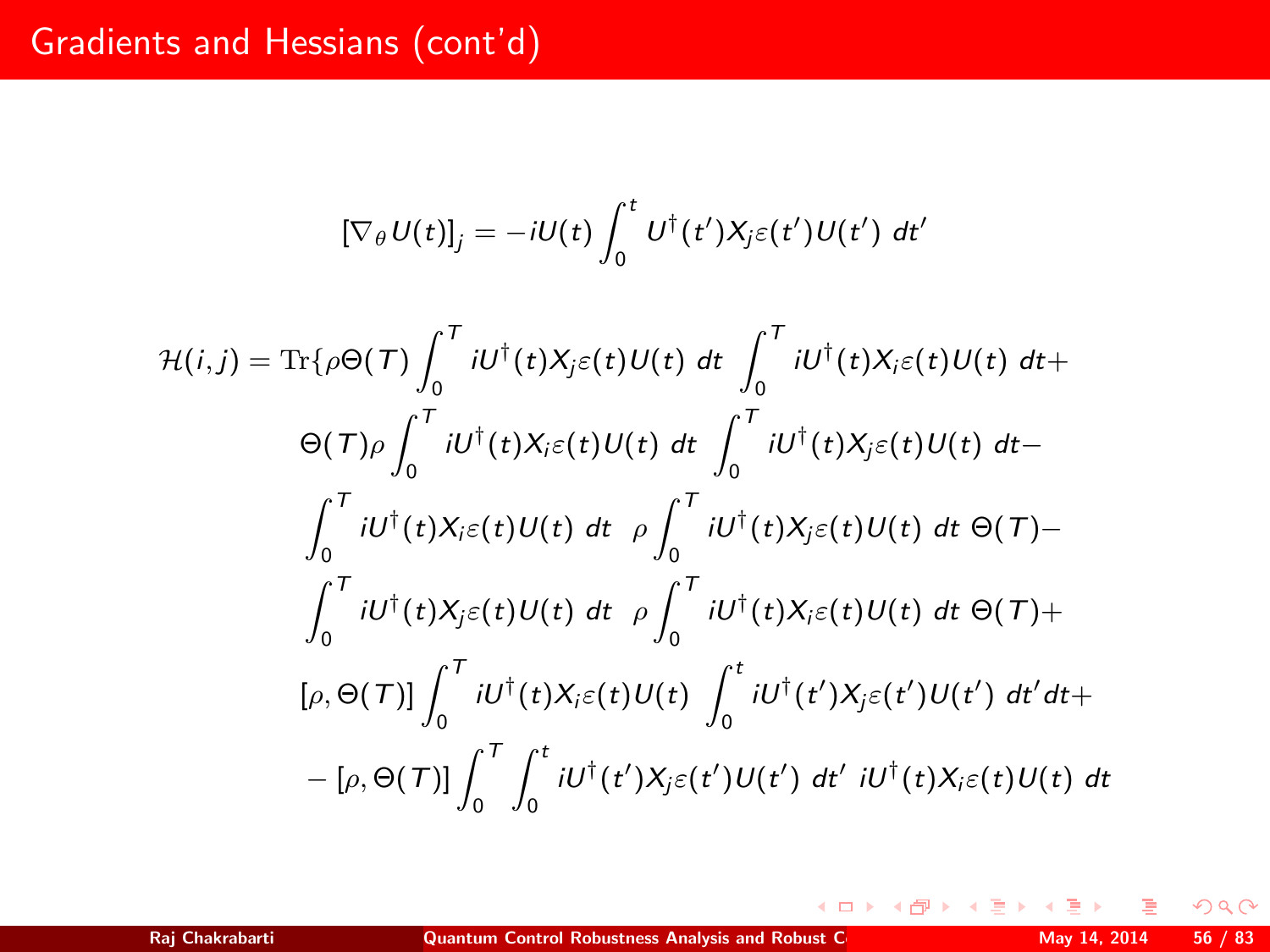# Gradients and Hessians (cont'd)

$$
[\nabla_{\theta} U(t)]_{j} = -iU(t) \int_{0}^{t} U^{\dagger}(t^{\prime}) X_{j} \varepsilon(t^{\prime}) U(t^{\prime}) dt^{\prime}
$$
  
\n
$$
\mathcal{H}(i,j) = \text{Tr}\{\rho \Theta(\mathcal{T}) \int_{0}^{\mathcal{T}} iU^{\dagger}(t) X_{j} \varepsilon(t) U(t) dt \int_{0}^{\mathcal{T}} iU^{\dagger}(t) X_{i} \varepsilon(t) U(t) dt +
$$
  
\n
$$
\Theta(\mathcal{T}) \rho \int_{0}^{\mathcal{T}} iU^{\dagger}(t) X_{i} \varepsilon(t) U(t) dt \int_{0}^{\mathcal{T}} iU^{\dagger}(t) X_{j} \varepsilon(t) U(t) dt -
$$
  
\n
$$
\int_{0}^{\mathcal{T}} iU^{\dagger}(t) X_{i} \varepsilon(t) U(t) dt \rho \int_{0}^{\mathcal{T}} iU^{\dagger}(t) X_{j} \varepsilon(t) U(t) dt \Theta(\mathcal{T}) -
$$
  
\n
$$
\int_{0}^{\mathcal{T}} iU^{\dagger}(t) X_{j} \varepsilon(t) U(t) dt \rho \int_{0}^{\mathcal{T}} iU^{\dagger}(t) X_{i} \varepsilon(t) U(t) dt \Theta(\mathcal{T}) +
$$
  
\n
$$
[\rho, \Theta(\mathcal{T})] \int_{0}^{\mathcal{T}} iU^{\dagger}(t) X_{i} \varepsilon(t) U(t) \int_{0}^{\mathcal{t}} iU^{\dagger}(t^{\prime}) X_{j} \varepsilon(t^{\prime}) U(t^{\prime}) dt^{\prime} dt +
$$
  
\n
$$
- [\rho, \Theta(\mathcal{T})] \int_{0}^{\mathcal{T}} \int_{0}^{\mathcal{t}} iU^{\dagger}(t^{\prime}) X_{j} \varepsilon(t^{\prime}) U(t^{\prime}) dt^{\prime} iU^{\dagger}(t) X_{i} \varepsilon(t) U(t) dt
$$

э

**K ロト K 御 ト K 差 ト K** 

 $2Q$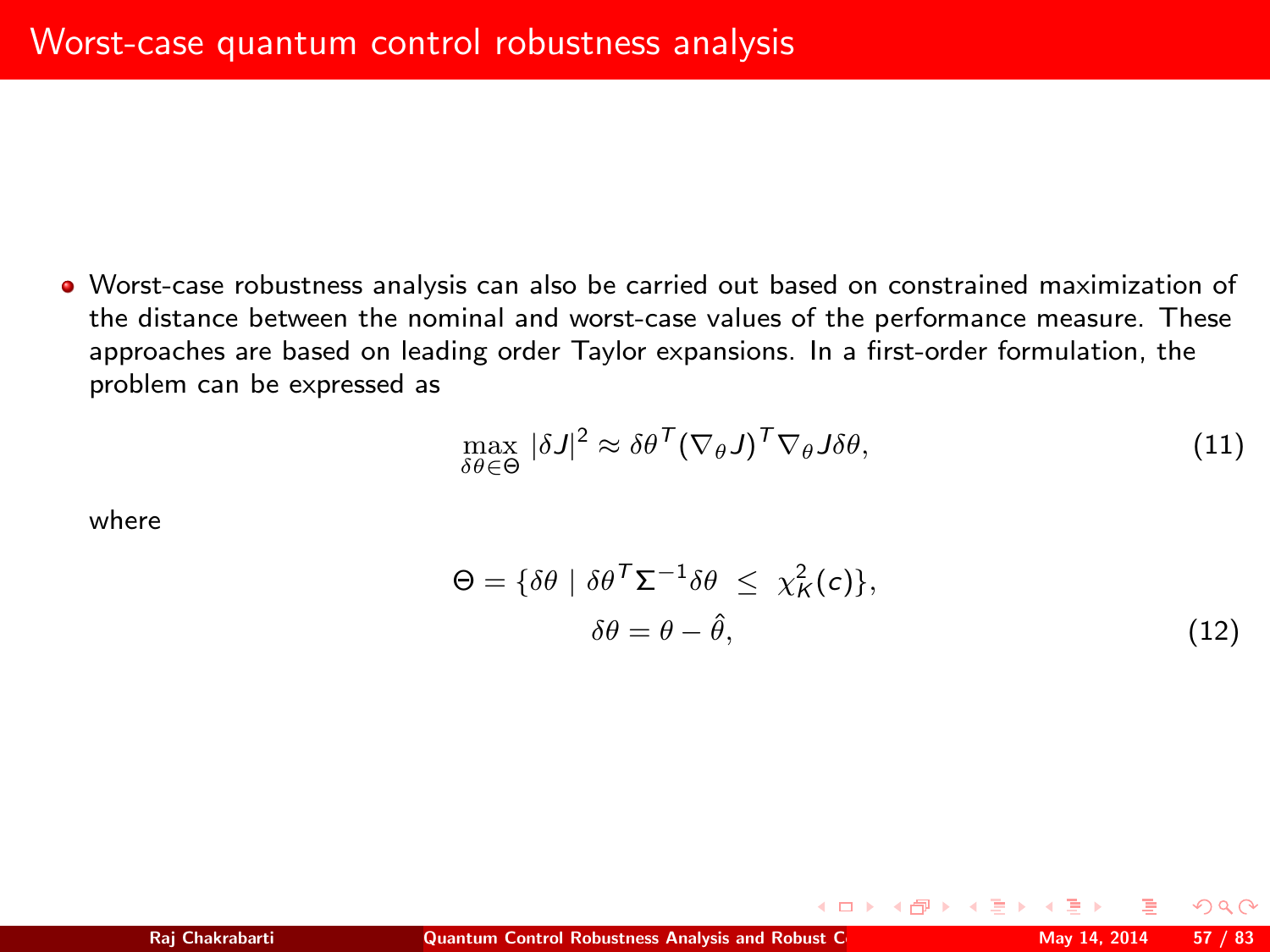Worst-case robustness analysis can also be carried out based on constrained maximization of the distance between the nominal and worst-case values of the performance measure. These approaches are based on leading order Taylor expansions. In a first-order formulation, the problem can be expressed as

<span id="page-56-0"></span>
$$
\max_{\delta\theta \in \Theta} |\delta J|^2 \approx \delta\theta^{\mathsf{T}} (\nabla_{\theta} J)^{\mathsf{T}} \nabla_{\theta} J \delta\theta,\tag{11}
$$

where

$$
\Theta = \{ \delta \theta \mid \delta \theta^{\mathsf{T}} \Sigma^{-1} \delta \theta \le \chi_K^2(c) \},\
$$

$$
\delta \theta = \theta - \hat{\theta},\tag{12}
$$

<span id="page-56-1"></span> $\Omega$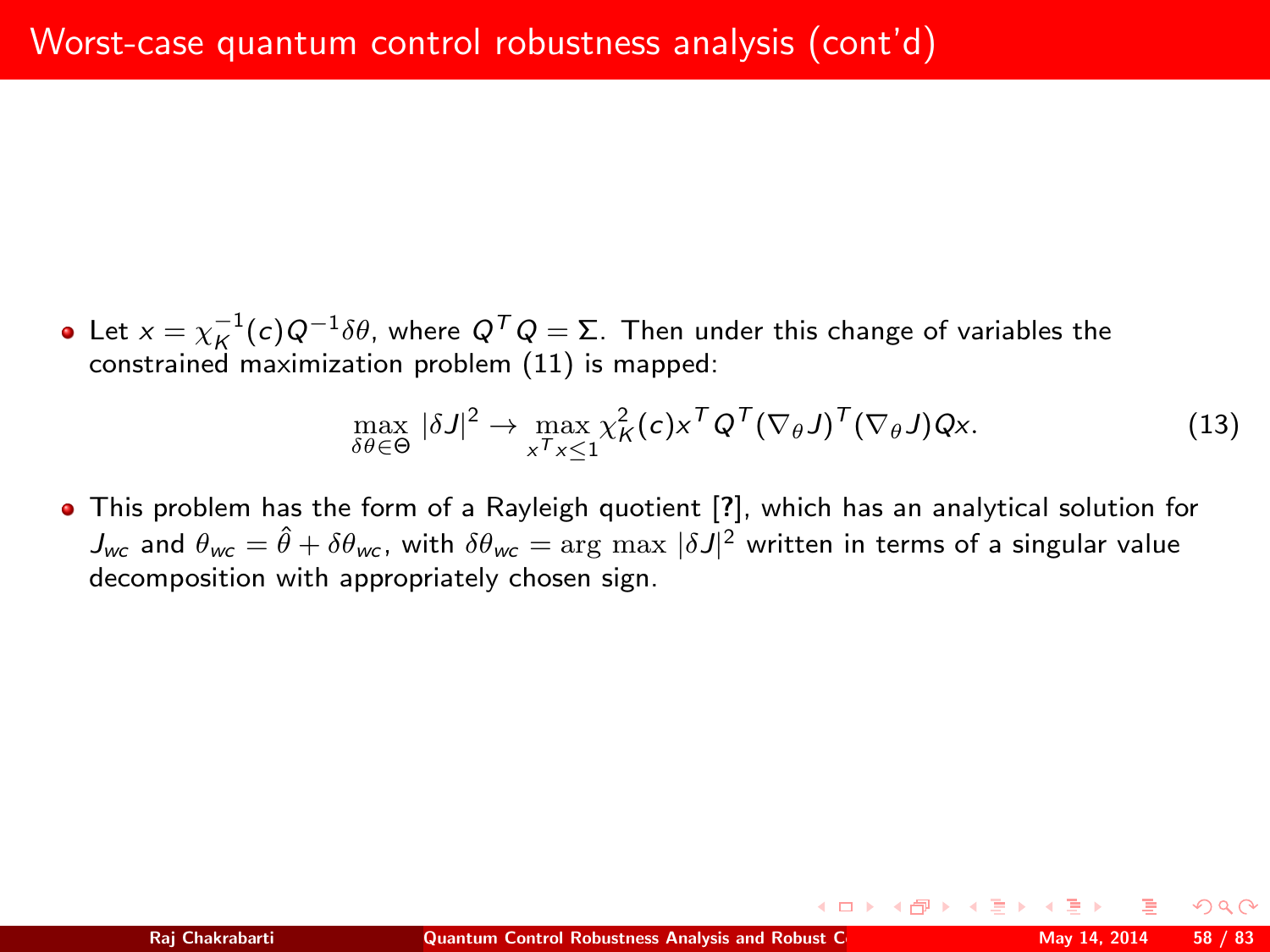Let  $x = \chi_K^{-1}(c)Q^{-1}\delta\theta$ , where  $Q^T Q = \Sigma$ . Then under this change of variables the constrained maximization problem [\(11\)](#page-56-0) is mapped:

$$
\max_{\delta\theta\in\Theta}|\delta J|^2 \to \max_{x^{\mathsf{T}}x \leq 1} \chi_K^2(c) x^{\mathsf{T}} Q^{\mathsf{T}} (\nabla_{\theta} J)^{\mathsf{T}} (\nabla_{\theta} J) Qx. \tag{13}
$$

This problem has the form of a Rayleigh quotient [?], which has an analytical solution for  $J_{\sf wc}$  and  $\theta_{\sf wc}=\hat\theta+\delta\theta_{\sf wc}$ , with  $\delta\theta_{\sf wc}= \arg\max|\delta J|^2$  written in terms of a singular value decomposition with appropriately chosen sign.

 $\Omega$ 

**K ロ ▶ | K 伊 ▶ | K ヨ ▶** |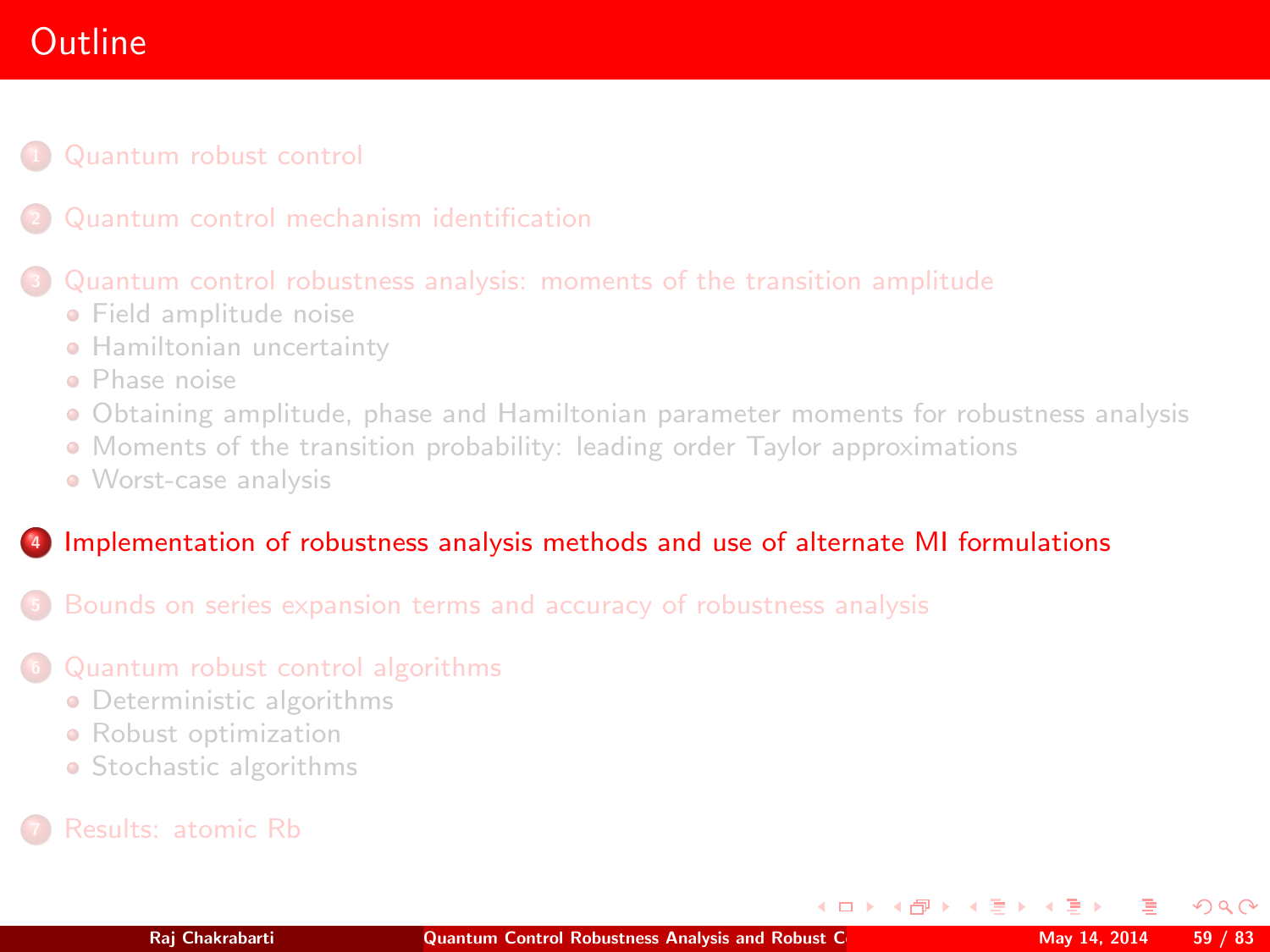# **Outline**

- [Quantum robust control](#page-2-0)
- 

## [Quantum control robustness analysis: moments of the transition amplitude](#page-25-0)

- **•** [Field amplitude noise](#page-27-0)
- **[Hamiltonian uncertainty](#page-39-0)**
- [Phase noise](#page-43-0)
- [Obtaining amplitude, phase and Hamiltonian parameter moments for robustness analysis](#page-46-0)
- [Moments of the transition probability: leading order Taylor approximations](#page-48-0)
- [Worst-case analysis](#page-56-1)

## <sup>4</sup> [Implementation of robustness analysis methods and use of alternate MI formulations](#page-58-0)

- <sup>5</sup> [Bounds on series expansion terms and accuracy of robustness analysis](#page-61-0)
- <sup>6</sup> [Quantum robust control algorithms](#page-68-0)
	- **•** [Deterministic algorithms](#page-71-0)
	- **•** [Robust optimization](#page-78-0)
	- [Stochastic algorithms](#page-79-0)
- 

<span id="page-58-0"></span> $\Omega$ 

**K ロ ト K 何 ト K ヨ ト K**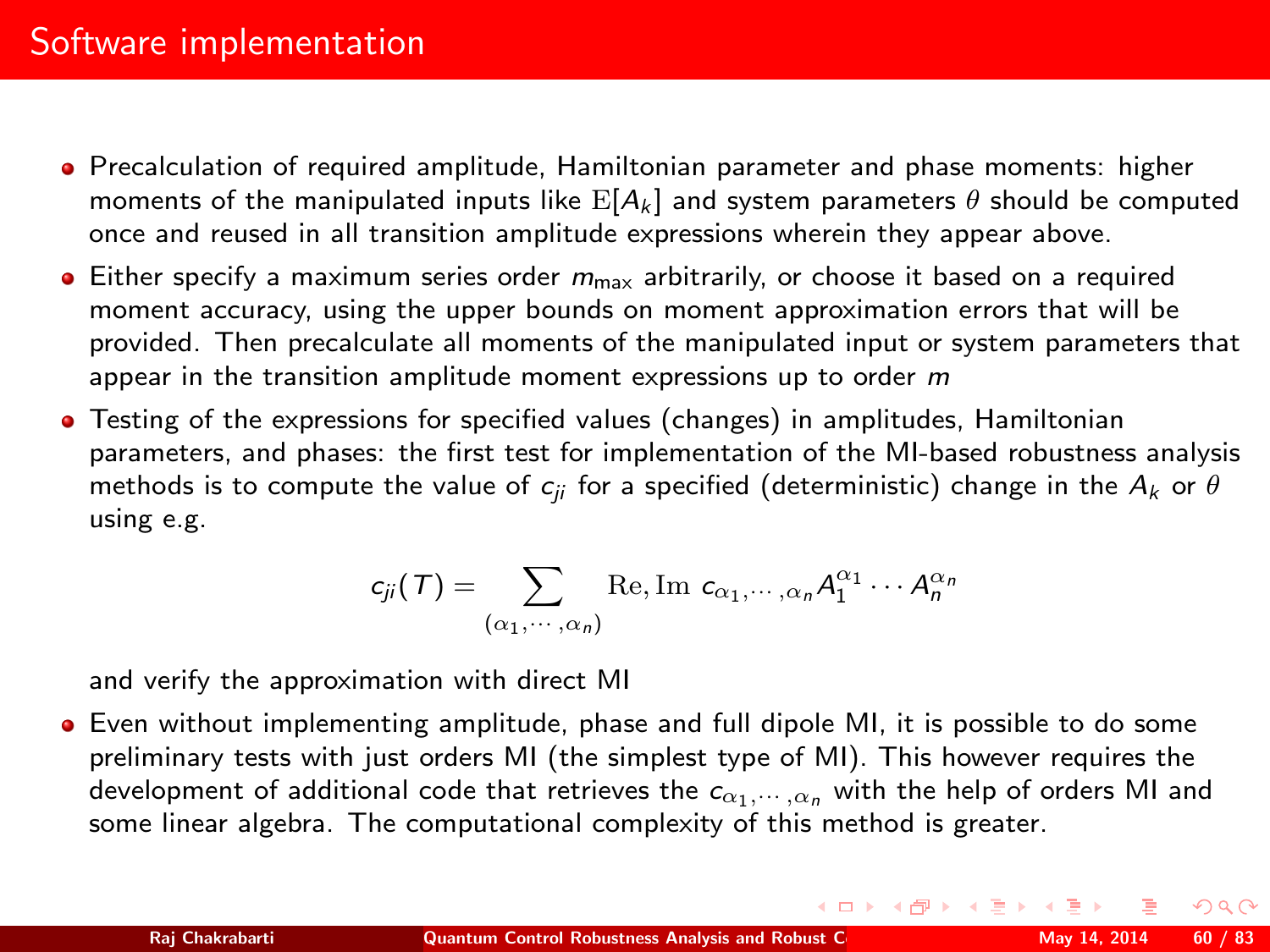- Precalculation of required amplitude, Hamiltonian parameter and phase moments: higher moments of the manipulated inputs like  $E[A_k]$  and system parameters  $\theta$  should be computed once and reused in all transition amplitude expressions wherein they appear above.
- $\bullet$  Either specify a maximum series order  $m_{\text{max}}$  arbitrarily, or choose it based on a required moment accuracy, using the upper bounds on moment approximation errors that will be provided. Then precalculate all moments of the manipulated input or system parameters that appear in the transition amplitude moment expressions up to order  $m$
- Testing of the expressions for specified values (changes) in amplitudes, Hamiltonian parameters, and phases: the first test for implementation of the MI-based robustness analysis methods is to compute the value of  $c_{ii}$  for a specified (deterministic) change in the  $A_k$  or  $\theta$ using e.g.

$$
c_{ji}(T) = \sum_{(\alpha_1,\cdots,\alpha_n)} \text{Re}, \text{Im } c_{\alpha_1,\cdots,\alpha_n} A_1^{\alpha_1} \cdots A_n^{\alpha_n}
$$

and verify the approximation with direct MI

Even without implementing amplitude, phase and full dipole MI, it is possible to do some preliminary tests with just orders MI (the simplest type of MI). This however requires the development of additional code that retrieves the  $c_{\alpha_1,\cdots,\alpha_n}$  with the help of orders MI and some linear algebra. The computational complexity of this method is greater.

 $\Omega$ 

イロト イ母ト イヨト イヨ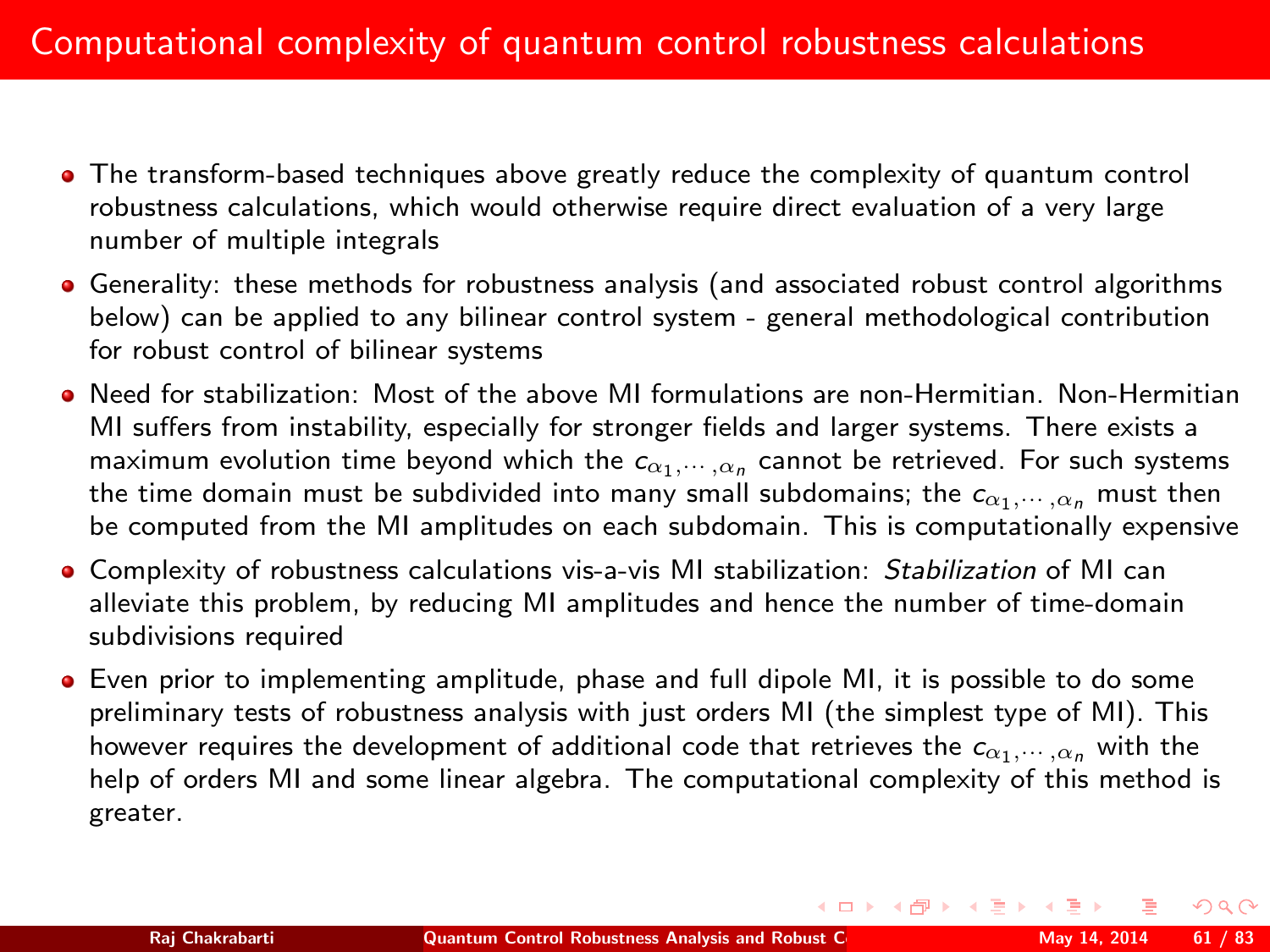- The transform-based techniques above greatly reduce the complexity of quantum control robustness calculations, which would otherwise require direct evaluation of a very large number of multiple integrals
- Generality: these methods for robustness analysis (and associated robust control algorithms below) can be applied to any bilinear control system - general methodological contribution for robust control of bilinear systems
- Need for stabilization: Most of the above MI formulations are non-Hermitian. Non-Hermitian MI suffers from instability, especially for stronger fields and larger systems. There exists a maximum evolution time beyond which the  $c_{\alpha_1,\cdots,\alpha_n}$  cannot be retrieved. For such systems the time domain must be subdivided into many small subdomains; the  $c_{\alpha_1,\dots,\alpha_n}$  must then be computed from the MI amplitudes on each subdomain. This is computationally expensive
- Complexity of robustness calculations vis-a-vis MI stabilization: Stabilization of MI can alleviate this problem, by reducing MI amplitudes and hence the number of time-domain subdivisions required
- Even prior to implementing amplitude, phase and full dipole MI, it is possible to do some preliminary tests of robustness analysis with just orders MI (the simplest type of MI). This however requires the development of additional code that retrieves the  $c_{\alpha_1,\cdots,\alpha_n}$  with the help of orders MI and some linear algebra. The computational complexity of this method is greater.

 $\Omega$ 

 $\left\{ \begin{array}{ccc} 1 & 0 & 0 \\ 0 & 1 & 0 \end{array} \right.$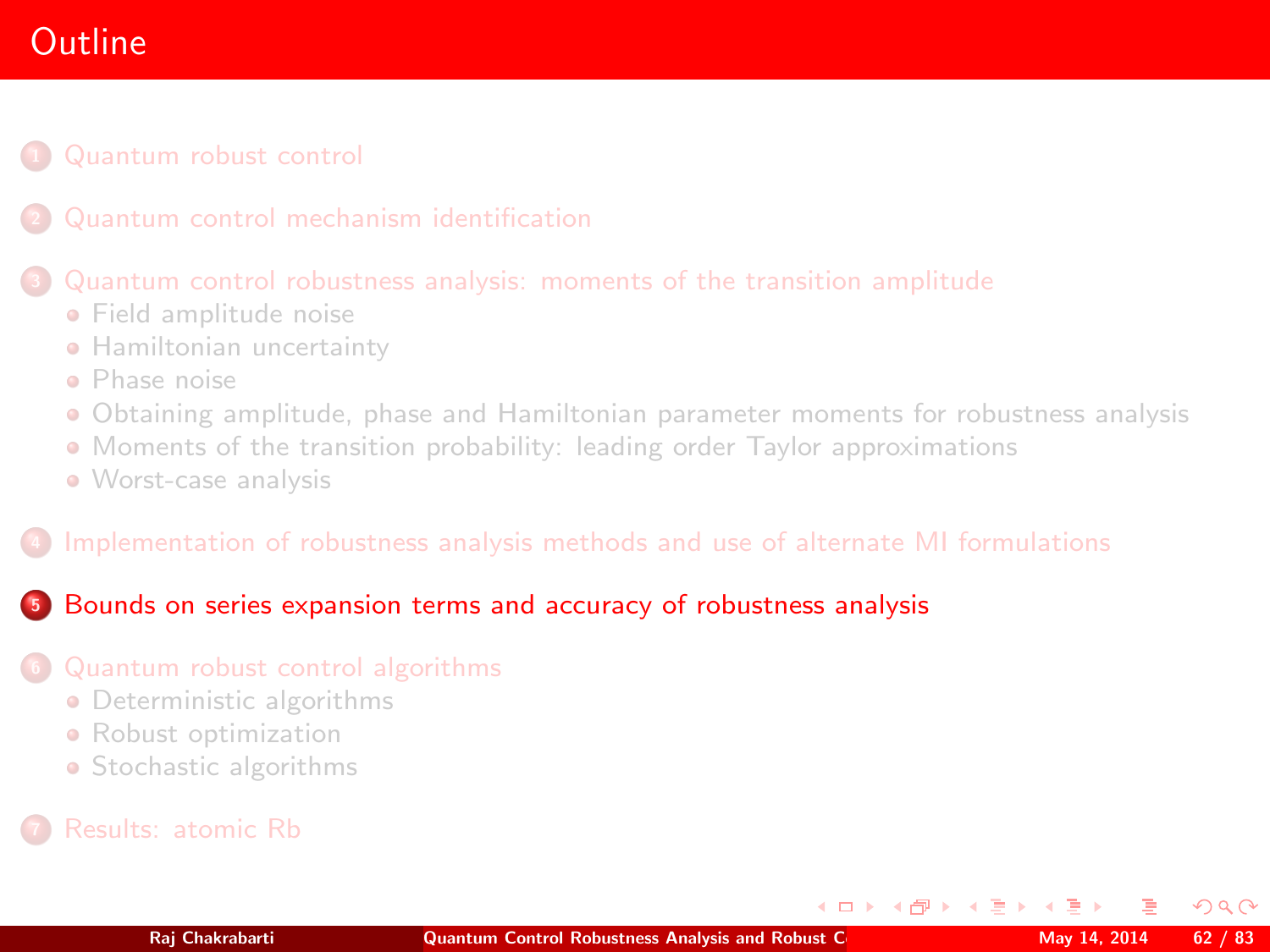# **Outline**

## [Quantum robust control](#page-2-0)

### [Quantum control robustness analysis: moments of the transition amplitude](#page-25-0)

- **•** [Field amplitude noise](#page-27-0)
- **[Hamiltonian uncertainty](#page-39-0)**
- [Phase noise](#page-43-0)
- [Obtaining amplitude, phase and Hamiltonian parameter moments for robustness analysis](#page-46-0)
- [Moments of the transition probability: leading order Taylor approximations](#page-48-0)
- [Worst-case analysis](#page-56-1)

### <sup>4</sup> [Implementation of robustness analysis methods and use of alternate MI formulations](#page-58-0)

### <sup>5</sup> [Bounds on series expansion terms and accuracy of robustness analysis](#page-61-0)

### <sup>6</sup> [Quantum robust control algorithms](#page-68-0)

- **•** [Deterministic algorithms](#page-71-0)
- **•** [Robust optimization](#page-78-0)
- [Stochastic algorithms](#page-79-0)

<span id="page-61-0"></span> $\Omega$ 

**K ロ ト K 何 ト K ヨ ト K**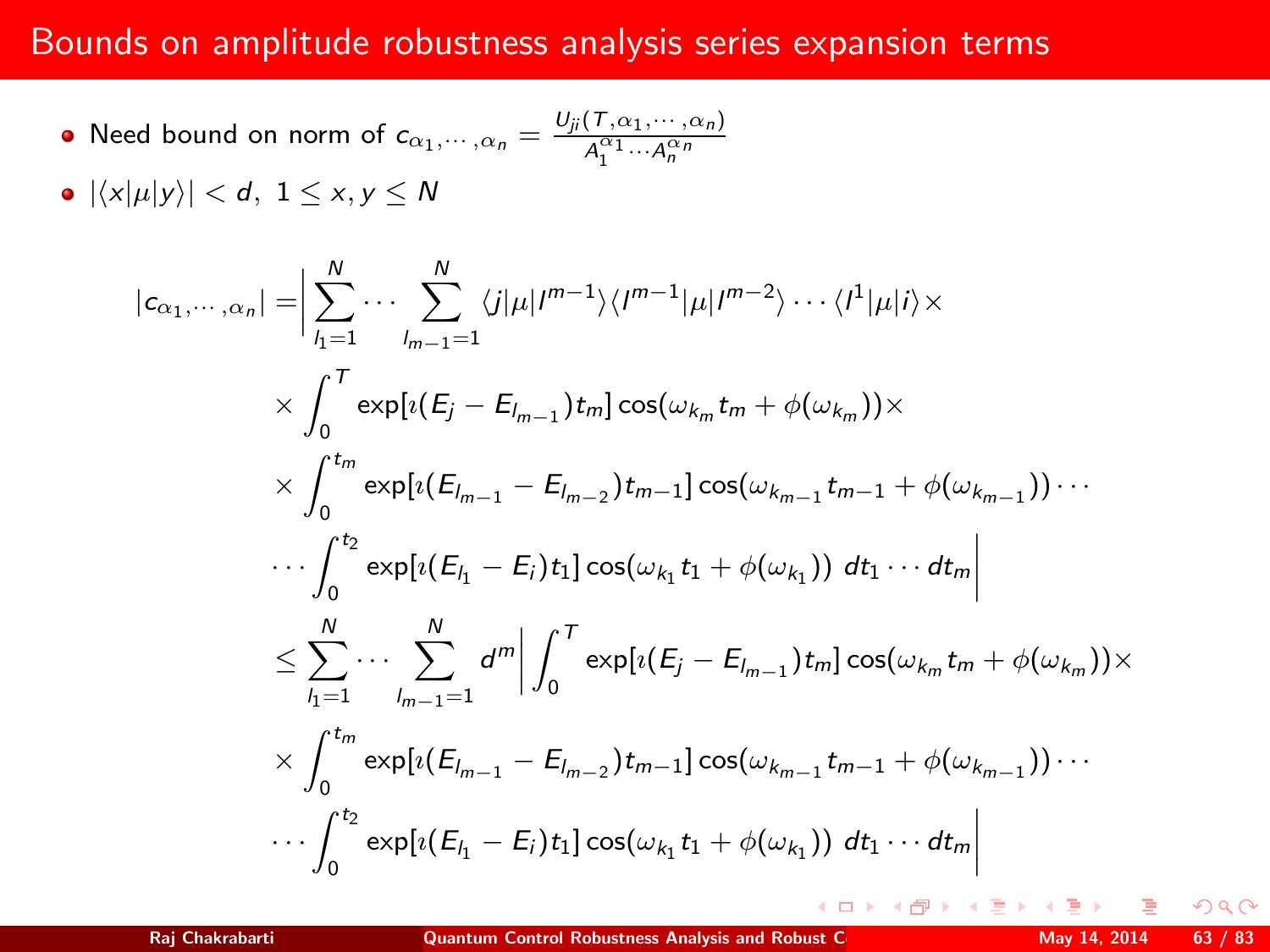## Bounds on amplitude robustness analysis series expansion terms

• Need bound on norm of 
$$
c_{\alpha_1,\cdots,\alpha_n} = \frac{U_{ji}(T,\alpha_1,\cdots,\alpha_n)}{A_1^{\alpha_1}\cdots A_n^{\alpha_n}}
$$

 $\bullet$   $|\langle x|\mu|y\rangle| < d$ ,  $1 \le x, y \le N$ 

$$
|c_{\alpha_1, \dots, \alpha_n}| = \Big| \sum_{l_1=1}^N \dots \sum_{l_{m-1}=1}^N \langle j | \mu | I^{m-1} \rangle \langle I^{m-1} | \mu | I^{m-2} \rangle \dots \langle I^1 | \mu | i \rangle \times
$$
  
\times  $\int_0^T \exp[i(E_j - E_{l_{m-1}}) t_m] \cos(\omega_{k_m} t_m + \phi(\omega_{k_m})) \times$   
\times  $\int_0^{t_m} \exp[i(E_{l_{m-1}} - E_{l_{m-2}}) t_{m-1}] \cos(\omega_{k_{m-1}} t_{m-1} + \phi(\omega_{k_{m-1}})) \dots$   
\times  $\int_0^{t_2} \exp[i(E_{l_1} - E_i) t_1] \cos(\omega_{k_1} t_1 + \phi(\omega_{k_1})) dt_1 \dots dt_m \Big|$   
\times  $\sum_{l_1=1}^N \dots \sum_{l_{m-1}=1}^N d^m \Big| \int_0^T \exp[i(E_j - E_{l_{m-1}}) t_m] \cos(\omega_{k_m} t_m + \phi(\omega_{k_m})) \times$   
\times  $\int_0^{t_m} \exp[i(E_{l_{m-1}} - E_{l_{m-2}}) t_{m-1}] \cos(\omega_{k_{m-1}} t_{m-1} + \phi(\omega_{k_{m-1}})) \dots$   
\times  $\int_0^{t_2} \exp[i(E_{l_1} - E_i) t_1] \cos(\omega_{k_1} t_1 + \phi(\omega_{k_1})) dt_1 \dots dt_m \Big|$ 

 $QQ$ 

**K ロ ▶ K 何 ▶ K** 

ヨト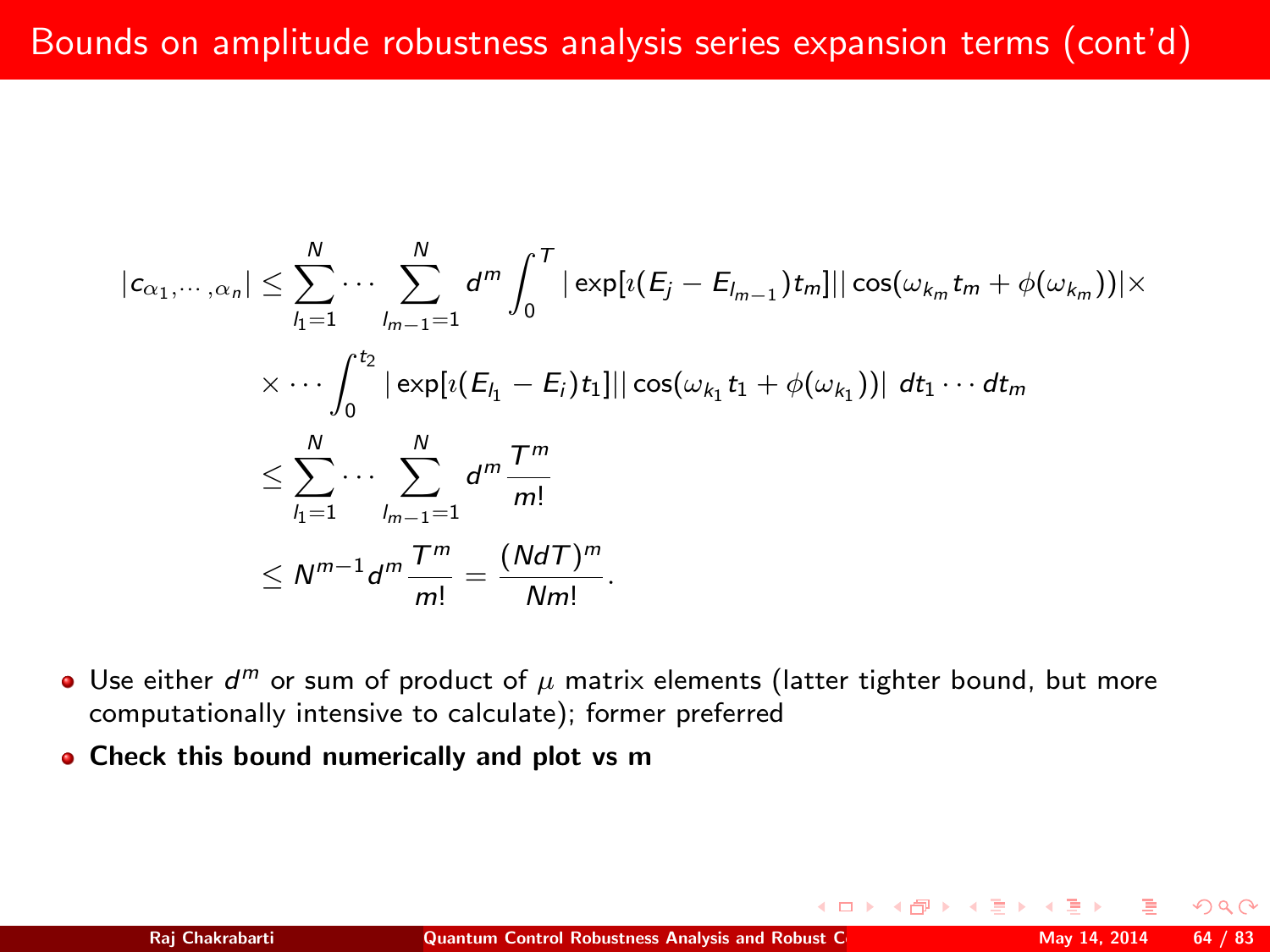$$
|c_{\alpha_1, \dots, \alpha_n}| \leq \sum_{l_1=1}^N \dots \sum_{l_{m-1}=1}^N d^m \int_0^T |\exp[i(E_j - E_{l_{m-1}})t_m]| |\cos(\omega_{k_m} t_m + \phi(\omega_{k_m}))| \times
$$
  

$$
\times \dots \int_0^{t_2} |\exp[i(E_{l_1} - E_i)t_1]| |\cos(\omega_{k_1} t_1 + \phi(\omega_{k_1}))| dt_1 \dots dt_m
$$
  

$$
\leq \sum_{l_1=1}^N \dots \sum_{l_{m-1}=1}^N d^m \frac{T^m}{m!}
$$
  

$$
\leq N^{m-1} d^m \frac{T^m}{m!} = \frac{(NdT)^m}{Nm!}.
$$

- Use either  $d^m$  or sum of product of  $\mu$  matrix elements (latter tighter bound, but more computationally intensive to calculate); former preferred
- Check this bound numerically and plot vs m

 $\Omega$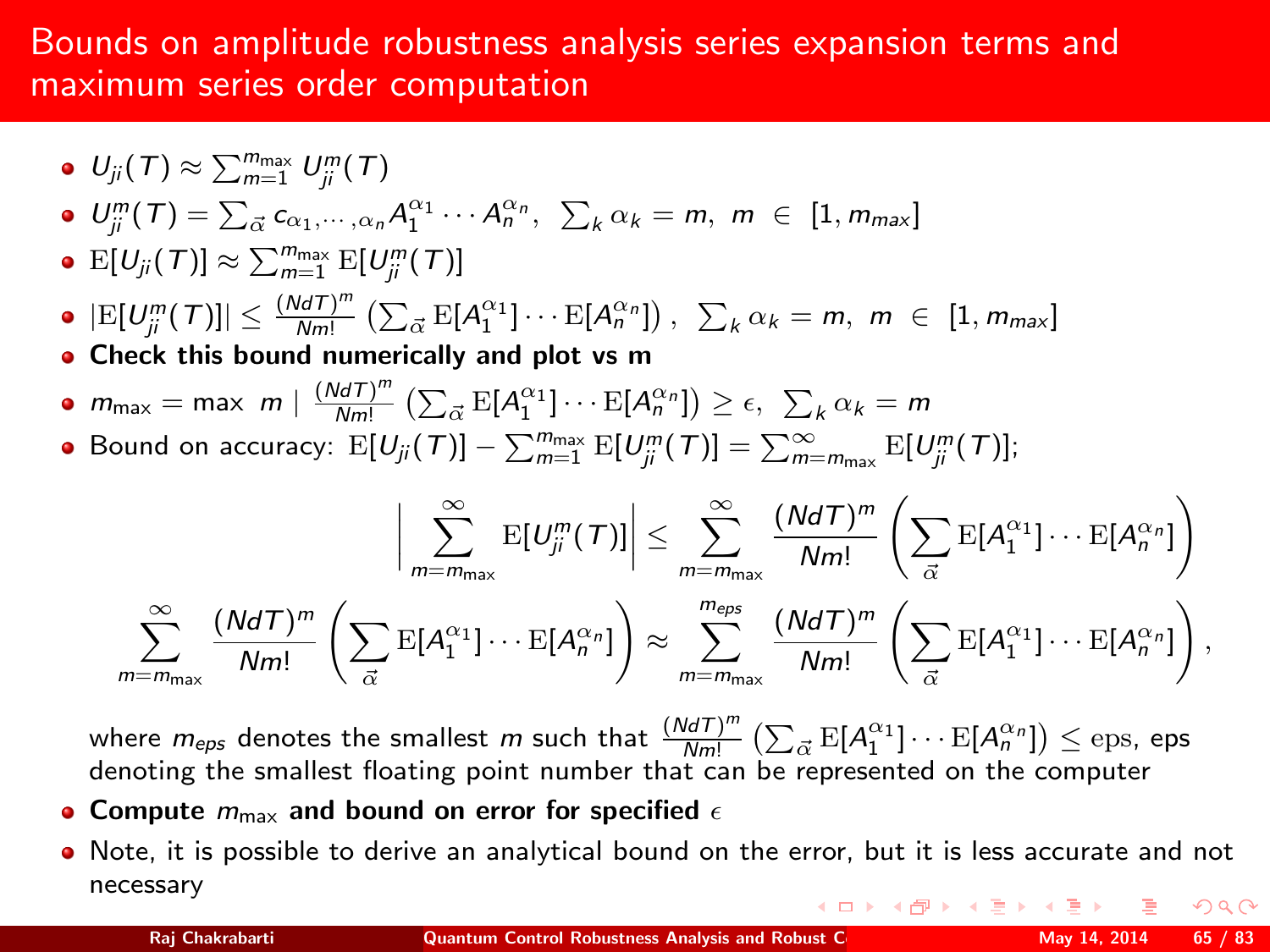## Bounds on amplitude robustness analysis series expansion terms and maximum series order computation

 $U_{ji}(\mathcal{T}) \approx \sum_{m=1}^{m_{\text{max}}} U_{ji}^m(\mathcal{T})$  $U_{ji}^m(T) = \sum_{\vec{\alpha}} c_{\alpha_1,\cdots,\alpha_n} A_1^{\alpha_1} \cdots A_n^{\alpha_n}, \ \sum_{k} \alpha_k = m, \ m \in [1, m_{max}]$  $\mathbb{E}[U_{ji}(\mathcal{T})] \approx \sum_{m=1}^{m_{\text{max}}} \mathbb{E}[U_{ji}^m(\mathcal{T})]$  $|\mathrm{E}[U_{ji}^m(\tau)]|\leq \frac{(Nd\tau)^m}{Nm!}$  $\frac{d\vec{\mathcal{A}}\Gamma\mathcal{)}^m}{Nm!}\left(\sum_{\vec{\alpha}}\mathrm{E}[A_1^{\alpha_1}]\cdots\mathrm{E}[A_n^{\alpha_n}]\right),\ \ \sum_{k}\alpha_k=m,\ m\ \in\ [1,m_{\text{max}}]$ • Check this bound numerically and plot vs m  $m_{\text{max}} = \text{max} \ m \mid \frac{(NdT)^m}{Nm!}$  $\frac{d\sigma T)^m}{Nm!} \left( \sum_{\vec{\alpha}} \mathrm{E}[A_1^{\alpha_1}] \cdots \mathrm{E}[A_n^{\alpha_n}] \right) \geq \epsilon, \ \sum_{k} \alpha_k = m$ Bound on accuracy:  $\mathbb{E}[U_{ji}(\mathcal{T})] - \sum_{m=1}^{m_{\text{max}}} \mathbb{E}[U_{ji}^{m}(\mathcal{T})] = \sum_{m=m_{\text{max}}}^{\infty} \mathbb{E}[U_{ji}^{m}(\mathcal{T})];$  $\begin{array}{c} \hline \end{array}$  $\sum_{i=1}^{\infty}$  $m = m_{\text{max}}$  $\mathrm{E}[U_{ji}^m(T)]\Bigg|$  $\leq$   $\sum_{n=1}^{\infty}$  $m = m_{\text{max}}$  $(NdT)^m$  $\frac{NdT)^m}{Nm!}\left(\sum_{\vec{x}}\right)$  $\vec{\alpha}$  $\mathrm{E}[A_1^{\alpha_1}]\cdots\mathrm{E}[A_n^{\alpha_n}]\bigg)$  $\sum_{i=1}^{\infty}$  $m = m_{\text{max}}$  $(NdT)^m$  $\frac{NdT)^m}{Nm!}\left(\sum_{\vec{x}}$  $\vec{\alpha}$  $\mathrm{E}[A_1^{\alpha_1}]\cdots\mathrm{E}[A_n^{\alpha_n}]\bigg)\approx$  $\sum_{i=1}^{m_{eps}}$  $m = m_{\text{max}}$  $(NdT)^m$  $\frac{d dT)^m}{N m!} \left( \sum_{\vec{x}}$  $\vec{\alpha}$  $\mathrm{E}[A_1^{\alpha_1}]\cdots\mathrm{E}[A_n^{\alpha_n}]\bigg)$  ,

where  $m_{eps}$  denotes the smallest m such that  $\frac{(NdT)^m}{Nm}$  $\frac{d d \mathcal T)^m}{\mathcal N m!}\left( \sum_{\vec \alpha} {\mathrm E}[A_1^{\alpha_1}]\cdots {\mathrm E}[A_n^{\alpha_n}]\right) \le {\rm eps},$  eps denoting the smallest floating point number that can be represented on the computer

- Compute  $m_{\text{max}}$  and bound on error for specified  $\epsilon$
- Note, it is possible to derive an analytical bound on the error, but it is less accurate and not necessary (ロ) (個) (差) (差)  $2Q$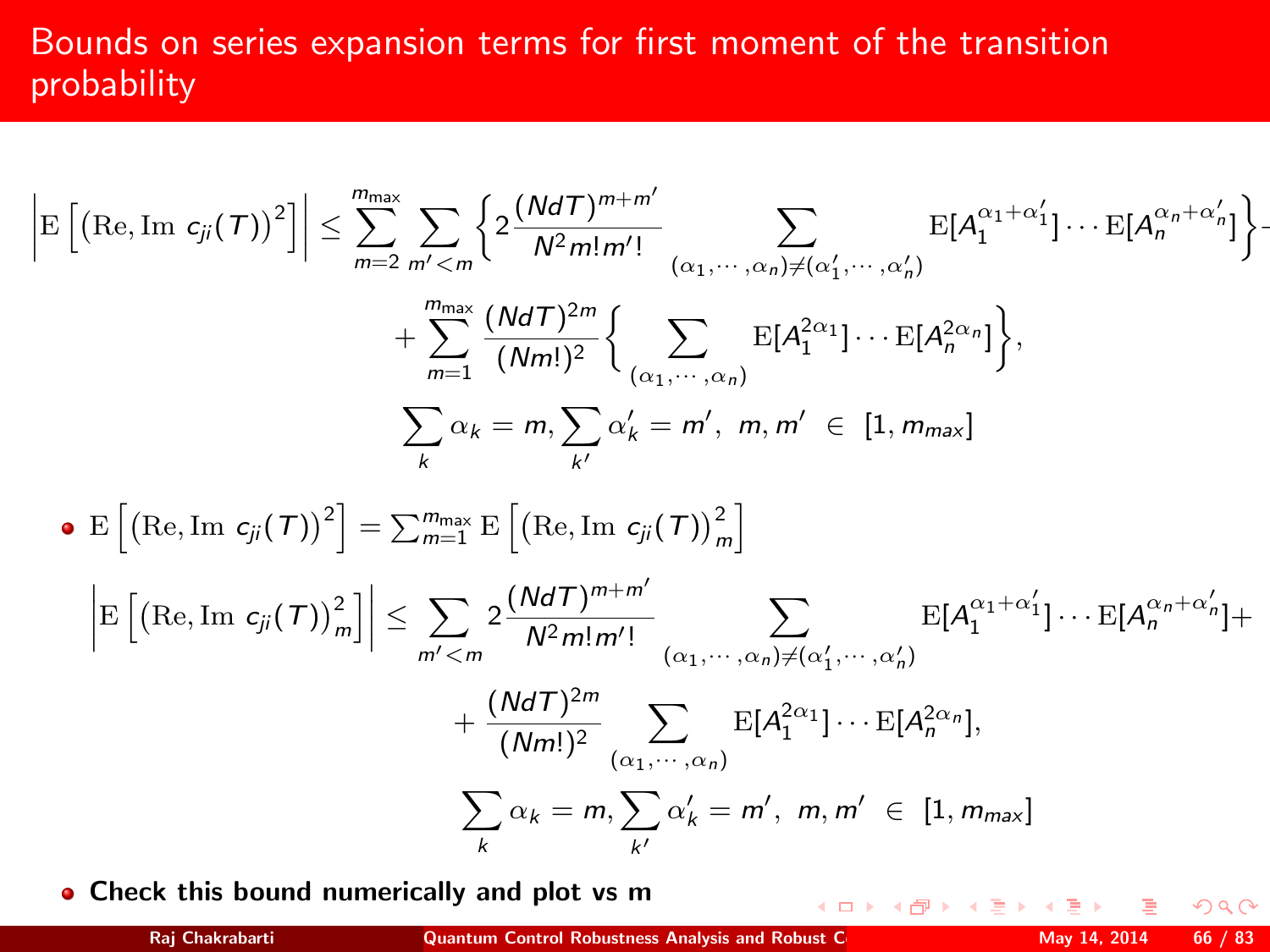# Bounds on series expansion terms for first moment of the transition probability

$$
\left| \mathbf{E} \left[ \left( \mathrm{Re}, \mathrm{Im} c_{ji}(\mathcal{T}) \right)^2 \right] \right| \leq \sum_{m=2}^{m_{max}} \sum_{m' < m} \left\{ 2 \frac{(Nd\mathcal{T})^{m+m'}}{N^2 m! m'!} \sum_{(\alpha_1, \dots, \alpha_n) \neq (\alpha'_1, \dots, \alpha'_n)} \mathbf{E}[A_1^{\alpha_1 + \alpha'_1}] \cdots \mathbf{E}[A_n^{\alpha_n + \alpha'_n}] \right\} - \sum_{m=1}^{m_{max}} \frac{(Nd\mathcal{T})^{2m}}{(Nm!)^2} \left\{ \sum_{(\alpha_1, \dots, \alpha_n)} \mathbf{E}[A_1^{2\alpha_1}] \cdots \mathbf{E}[A_n^{2\alpha_n}] \right\},
$$
\n
$$
\sum_{k} \alpha_k = m, \sum_{k'} \alpha'_k = m', \ m, m' \in [1, m_{max}]
$$
\n•  $\mathbf{E} \left[ \left( \mathrm{Re}, \mathrm{Im} c_{ji}(\mathcal{T}) \right)^2 \right] = \sum_{m=1}^{m_{max}} \mathbf{E} \left[ \left( \mathrm{Re}, \mathrm{Im} c_{ji}(\mathcal{T}) \right)_m^2 \right]$ \n
$$
\left| \mathbf{E} \left[ \left( \mathrm{Re}, \mathrm{Im} c_{ji}(\mathcal{T}) \right)_m^2 \right] \right| \leq \sum_{m' < m} 2 \frac{(Nd\mathcal{T})^{m+m'}}{N^2 m! m'!} \sum_{(\alpha_1, \dots, \alpha_n) \neq (\alpha'_1, \dots, \alpha'_n)} \mathbf{E}[A_1^{\alpha_1 + \alpha'_1}] \cdots \mathbf{E}[A_n^{\alpha_n + \alpha'_n}] + \frac{(Nd\mathcal{T})^{2m}}{(Nm!)^2} \sum_{(\alpha_1, \dots, \alpha_n)} \mathbf{E}[A_1^{2\alpha_1}] \cdots \mathbf{E}[A_n^{2\alpha_n}],
$$
\n
$$
\sum_{k} \alpha_k = m, \sum_{k'} \alpha'_k = m', \ m, m' \in [1, m_{max}]
$$

• Check this bound numerically and plot vs m

 $QQ$ 

**K ロト K 御 ト K 差 ト K**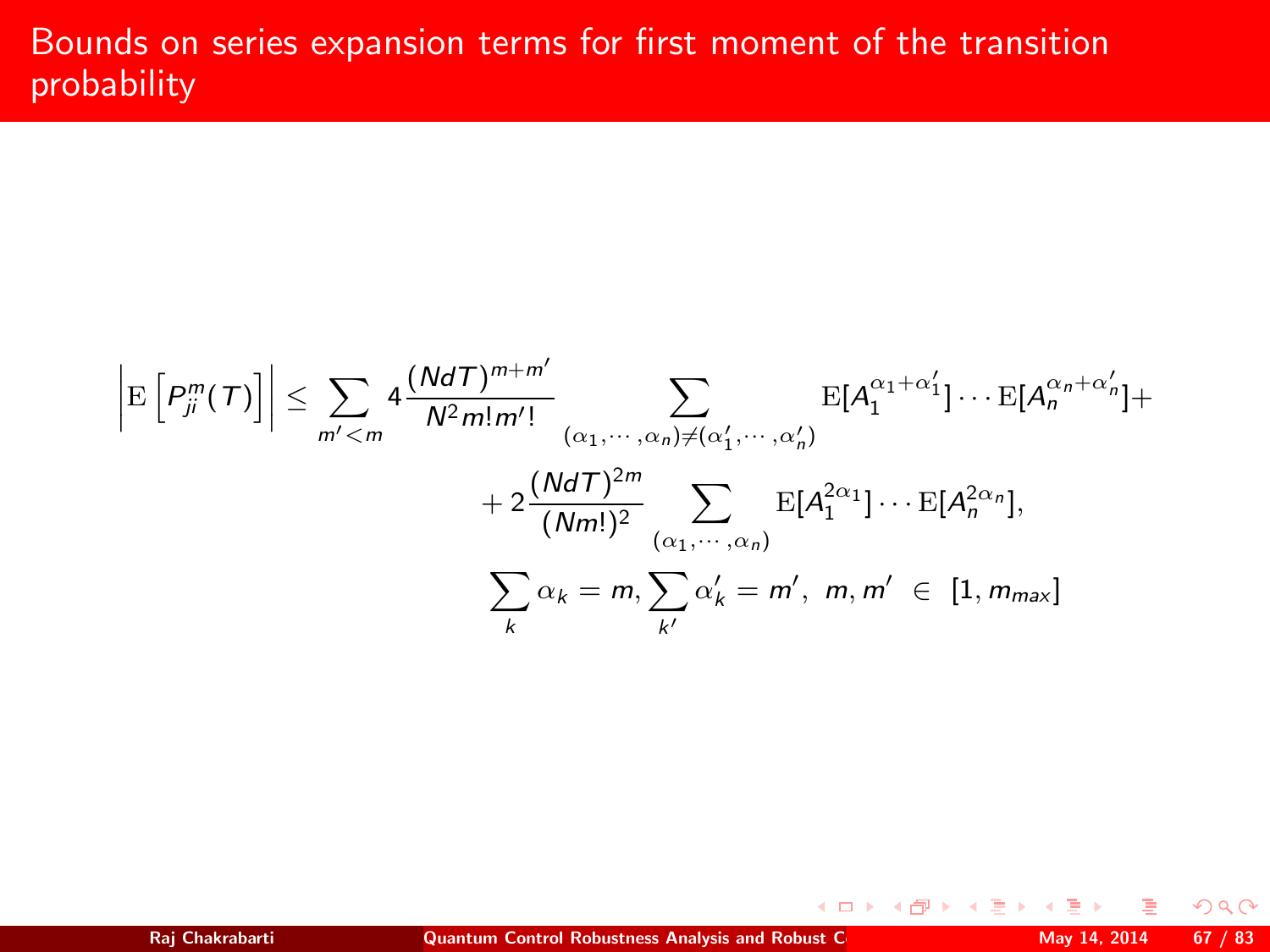# Bounds on series expansion terms for first moment of the transition probability

$$
\left| \mathbf{E}\left[P_j^m(T)\right] \right| \leq \sum_{m' < m} 4 \frac{(NdT)^{m+m'}}{N^2 m! m'!} \sum_{(\alpha_1, \dots, \alpha_n) \neq (\alpha'_1, \dots, \alpha'_n)} \mathbf{E}[A_1^{\alpha_1 + \alpha'_1}] \cdots \mathbf{E}[A_n^{\alpha_n + \alpha'_n}] +
$$
\n
$$
+ 2 \frac{(NdT)^{2m}}{(Nm!)^2} \sum_{(\alpha_1, \dots, \alpha_n)} \mathbf{E}[A_1^{2\alpha_1}] \cdots \mathbf{E}[A_n^{2\alpha_n}],
$$
\n
$$
\sum_{k} \alpha_k = m, \sum_{k'} \alpha'_k = m', \ m, m' \in [1, m_{max}]
$$

 $299$ 

**K ロ ▶ (母 ) (ミ )**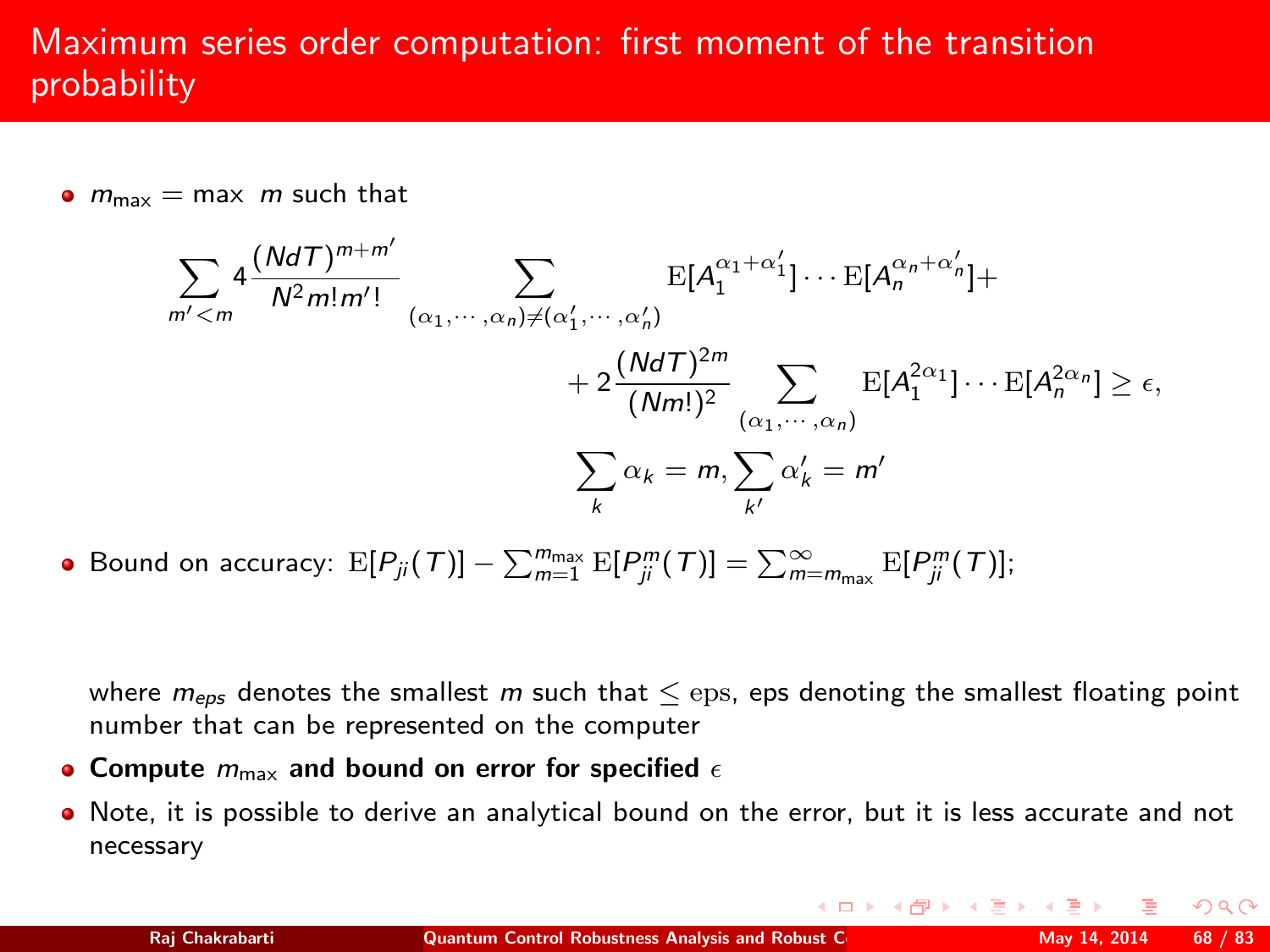# Maximum series order computation: first moment of the transition probability

 $\bullet$   $m_{\text{max}} = \text{max}$  m such that

$$
\sum_{m' < m} 4 \frac{(NdT)^{m+m'}}{N^2 m! m'!} \sum_{(\alpha_1, \cdots, \alpha_n) \neq (\alpha'_1, \cdots, \alpha'_n)} \mathbb{E}[A_1^{\alpha_1 + \alpha'_1}] \cdots \mathbb{E}[A_n^{\alpha_n + \alpha'_n}] +
$$
\n
$$
+ 2 \frac{(NdT)^{2m}}{(Nm!)^2} \sum_{(\alpha_1, \cdots, \alpha_n)} \mathbb{E}[A_1^{2\alpha_1}] \cdots \mathbb{E}[A_n^{2\alpha_n}] \geq \epsilon,
$$
\n
$$
\sum_k \alpha_k = m, \sum_{k'} \alpha'_k = m'
$$

Bound on accuracy:  $E[P_{ji}(\mathcal{T})] - \sum_{m=1}^{m_{\text{max}}} E[P_{ji}^m(\mathcal{T})] = \sum_{m=m_{\text{max}}}^{\infty} E[P_{ji}^m(\mathcal{T})];$ 

where  $m_{eps}$  denotes the smallest m such that  $\leq$  eps, eps denoting the smallest floating point number that can be represented on the computer

- Compute  $m_{\text{max}}$  and bound on error for specified  $\epsilon$
- Note, it is possible to derive an analytical bound on the error, but it is less accurate and not necessary

 $2Q$ 

K ロ ▶ K 部 ▶ K 경 ▶ K 경 ▶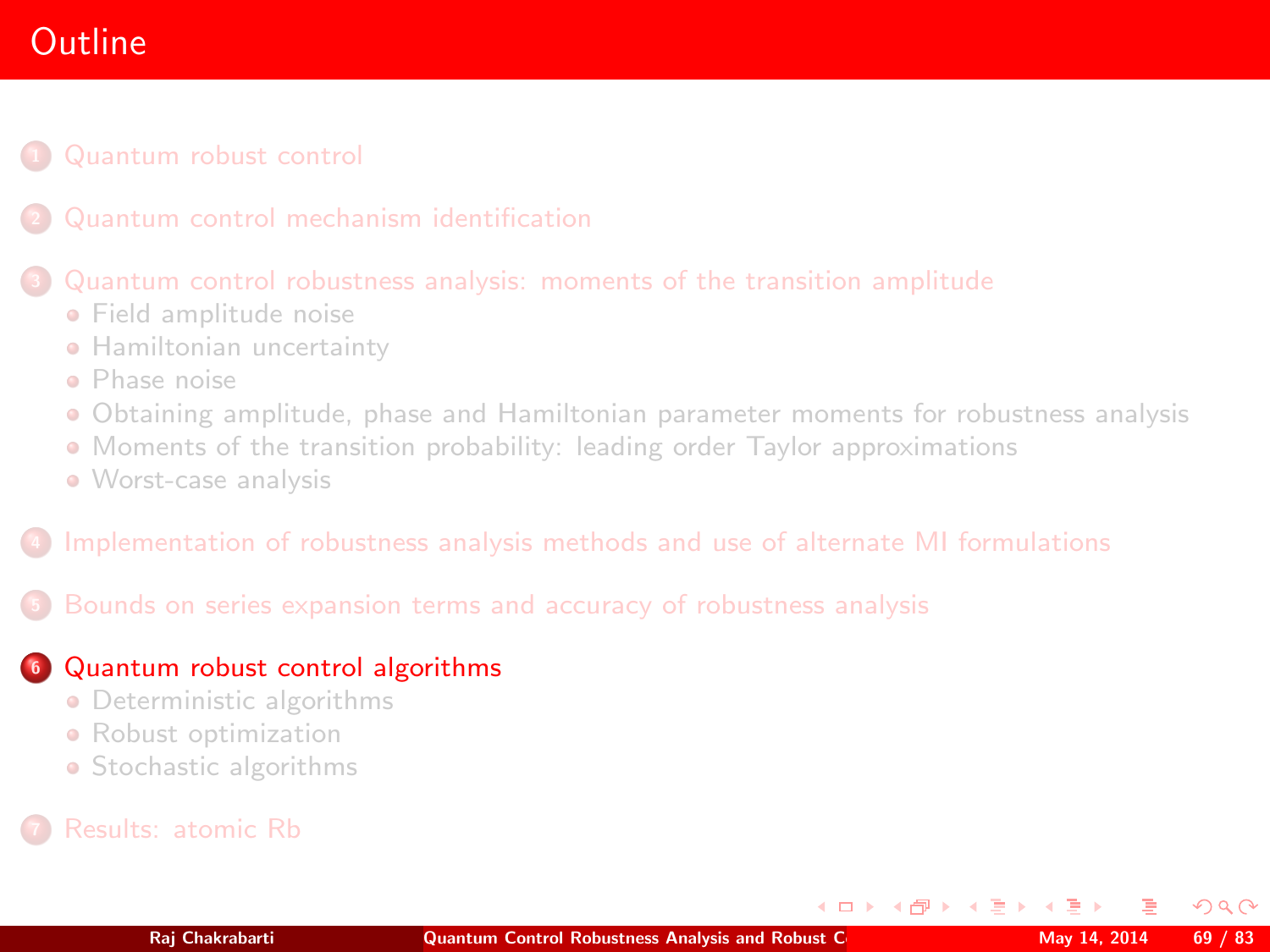# **Outline**

## [Quantum robust control](#page-2-0)

### [Quantum control robustness analysis: moments of the transition amplitude](#page-25-0)

- **•** [Field amplitude noise](#page-27-0)
- **[Hamiltonian uncertainty](#page-39-0)**
- [Phase noise](#page-43-0)
- [Obtaining amplitude, phase and Hamiltonian parameter moments for robustness analysis](#page-46-0)
- [Moments of the transition probability: leading order Taylor approximations](#page-48-0)
- [Worst-case analysis](#page-56-1)

### <sup>4</sup> [Implementation of robustness analysis methods and use of alternate MI formulations](#page-58-0)

## <sup>5</sup> [Bounds on series expansion terms and accuracy of robustness analysis](#page-61-0)

## **6** [Quantum robust control algorithms](#page-68-0)

- **•** [Deterministic algorithms](#page-71-0)
- **•** [Robust optimization](#page-78-0)
- [Stochastic algorithms](#page-79-0)

<span id="page-68-0"></span> $\Omega$ 

 $\left\{ \begin{array}{ccc} 1 & 0 & 0 \\ 0 & 1 & 0 \end{array} \right.$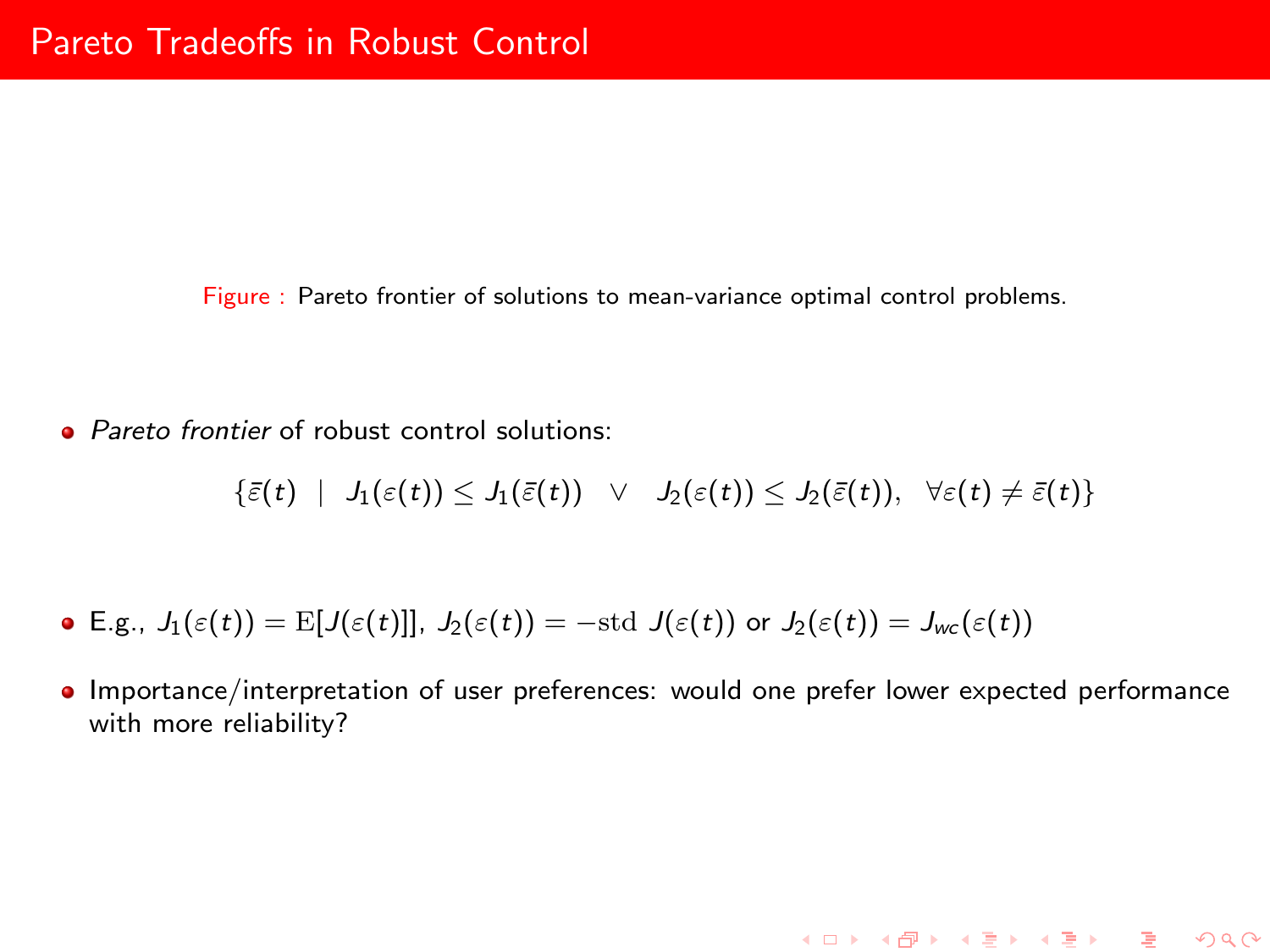Figure : Pareto frontier of solutions to mean-variance optimal control problems.

• *Pareto frontier* of robust control solutions:

 $\{\bar{\varepsilon}(t) \mid J_1(\varepsilon(t)) \leq J_1(\bar{\varepsilon}(t)) \quad \vee \quad J_2(\varepsilon(t)) \leq J_2(\bar{\varepsilon}(t)), \quad \forall \varepsilon(t) \neq \bar{\varepsilon}(t)\}\,$ 

- **E.g.,**  $J_1(\varepsilon(t)) = \mathbb{E}[J(\varepsilon(t))], J_2(\varepsilon(t)) = -\text{std } J(\varepsilon(t))$  or  $J_2(\varepsilon(t)) = J_{wc}(\varepsilon(t))$
- Importance/interpretation of user preferences: would one prefer lower expected performance with more reliability?

K ロ ▶ K @ ▶ K 할 ▶ K 할 ▶ ... 할 ... 900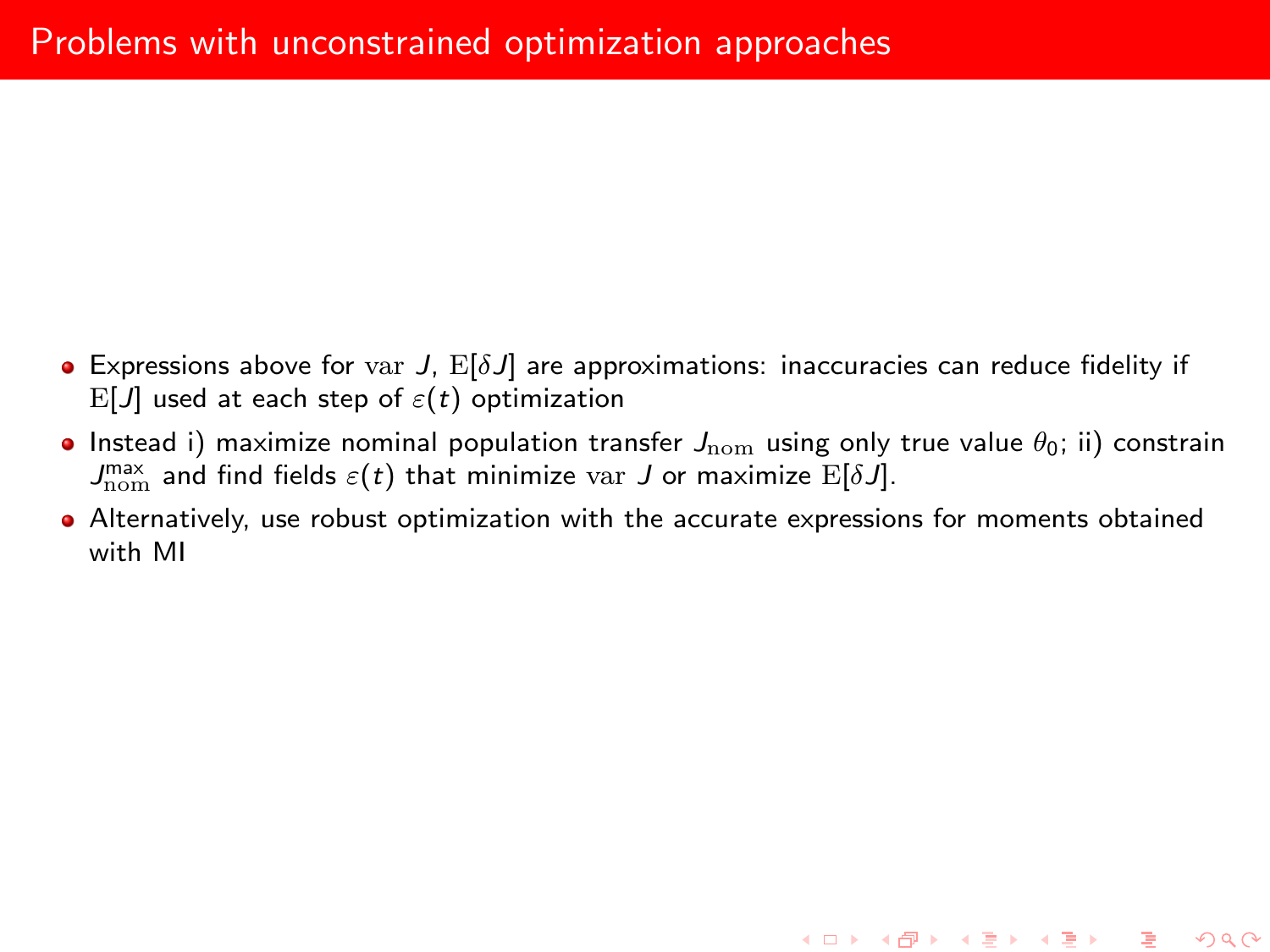- **Expressions above for var J,**  $E[\delta J]$  **are approximations: inaccuracies can reduce fidelity if** E[J] used at each step of  $\varepsilon(t)$  optimization
- **Instead i) maximize nominal population transfer**  $J_{\text{nom}}$  **using only true value**  $\theta_0$ **; ii) constrain**  $J_\mathrm{nom}^\mathrm{max}$  and find fields  $\varepsilon(t)$  that minimize var  $J$  or maximize  $\mathrm{E}[\delta J].$
- Alternatively, use robust optimization with the accurate expressions for moments obtained with MI

K ロ ▶ K @ ▶ K 할 ▶ K 할 ▶ 이 할 → 900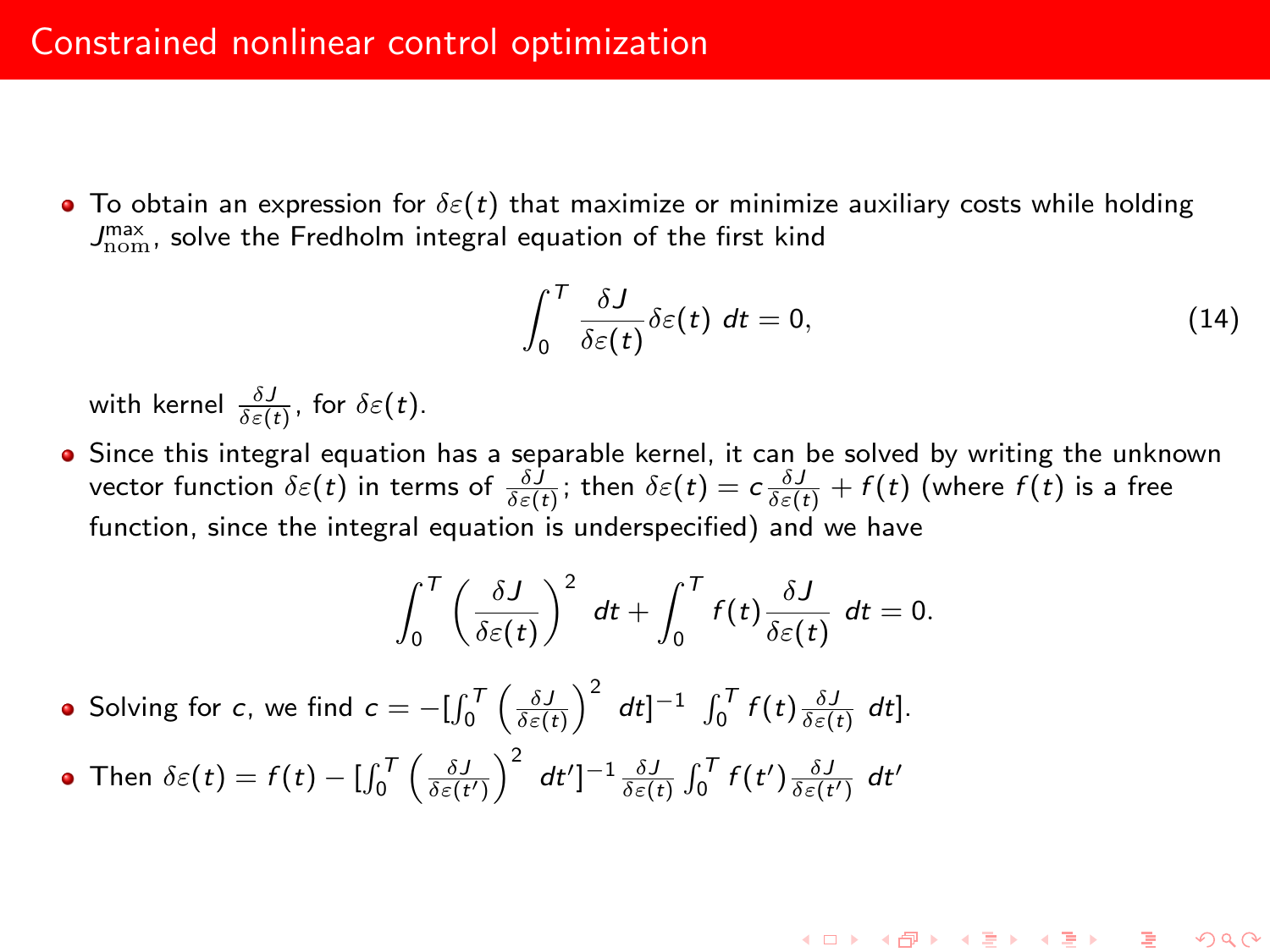• To obtain an expression for  $\delta \varepsilon(t)$  that maximize or minimize auxiliary costs while holding  $J_{\rm nom}^{\rm max}$ , solve the Fredholm integral equation of the first kind

$$
\int_0^T \frac{\delta J}{\delta \varepsilon(t)} \delta \varepsilon(t) dt = 0, \qquad (14)
$$

K ロ ▶ K @ ▶ K 할 ▶ K 할 ▶ ... 할

 $290$ 

with kernel  $\frac{\delta J}{\delta \varepsilon(t)}$ , for  $\delta \varepsilon(t)$ .

Since this integral equation has a separable kernel, it can be solved by writing the unknown vector function  $\delta \varepsilon(t)$  in terms of  $\frac{\delta J}{\delta \varepsilon(t)};$  then  $\delta \varepsilon(t)=c\frac{\delta J}{\delta \varepsilon(t)}+f(t)$  (where  $f(t)$  is a free function, since the integral equation is underspecified) and we have

$$
\int_0^T \left(\frac{\delta J}{\delta \varepsilon(t)}\right)^2 dt + \int_0^T f(t) \frac{\delta J}{\delta \varepsilon(t)} dt = 0.
$$

Solving for c, we find  $c = -\left[\int_0^T \left(\frac{\delta J}{\delta \varepsilon(t)}\right)^2 dt\right]^{-1} \int_0^T f(t) \frac{\delta J}{\delta \varepsilon(t)} dt$ .

<span id="page-71-0"></span>Then  $\delta \varepsilon(t) = f(t) - \left[\int_0^T \left(\frac{\delta J}{\delta \varepsilon(t')} \right)^2 dt'\right]^{-1} \frac{\delta J}{\delta \varepsilon(t)} \int_0^T f(t') \frac{\delta J}{\delta \varepsilon(t')} dt'$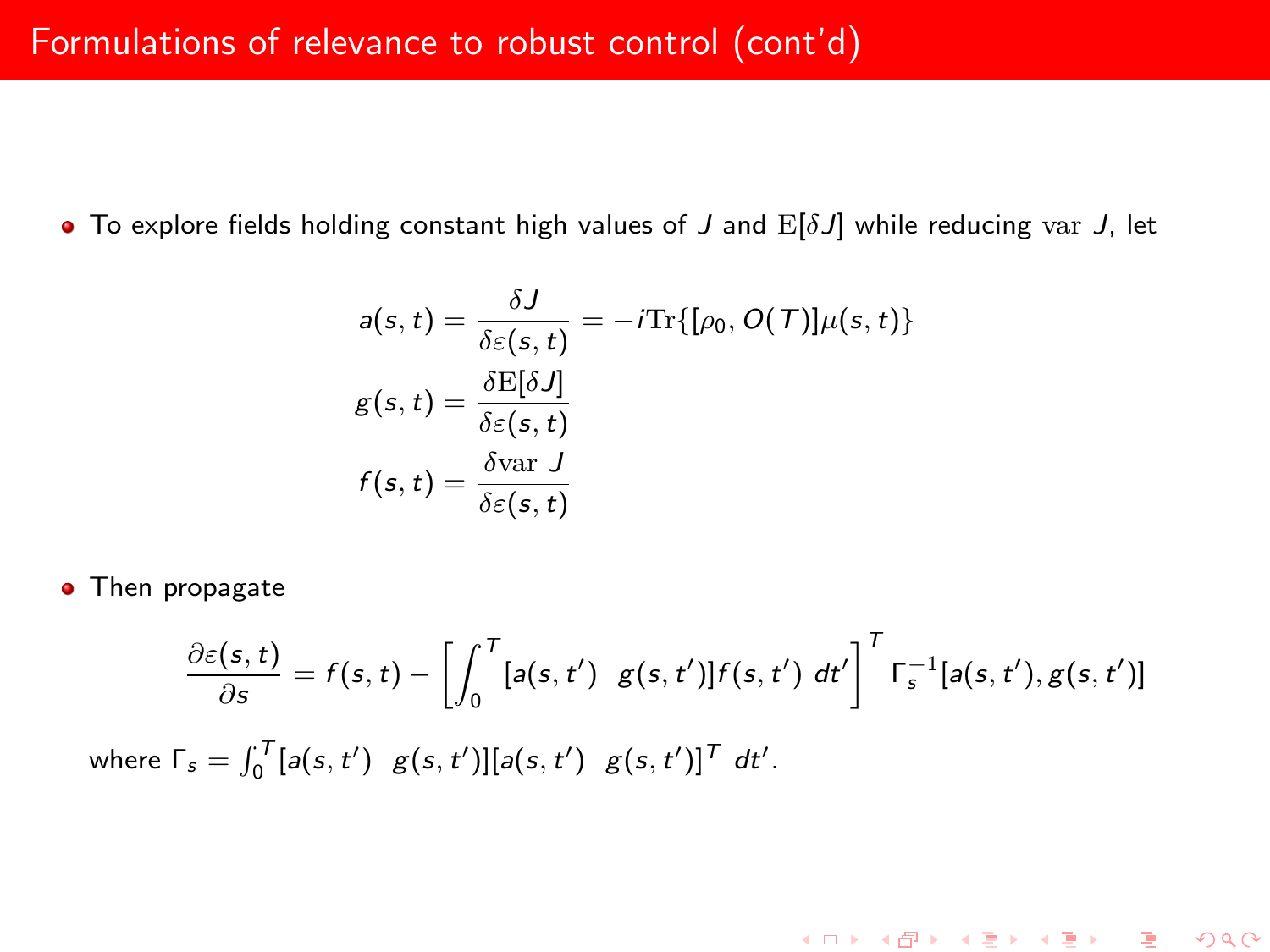$\bullet$  To explore fields holding constant high values of J and  $E[\delta J]$  while reducing var J, let

$$
a(s, t) = \frac{\delta J}{\delta \varepsilon(s, t)} = -i \text{Tr}\{[\rho_0, O(T)] \mu(s, t)\}
$$

$$
g(s, t) = \frac{\delta \mathbb{E}[\delta J]}{\delta \varepsilon(s, t)}
$$

$$
f(s, t) = \frac{\delta \text{var } J}{\delta \varepsilon(s, t)}
$$

• Then propagate

$$
\frac{\partial \varepsilon(s,t)}{\partial s} = f(s,t) - \left[ \int_0^T [a(s,t') g(s,t')] f(s,t') dt' \right]^T \Gamma_s^{-1}[a(s,t'), g(s,t')]
$$

K ロ ▶ K @ ▶ K 할 ▶ K 할 ▶ ... 할 ... 900

where  $\Gamma_s = \int_0^T [a(s, t') g(s, t')] [a(s, t') g(s, t')]^T dt'$ .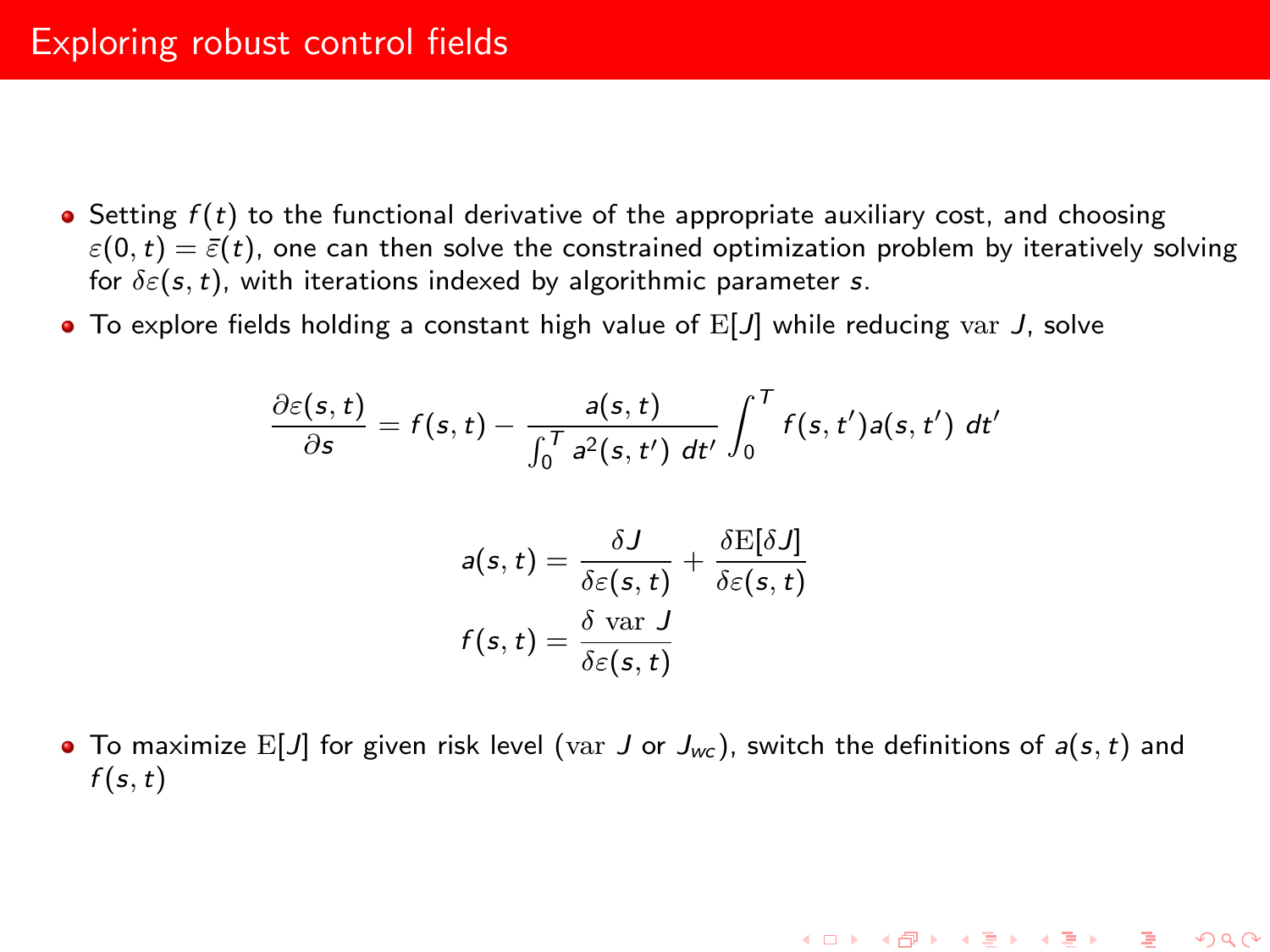# Exploring robust control fields

- $\bullet$  Setting  $f(t)$  to the functional derivative of the appropriate auxiliary cost, and choosing  $\varepsilon(0,t) = \bar{\varepsilon}(t)$ , one can then solve the constrained optimization problem by iteratively solving for  $\delta \varepsilon(s,t)$ , with iterations indexed by algorithmic parameter s.
- $\bullet$  To explore fields holding a constant high value of  $E[J]$  while reducing var J, solve

$$
\frac{\partial \varepsilon(s,t)}{\partial s} = f(s,t) - \frac{a(s,t)}{\int_0^T a^2(s,t') dt'} \int_0^T f(s,t') a(s,t') dt'
$$

$$
a(s, t) = \frac{\delta J}{\delta \varepsilon(s, t)} + \frac{\delta E[\delta J]}{\delta \varepsilon(s, t)}
$$

$$
f(s, t) = \frac{\delta \text{ var } J}{\delta \varepsilon(s, t)}
$$

• To maximize E[J] for given risk level (var J or  $J_{wc}$ ), switch the definitions of  $a(s, t)$  and  $f(s,t)$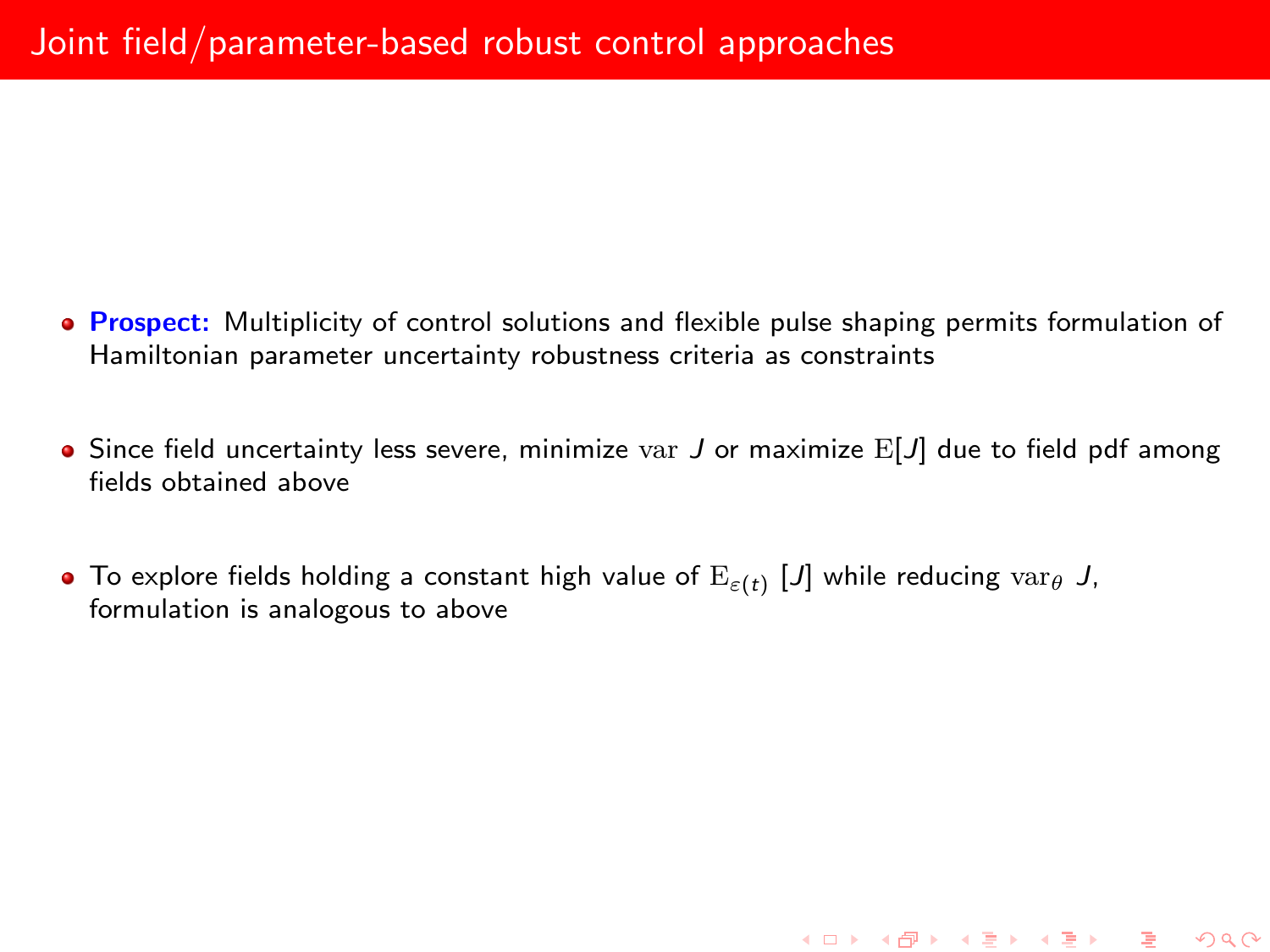- **Prospect:** Multiplicity of control solutions and flexible pulse shaping permits formulation of Hamiltonian parameter uncertainty robustness criteria as constraints
- $\bullet$  Since field uncertainty less severe, minimize var J or maximize  $E[J]$  due to field pdf among fields obtained above

To explore fields holding a constant high value of  $\mathrm{E}_{\varepsilon(t)}$   $[J]$  while reducing  $\mathrm{var}_\theta$   $J$ , formulation is analogous to above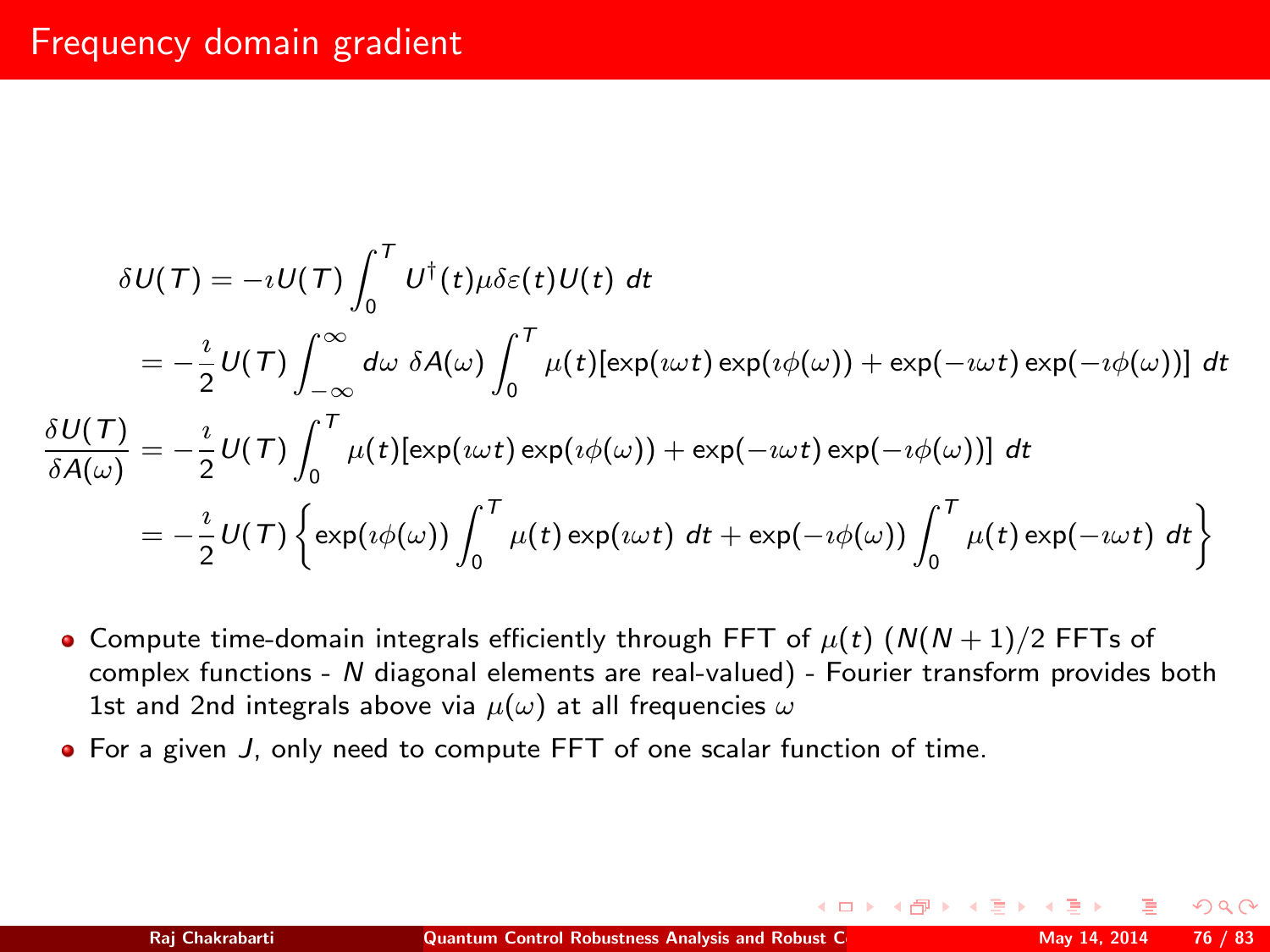# Frequency domain gradient

$$
\delta U(\mathcal{T}) = -iU(\mathcal{T}) \int_0^{\mathcal{T}} U^{\dagger}(t) \mu \delta \varepsilon(t) U(t) dt
$$
  
\n
$$
= -\frac{i}{2} U(\mathcal{T}) \int_{-\infty}^{\infty} d\omega \delta A(\omega) \int_0^{\mathcal{T}} \mu(t) [\exp(i\omega t) \exp(i\phi(\omega)) + \exp(-i\omega t) \exp(-i\phi(\omega))] dt
$$
  
\n
$$
\frac{\delta U(\mathcal{T})}{\delta A(\omega)} = -\frac{i}{2} U(\mathcal{T}) \int_0^{\mathcal{T}} \mu(t) [\exp(i\omega t) \exp(i\phi(\omega)) + \exp(-i\omega t) \exp(-i\phi(\omega))] dt
$$
  
\n
$$
= -\frac{i}{2} U(\mathcal{T}) \left\{ \exp(i\phi(\omega)) \int_0^{\mathcal{T}} \mu(t) \exp(i\omega t) dt + \exp(-i\phi(\omega)) \int_0^{\mathcal{T}} \mu(t) \exp(-i\omega t) dt \right\}
$$

- Compute time-domain integrals efficiently through FFT of  $\mu(t)$  ( $N(N+1)/2$  FFTs of complex functions - N diagonal elements are real-valued) - Fourier transform provides both 1st and 2nd integrals above via  $\mu(\omega)$  at all frequencies  $\omega$
- For a given J, only need to compute FFT of one scalar function of time.

 $\Omega$ 

∢ロ ▶ (何 ▶ (手 ▶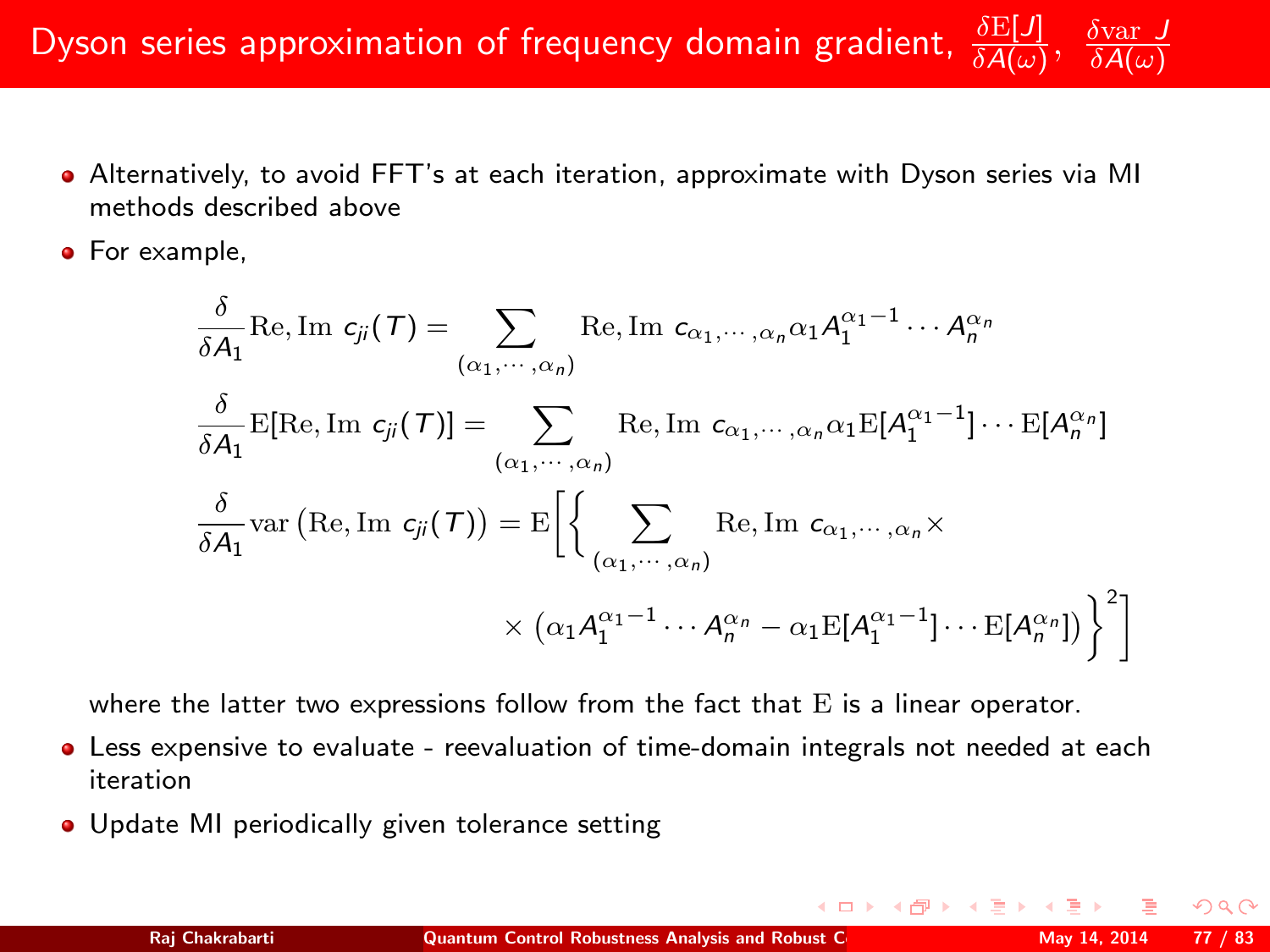Dyson series approximation of frequency domain gradient,  $\delta A(\omega)$ δvar J  $\delta A(\omega)$ 

- Alternatively, to avoid FFT's at each iteration, approximate with Dyson series via MI methods described above
- **•** For example.

$$
\frac{\delta}{\delta A_1} \text{Re}, \text{Im } c_{jj}(T) = \sum_{(\alpha_1, \cdots, \alpha_n)} \text{Re}, \text{Im } c_{\alpha_1, \cdots, \alpha_n} \alpha_1 A_1^{\alpha_1 - 1} \cdots A_n^{\alpha_n}
$$
\n
$$
\frac{\delta}{\delta A_1} \text{E[Re, Im } c_{jj}(T)] = \sum_{(\alpha_1, \cdots, \alpha_n)} \text{Re}, \text{Im } c_{\alpha_1, \cdots, \alpha_n} \alpha_1 \text{E}[A_1^{\alpha_1 - 1}] \cdots \text{E}[A_n^{\alpha_n}]
$$
\n
$$
\frac{\delta}{\delta A_1} \text{var} \left( \text{Re}, \text{Im } c_{jj}(T) \right) = \text{E}\left[ \left\{ \sum_{(\alpha_1, \cdots, \alpha_n)} \text{Re}, \text{Im } c_{\alpha_1, \cdots, \alpha_n} \times \right.\right.
$$
\n
$$
\times \left( \alpha_1 A_1^{\alpha_1 - 1} \cdots A_n^{\alpha_n} - \alpha_1 \text{E}[A_1^{\alpha_1 - 1}] \cdots \text{E}[A_n^{\alpha_n}]\right) \right\}^2 \right]
$$

where the latter two expressions follow from the fact that  $E$  is a linear operator.

- Less expensive to evaluate reevaluation of time-domain integrals not needed at each iteration
- Update MI periodically given tolerance setting

 $+$   $\Box$   $\rightarrow$   $+$   $\Box$   $\rightarrow$ 

 $QQ$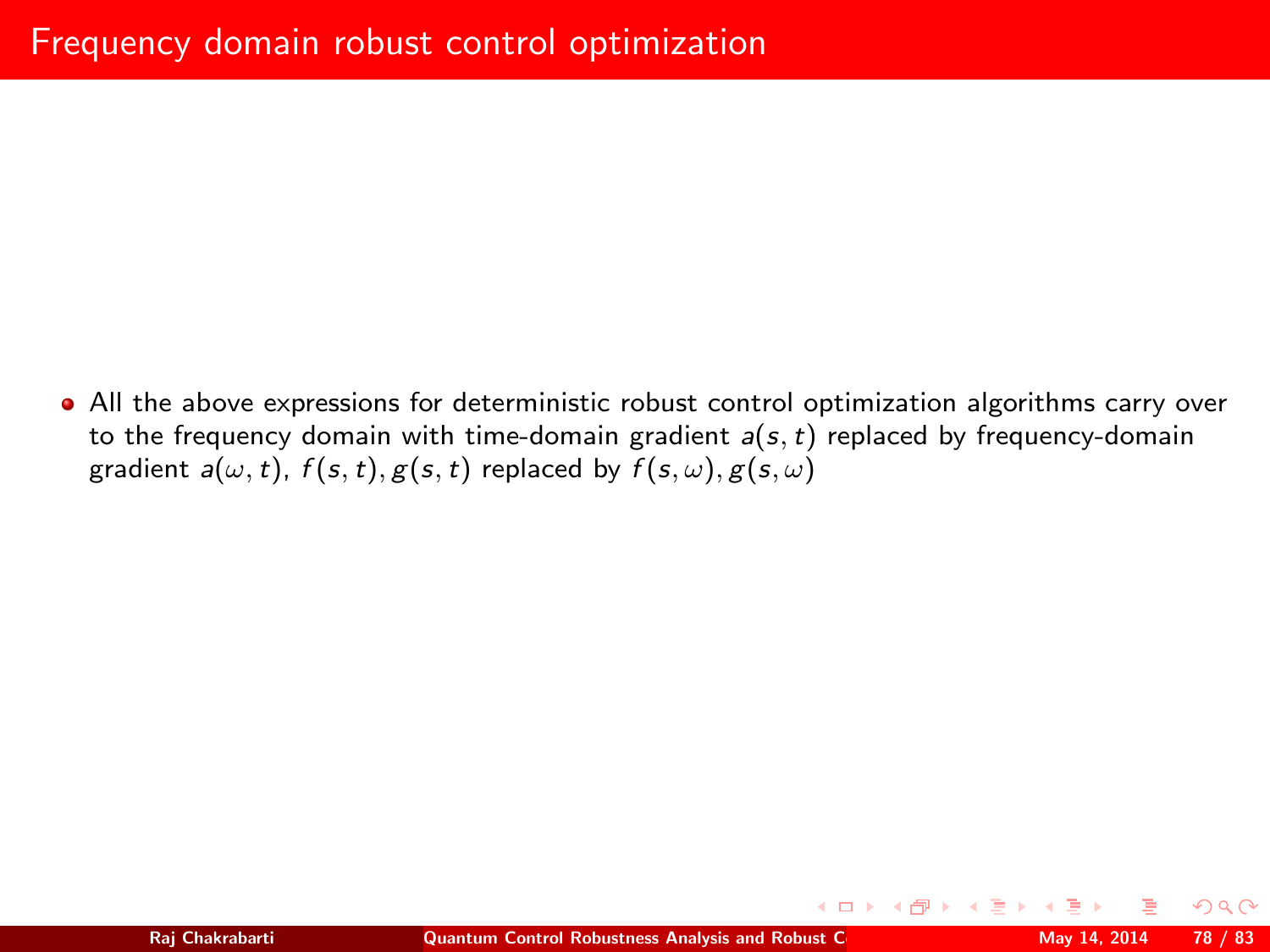All the above expressions for deterministic robust control optimization algorithms carry over to the frequency domain with time-domain gradient  $a(s, t)$  replaced by frequency-domain gradient  $a(\omega, t)$ ,  $f(s, t)$ ,  $g(s, t)$  replaced by  $f(s, \omega)$ ,  $g(s, \omega)$ 

 $\Omega$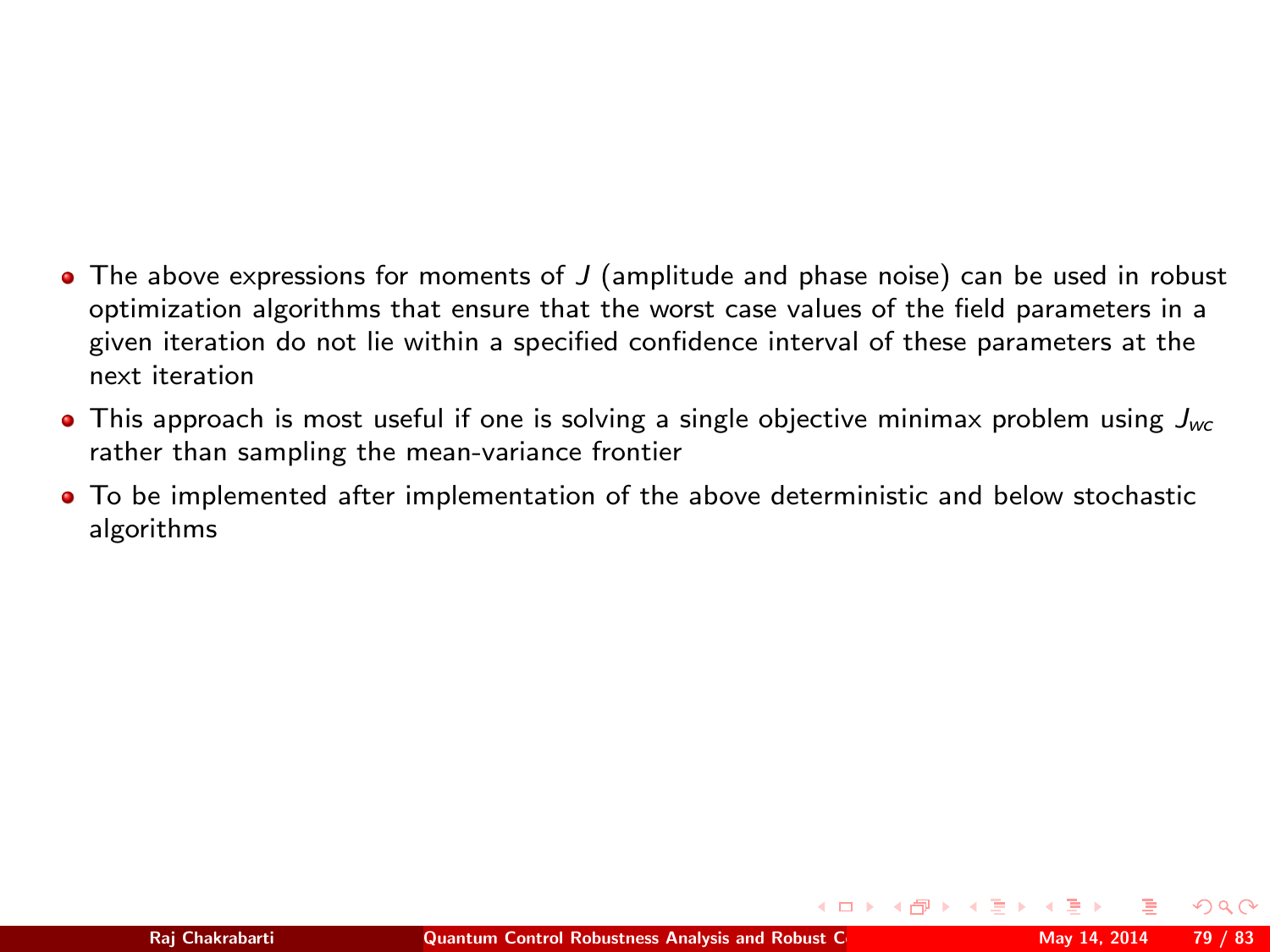- $\bullet$  The above expressions for moments of J (amplitude and phase noise) can be used in robust optimization algorithms that ensure that the worst case values of the field parameters in a given iteration do not lie within a specified confidence interval of these parameters at the next iteration
- **•** This approach is most useful if one is solving a single objective minimax problem using  $J_{wc}$ rather than sampling the mean-variance frontier
- To be implemented after implementation of the above deterministic and below stochastic algorithms

<span id="page-78-0"></span> $\Omega$ 

∢ □ ▶ ∢ ⁄ P ▶ ∢ ∃ ▶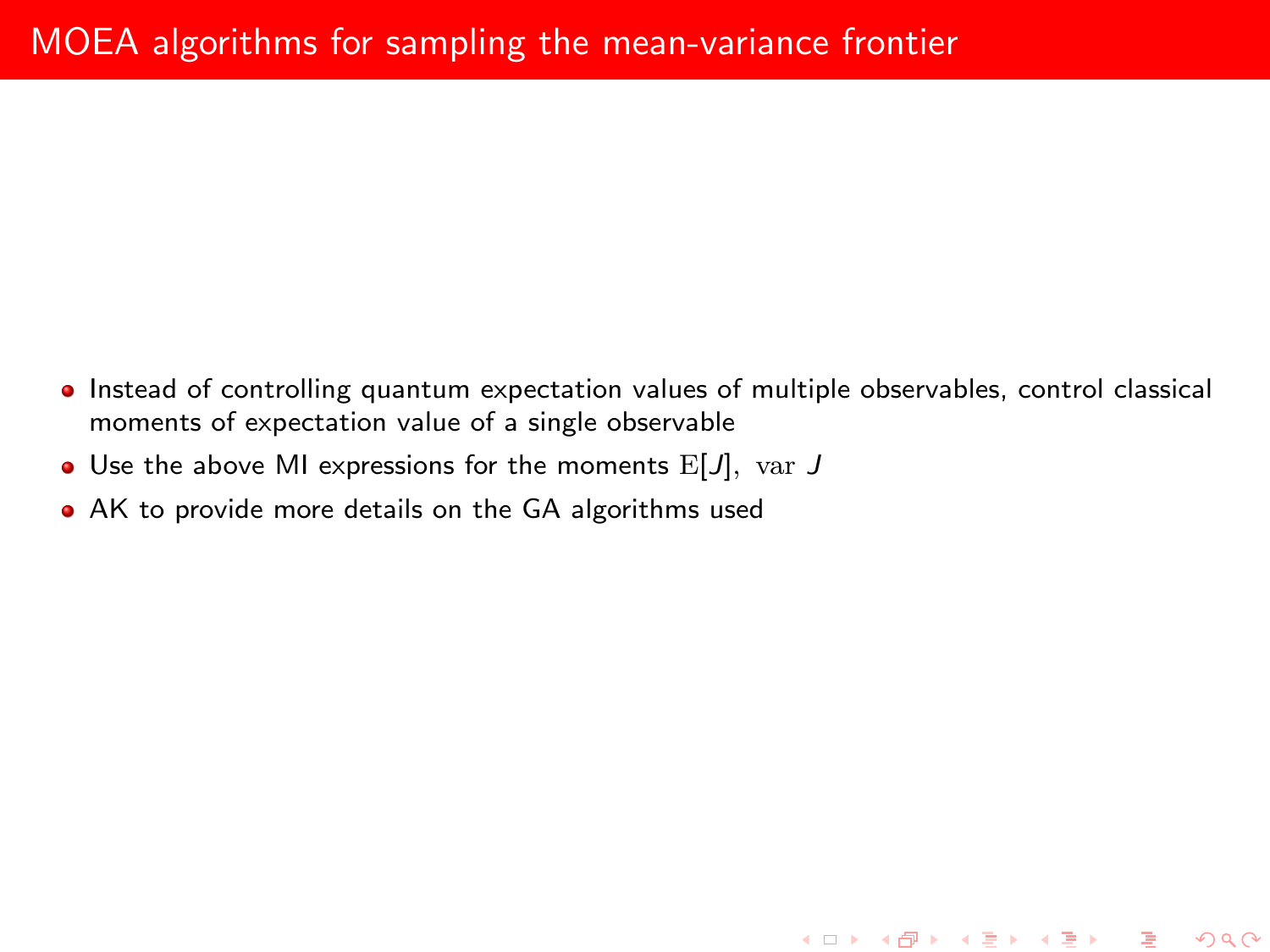• Instead of controlling quantum expectation values of multiple observables, control classical moments of expectation value of a single observable

K ロ ▶ K @ ▶ K 할 ▶ K 할 ▶ 이 할 → 900

- $\bullet$  Use the above MI expressions for the moments  $E[J]$ , var  $J$
- <span id="page-79-0"></span>AK to provide more details on the GA algorithms used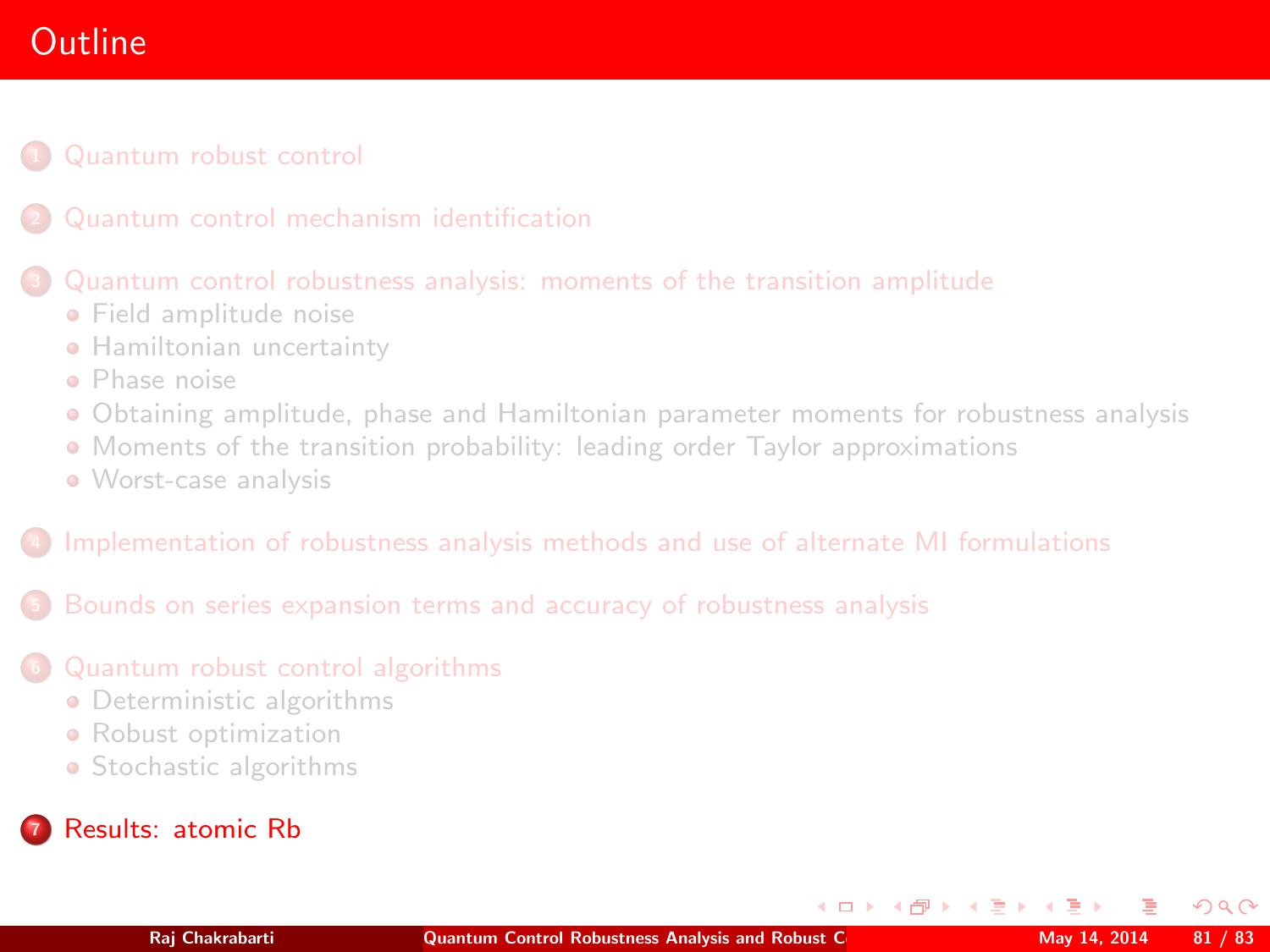# **Outline**

### [Quantum robust control](#page-2-0)

### <sup>3</sup> [Quantum control robustness analysis: moments of the transition amplitude](#page-25-0)

- **•** [Field amplitude noise](#page-27-0)
- **[Hamiltonian uncertainty](#page-39-0)**
- [Phase noise](#page-43-0)
- [Obtaining amplitude, phase and Hamiltonian parameter moments for robustness analysis](#page-46-0)
- [Moments of the transition probability: leading order Taylor approximations](#page-48-0)
- [Worst-case analysis](#page-56-0)

### <sup>4</sup> [Implementation of robustness analysis methods and use of alternate MI formulations](#page-58-0)

<sup>5</sup> [Bounds on series expansion terms and accuracy of robustness analysis](#page-61-0)

### <sup>6</sup> [Quantum robust control algorithms](#page-68-0)

- **•** [Deterministic algorithms](#page-71-0)
- **•** [Robust optimization](#page-78-0)
- [Stochastic algorithms](#page-79-0)

## <sup>7</sup> [Results: atomic Rb](#page-80-0)

<span id="page-80-0"></span> $\Omega$ 

 $\left\{ \begin{array}{ccc} 1 & 0 & 0 \\ 0 & 1 & 0 \end{array} \right.$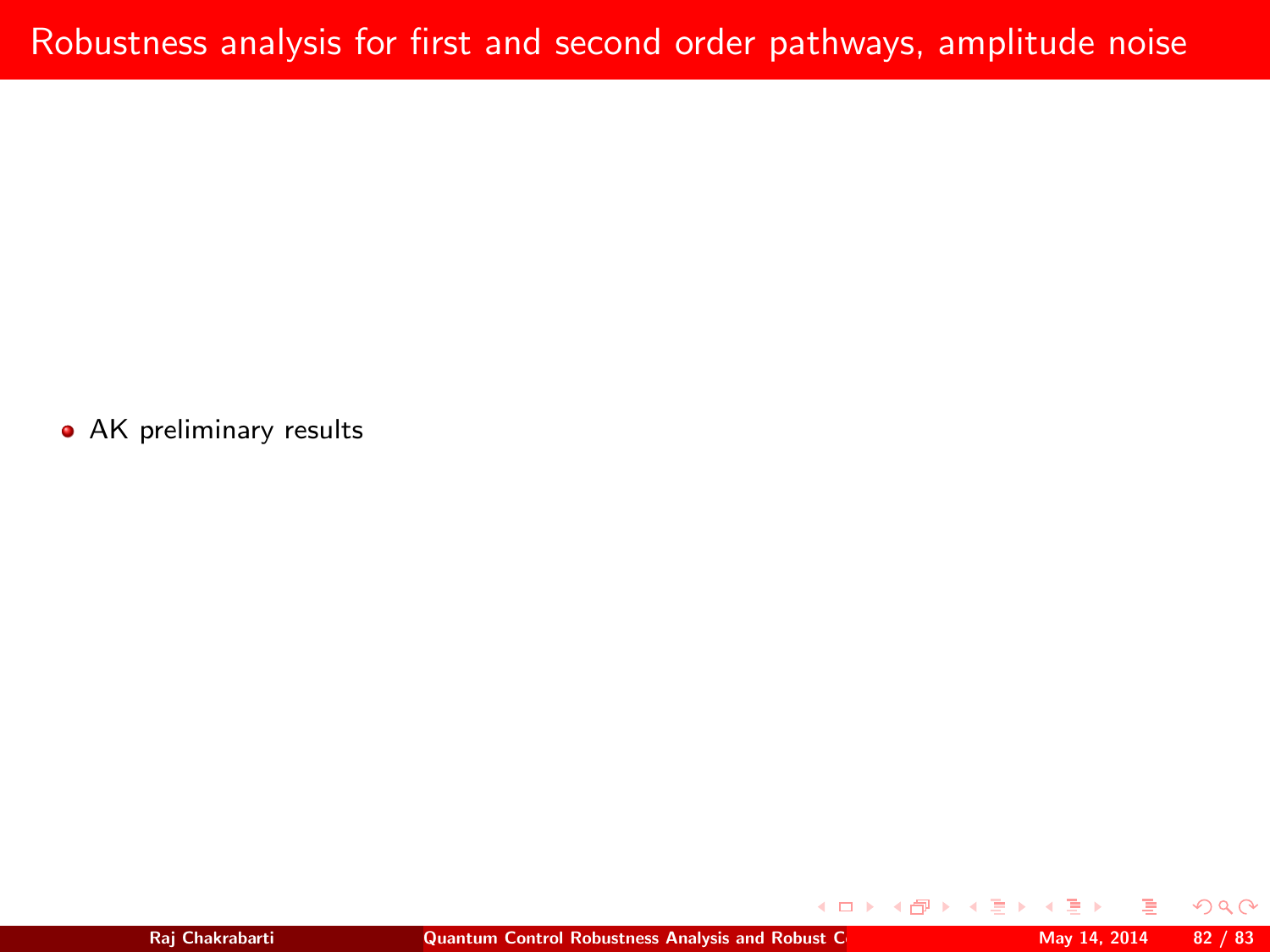• AK preliminary results

**◆ロト ◆伊ト** 

 $QQ$